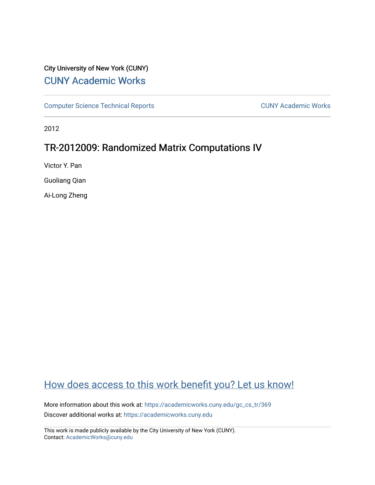# City University of New York (CUNY) [CUNY Academic Works](https://academicworks.cuny.edu/)

[Computer Science Technical Reports](https://academicworks.cuny.edu/gc_cs_tr) **CUNY Academic Works** CUNY Academic Works

2012

# TR-2012009: Randomized Matrix Computations IV

Victor Y. Pan

Guoliang Qian

Ai-Long Zheng

# [How does access to this work benefit you? Let us know!](http://ols.cuny.edu/academicworks/?ref=https://academicworks.cuny.edu/gc_cs_tr/369)

More information about this work at: [https://academicworks.cuny.edu/gc\\_cs\\_tr/369](https://academicworks.cuny.edu/gc_cs_tr/369)  Discover additional works at: [https://academicworks.cuny.edu](https://academicworks.cuny.edu/?)

This work is made publicly available by the City University of New York (CUNY). Contact: [AcademicWorks@cuny.edu](mailto:AcademicWorks@cuny.edu)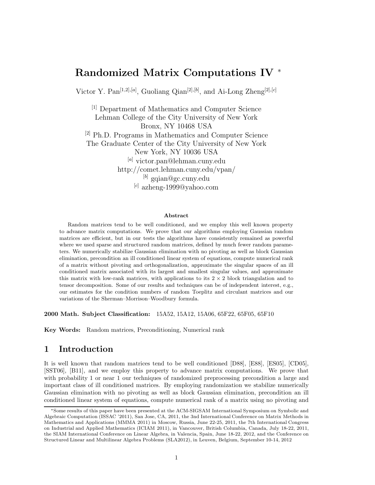# **Randomized Matrix Computations IV** <sup>∗</sup>

Victor Y. Pan[1*,*2]*,*[*a*] , Guoliang Qian[2]*,*[*b*] , and Ai-Long Zheng[2]*,*[*c*]

[1] Department of Mathematics and Computer Science Lehman College of the City University of New York Bronx, NY 10468 USA [2] Ph.D. Programs in Mathematics and Computer Science The Graduate Center of the City University of New York New York, NY 10036 USA [*a*] victor.pan@lehman.cuny.edu http://comet.lehman.cuny.edu/vpan/ [*b*] gqian@gc.cuny.edu [*c*] azheng-1999@yahoo.com

#### **Abstract**

Random matrices tend to be well conditioned, and we employ this well known property to advance matrix computations. We prove that our algorithms employing Gaussian random matrices are efficient, but in our tests the algorithms have consistently remained as powerful where we used sparse and structured random matrices, defined by much fewer random parameters. We numerically stabilize Gaussian elimination with no pivoting as well as block Gaussian elimination, precondition an ill conditioned linear system of equations, compute numerical rank of a matrix without pivoting and orthogonalization, approximate the singular spaces of an ill conditioned matrix associated with its largest and smallest singular values, and approximate this matrix with low-rank matrices, with applications to its  $2 \times 2$  block triangulation and to tensor decomposition. Some of our results and techniques can be of independent interest, e.g., our estimates for the condition numbers of random Toeplitz and circulant matrices and our variations of the Sherman–Morrison–Woodbury formula.

**2000 Math. Subject Classification:** 15A52, 15A12, 15A06, 65F22, 65F05, 65F10

**Key Words:** Random matrices, Preconditioning, Numerical rank

# **1 Introduction**

It is well known that random matrices tend to be well conditioned [D88], [E88], [ES05], [CD05], [SST06], [B11], and we employ this property to advance matrix computations. We prove that with probability 1 or near 1 our techniques of randomized preprocessing precondition a large and important class of ill conditioned matrices. By employing randomization we stabilize numerically Gaussian elimination with no pivoting as well as block Gaussian elimination, precondition an ill conditioned linear system of equations, compute numerical rank of a matrix using no pivoting and

<sup>∗</sup>Some results of this paper have been presented at the ACM-SIGSAM International Symposium on Symbolic and Algebraic Computation (ISSAC '2011), San Jose, CA, 2011, the 3nd International Conference on Matrix Methods in Mathematics and Applications (MMMA 2011) in Moscow, Russia, June 22-25, 2011, the 7th International Congress on Industrial and Applied Mathematics (ICIAM 2011), in Vancouver, British Columbia, Canada, July 18-22, 2011, the SIAM International Conference on Linear Algebra, in Valencia, Spain, June 18-22, 2012, and the Conference on Structured Linear and Multilinear Algebra Problems (SLA2012), in Leuven, Belgium, September 10-14, 2012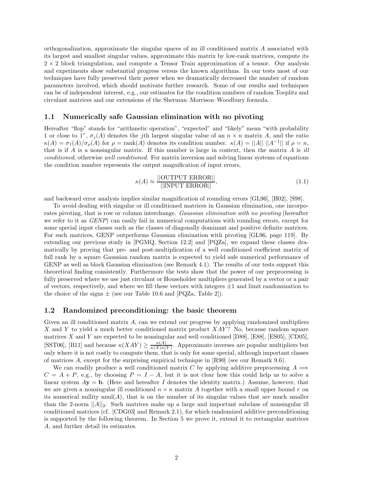orthogonalization, approximate the singular spaces of an ill conditioned matrix *A* associated with its largest and smallest singular values, approximate this matrix by low-rank matrices, compute its  $2 \times 2$  block triangulation, and compute a Tensor Train approximation of a tensor. Our analysis and experiments show substantial progress versus the known algorithms. In our tests most of our techniques have fully preserved their power when we dramatically decreased the number of random parameters involved, which should motivate further research. Some of our results and techniques can be of independent interest, e.g., our estimates for the condition numbers of random Toeplitz and circulant matrices and our extensions of the Sherman–Morrison–Woodbury formula.

#### **1.1 Numerically safe Gaussian elimination with no pivoting**

Hereafter "flop" stands for "arithmetic operation", "expected" and "likely" mean "with probability 1 or close to 1",  $\sigma_j(A)$  denotes the *j*th largest singular value of an  $n \times n$  matrix A, and the ratio  $\kappa(A) = \sigma_1(A)/\sigma_\rho(A)$  for  $\rho = \text{rank}(A)$  denotes its condition number.  $\kappa(A) = ||A|| ||A^{-1}||$  if  $\rho = n$ , that is if *A* is a nonsingular matrix. If this number is large in context, then the matrix *A* is *ill conditioned*, otherwise *well conditioned*. For matrix inversion and solving linear systems of equations the condition number represents the output magnification of input errors,

$$
\kappa(A) \approx \frac{||\text{OUTPUT ERROR}||}{||\text{NPUT ERROR}||},\tag{1.1}
$$

and backward error analysis implies similar magnification of rounding errors [GL96], [H02], [S98].

To avoid dealing with singular or ill conditioned matrices in Gaussian elimination, one incorporates pivoting, that is row or column interchange. *Gaussian elimination with no pivoting* (hereafter we refer to it as *GENP*) can easily fail in numerical computations with rounding errors, except for some special input classes such as the classes of diagonally dominant and positive definite matrices. For such matrices, GENP outperforms Gaussian elimination with pivoting [GL96, page 119]. By extending our previous study in [PGMQ, Section 12.2] and [PQZa], we expand these classes dramatically by proving that pre- and post-multiplication of a well conditioned coefficient matrix of full rank by a square Gaussian random matrix is expected to yield safe numerical performance of GENP as well as block Gaussian elimination (see Remark 4.1). The results of our tests support this theoretical finding consistently. Furthermore the tests show that the power of our preprocessing is fully preserved where we use just circulant or Householder multipliers generated by a vector or a pair of vectors, respectively, and where we fill these vectors with integers  $\pm 1$  and limit randomization to the choice of the signs  $\pm$  (see our Table 10.6 and [PQZa, Table 2]).

#### **1.2 Randomized preconditioning: the basic theorem**

Given an ill conditioned matrix *A*, can we extend our progress by applying randomized multipliers *X* and *Y* to yield a much better conditioned matrix product *XAY* ? No, because random square matrices *X* and *Y* are expected to be nonsingular and well conditioned [D88], [E88], [ES05], [CD05], [SST06], [B11] and because  $\kappa(XAY) \geq \frac{\kappa(\widetilde{A})}{\kappa(X)\kappa(Y)}$ . Approximate inverses are popular multipliers but only where it is not costly to compute them, that is only for some special, although important classes of matrices *A*, except for the surprising empirical technique in [R90] (see our Rematk 9.6).

We can readily produce a well conditioned matrix *C* by applying additive preprocessing  $A \implies$  $C = A + P$ , e.g., by choosing  $P = I - A$ , but it is not clear how this could help us to solve a linear system  $A$ **y** = **b**. (Here and hereafter *I* denotes the identity matrix.) Assume, however, that we are given a nonsingular ill conditioned *n* × *n* matrix *A* together with a small upper bound *r* on its numerical nullity  $nnul(A)$ , that is on the number of its singular values that are much smaller than the 2-norm  $||A||_2$ . Such matrices make up a large and important subclass of nonsingular ill conditioned matrices (cf. [CDG03] and Remark 2.1), for which randomized additive preconditioning is supported by the following theorem. In Section 5 we prove it, extend it to rectangular matrices *A*, and further detail its estimates.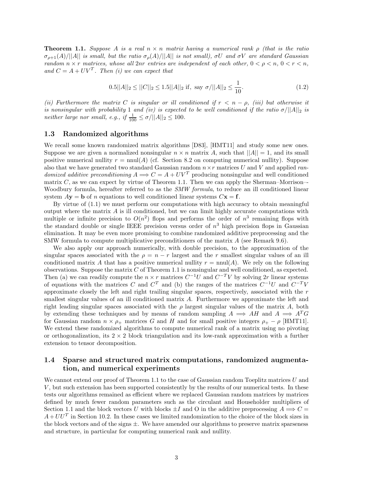**Theorem 1.1.** *Suppose A is a real n* × *n matrix having a numerical rank ρ (that is the ratio*  $\sigma_{p+1}(A)/||A||$  *is small, but the ratio*  $\sigma_p(A)/||A||$  *is not small),*  $\sigma U$  *and*  $\sigma V$  *are standard Gaussian random*  $n \times r$  *matrices, whose all*  $2nr$  *entries are independent of each other,*  $0 \lt \rho \lt n$ ,  $0 \lt r \lt n$ , *and*  $C = A + UV^T$ . Then *(i)* we can expect that

$$
0.5||A||_2 \le ||C||_2 \le 1.5||A||_2 \text{ if, say } \sigma/||A||_2 \le \frac{1}{10}.\tag{1.2}
$$

*(ii) Furthermore the matrix C is singular or ill conditioned if*  $r < n - \rho$ *, (iii) but otherwise it is nonsingular with probability* 1 *and (iv) is expected to be well conditioned if the ratio*  $\sigma/||A||_2$  *is neither large nor small, e.g., if*  $\frac{1}{100} \leq \sigma / ||A||_2 \leq 100$ .

#### **1.3 Randomized algorithms**

We recall some known randomized matrix algorithms [D83], [HMT11] and study some new ones. Suppose we are given a normalized nonsingular  $n \times n$  matrix A, such that  $||A|| = 1$ , and its small positive numerical nullity  $r = \text{nnul}(A)$  (cf. Section 8.2 on computing numerical nullity). Suppose also that we have generated two standard Gaussian random *n*×*r* matrices *U* and *V* and applied *randomized additive preconditioning*  $A \Longrightarrow C = A + UV^T$  producing nonsingular and well conditioned matrix  $C$ , as we can expect by virtue of Theorem 1.1. Then we can apply the Sherman–Morrison–-Woodbury formula, hereafter referred to as the *SMW formula*, to reduce an ill conditioned linear system  $A$ **y** = **b** of *n* equations to well conditioned linear systems  $C$ **x** = **f**.

By virtue of (1.1) we must perform our computations with high accuracy to obtain meaningful output where the matrix *A* is ill conditioned, but we can limit highly accurate computations with multiple or infinite precision to  $O(n^2)$  flops and performs the order of  $n^3$  remaining flops with the standard double or single IEEE precision versus order of  $n<sup>3</sup>$  high precision flops in Gaussian elimination. It may be even more promising to combine randomized additive preprocessing and the SMW formula to compute multiplicative preconditioners of the matrix *A* (see Remark 9.6).

We also apply our approach numerically, with double precision, to the approximation of the singular spaces associated with the  $\rho = n - r$  largest and the r smallest singular values of an ill conditioned matrix A that has a positive numerical nullity  $r = \text{nnul}(A)$ . We rely on the following observations. Suppose the matrix *C* of Theorem 1.1 is nonsingular and well conditioned, as expected. Then (a) we can readily compute the  $n \times r$  matrices  $C^{-1}U$  and  $C^{-T}V$  by solving 2*r* linear systems of equations with the matrices *C* and  $C^T$  and (b) the ranges of the matrices  $C^{-1}U$  and  $C^{-T}V$ approximate closely the left and right trailing singular spaces, respectively, associated with the *r* smallest singular values of an ill conditioned matrix *A*. Furthermore we approximate the left and right leading singular spaces associated with the  $\rho$  largest singular values of the matrix A, both by extending these techniques and by means of random sampling  $A \implies AH$  and  $A \implies A^T G$ for Gaussian random  $n \times \rho_+$  matrices *G* and *H* and for small positive integers  $\rho_+ - \rho$  [HMT11]. We extend these randomized algorithms to compute numerical rank of a matrix using no pivoting or orthogonalization, its  $2 \times 2$  block triangulation and its low-rank approximation with a further extension to tensor decomposition.

### **1.4 Sparse and structured matrix computations, randomized augmentation, and numerical experiments**

We cannot extend our proof of Theorem 1.1 to the case of Gaussian random Toeplitz matrices *U* and *V*, but such extension has been supported consistently by the results of our numerical tests. In these tests our algorithms remained as efficient where we replaced Gaussian random matrices by matrices defined by much fewer random parameters such as the circulant and Householder multipliers of Section 1.1 and the block vectors *U* with blocks  $\pm I$  and O in the additive preprocessing  $A \implies C =$  $A+UU^T$  in Section 10.2. In these cases we limited randomization to the choice of the block sizes in the block vectors and of the signs  $\pm$ . We have amended our algorithms to preserve matrix sparseness and structure, in particular for computing numerical rank and nullity.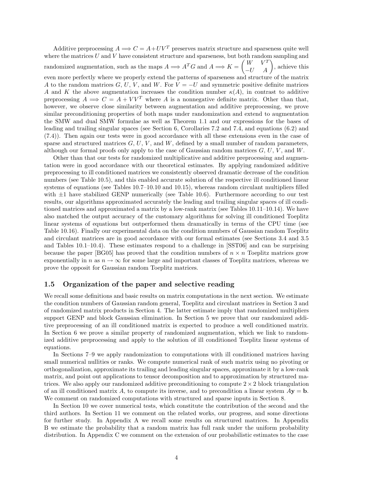Additive preprocessing  $A \Longrightarrow C = A + UV^T$  preserves matrix structure and sparseness quite well where the matrices *U* and *V* have consistent structure and sparseness, but both random sampling and randomized augmentation, such as the maps  $A \Longrightarrow A^T G$  and  $A \Longrightarrow K = \begin{pmatrix} W & V^T \\ -U & A \end{pmatrix}$ , achieve this even more perfectly where we properly extend the patterns of sparseness and structure of the matrix *A* to the random matrices *G*, *U*, *V*, and *W*. For  $V = -U$  and symmetric positive definite matrices *A* and *K* the above augmentation increases the condition number  $\kappa(A)$ , in contrast to additive preprocessing  $A \implies C = A + VV^T$  where A is a nonnegative definite matrix. Other than that, however, we observe close similarity between augmentation and additive preprocessing, we prove similar preconditioning properties of both maps under randomization and extend to augmentation the SMW and dual SMW formulae as well as Theorem 1.1 and our expressions for the bases of leading and trailing singular spaces (see Section 6, Corollaries 7.2 and 7.4, and equations (6.2) and (7.4)). Then again our tests were in good accordance with all these extensions even in the case of sparse and structured matrices  $G, U, V$ , and  $W$ , defined by a small number of random parameters,

although our formal proofs only apply to the case of Gaussian random matrices *G*, *U*, *V* , and *W*.

Other than that our tests for randomized multiplicative and additive preprocessing and augmentation were in good accordance with our theoretical estimates. By applying randomized additive preprocessing to ill conditioned matrices we consistently observed dramatic decrease of the condition numbers (see Table 10.5), and this enabled accurate solution of the respective ill conditioned linear systems of equations (see Tables 10.7–10.10 and 10.15), whereas random circulant multipliers filled with  $\pm 1$  have stabilized GENP numerically (see Table 10.6). Furthermore according to our test results, our algorithms approximated accurately the leading and trailing singular spaces of ill conditioned matrices and approximated a matrix by a low-rank matrix (see Tables 10.11–10.14). We have also matched the output accuracy of the customary algorithms for solving ill conditioned Toeplitz linear systems of equations but outperformed them dramatically in terms of the CPU time (see Table 10.16). Finally our experimental data on the condition numbers of Gaussian random Toeplitz and circulant matrices are in good accordance with our formal estimates (see Sections 3.4 and 3.5 and Tables 10.1–10.4). These estimates respond to a challenge in [SST06] and can be surprising because the paper [BG05] has proved that the condition numbers of  $n \times n$  Toeplitz matrices grow exponentially in *n* as  $n \to \infty$  for some large and important classes of Toeplitz matrices, whereas we prove the opposit for Gaussian random Toeplitz matrices.

#### **1.5 Organization of the paper and selective reading**

We recall some definitions and basic results on matrix computations in the next section. We estimate the condition numbers of Gaussian random general, Toeplitz and circulant matrices in Section 3 and of randomized matrix products in Section 4. The latter estimate imply that randomized multipliers support GENP and block Gaussian elimination. In Section 5 we prove that our randomized additive preprocessing of an ill conditioned matrix is expected to produce a well conditioned matrix. In Section 6 we prove a similar property of randomized augmentation, which we link to randomized additive preprocessing and apply to the solution of ill conditioned Toeplitz linear systems of equations.

In Sections 7–9 we apply randomization to computations with ill conditioned matrices having small numerical nullities or ranks. We compute numerical rank of such matrix using no pivoting or orthogonalization, approximate its trailing and leading singular spaces, approximate it by a low-rank matrix, and point out applications to tensor decomposition and to approximation by structured matrices. We also apply our randomized additive preconditioning to compute  $2 \times 2$  block triangulation of an ill conditioned matrix A, to compute its inverse, and to precondition a linear system  $A$ **y** = **b**. We comment on randomized computations with structured and sparse inputs in Section 8.

In Section 10 we cover numerical tests, which constitute the contribution of the second and the third authors. In Section 11 we comment on the related works, our progress, and some directions for further study. In Appendix A we recall some results on structured matrices. In Appendix B we estimate the probability that a random matrix has full rank under the uniform probability distribution. In Appendix C we comment on the extension of our probabilistic estimates to the case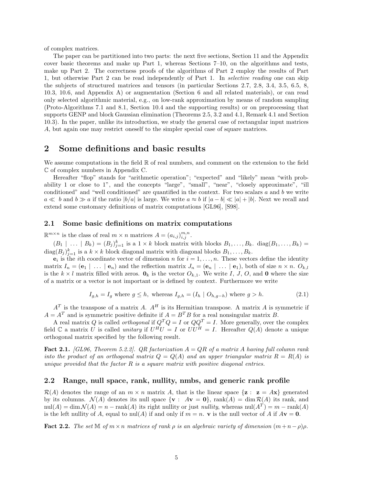of complex matrices.

The paper can be partitioned into two parts: the next five sections, Section 11 and the Appendix cover basic theorems and make up Part 1, whereas Sections 7–10, on the algorithms and tests, make up Part 2. The correctness proofs of the algorithms of Part 2 employ the results of Part 1, but otherwise Part 2 can be read independently of Part 1. In *selective reading* one can skip the subjects of structured matrices and tensors (in particular Sections 2.7, 2.8, 3.4, 3.5, 6.5, 8, 10.3, 10.6, and Appendix A) or augmentation (Section 6 and all related materials), or can read only selected algorithmic material, e.g., on low-rank approximation by means of random sampling (Proto-Algorithms 7.1 and 8.1, Section 10.4 and the supporting results) or on preprocessing that supports GENP and block Gaussian elimination (Theorems 2.5, 3.2 and 4.1, Remark 4.1 and Section 10.3). In the paper, unlike its introduction, we study the general case of rectangular input matrices *A*, but again one may restrict oneself to the simpler special case of square matrices.

### **2 Some definitions and basic results**

We assume computations in the field  $\mathbb R$  of real numbers, and comment on the extension to the field C of complex numbers in Appendix C.

Hereafter "flop" stands for "arithmetic operation"; "expected" and "likely" mean "with probability 1 or close to 1", and the concepts "large", "small", "near", "closely approximate", "ill conditioned" and "well conditioned" are quantified in the context. For two scalars *a* and *b* we write *a*  $\le$  *b* and *b*  $\ge$  *a* if the ratio  $|b/a|$  is large. We write *a* ≈ *b* if  $|a-b| \le |a| + |b|$ . Next we recall and extend some customary definitions of matrix computations [GL96], [S98].

### **2.1 Some basic definitions on matrix computations**

 $\mathbb{R}^{m \times n}$  is the class of real  $m \times n$  matrices  $A = (a_{i,j})_{i,j}^{m,n}$ .

 $(B_1 \mid \ldots \mid B_k) = (B_j)_{j=1}^k$  is a  $1 \times k$  block matrix with blocks  $B_1, \ldots, B_k$ . diag $(B_1, \ldots, B_k)$  $\text{diag}(B_j)_{j=1}^k$  is a  $k \times k$  block diagonal matrix with diagonal blocks  $B_1, \ldots, B_k$ .

 $e_i$  is the *i*th coordinate vector of dimension *n* for  $i = 1, \ldots, n$ . These vectors define the identity matrix  $I_n = (\mathbf{e}_1 \mid \dots \mid \mathbf{e}_n)$  and the reflection matrix  $J_n = (\mathbf{e}_n \mid \dots \mid \mathbf{e}_1)$ , both of size  $n \times n$ .  $O_{k,l}$ is the  $k \times l$  matrix filled with zeros.  $\mathbf{0}_k$  is the vector  $O_{k,1}$ . We write *I*, *J*, *O*, and **0** where the size of a matrix or a vector is not important or is defined by context. Furthermore we write

$$
I_{g,h} = I_g \text{ where } g \le h, \text{ whereas } I_{g,h} = (I_h \mid O_{h,g-h}) \text{ where } g > h. \tag{2.1}
$$

 $A<sup>T</sup>$  is the transpose of a matrix *A*.  $A<sup>H</sup>$  is its Hermitian transpose. A matrix *A* is symmetric if  $A = A<sup>T</sup>$  and is symmetric positive definite if  $A = B<sup>T</sup>B$  for a real nonsingular matrix *B*.

A real matrix *Q* is called *orthogonal* if  $Q^T Q = I$  or  $QQ^T = I$ . More generally, over the complex field  $\mathbb C$  a matrix *U* is called *unitary* if  $U^H U = I$  or  $UU^H = I$ . Hereafter  $Q(A)$  denote a unique orthogonal matrix specified by the following result.

**Fact 2.1.** *[GL96, Theorem 5.2.2]. QR factorization A* = *QR of a matrix A having full column rank into the product of an orthogonal matrix*  $Q = Q(A)$  *and an upper triangular matrix*  $R = R(A)$  *is unique provided that the factor R is a square matrix with positive diagonal entries.*

#### **2.2 Range, null space, rank, nullity, nmbs, and generic rank profile**

 $\mathcal{R}(A)$  denotes the range of an  $m \times n$  matrix A, that is the linear space  $\{z : z = Ax\}$  generated by its columns.  $\mathcal{N}(A)$  denotes its null space  $\{ \mathbf{v} : A\mathbf{v} = \mathbf{0} \}$ , rank $(A) = \dim \mathcal{R}(A)$  its rank, and  $\text{null}(A) = \dim \mathcal{N}(A) = n - \text{rank}(A)$  its right nullity or just *nullity*, whereas  $\text{null}(A^T) = m - \text{rank}(A)$ is the left nullity of *A*, equal to nul(*A*) if and only if  $m = n$ . **v** is the null vector of *A* if  $A$ **v** = **0**.

**Fact 2.2.** *The set*  $\mathbb{M}$  *of*  $m \times n$  *matrices of rank*  $\rho$  *is an algebraic variety of dimension*  $(m+n-\rho)\rho$ *.*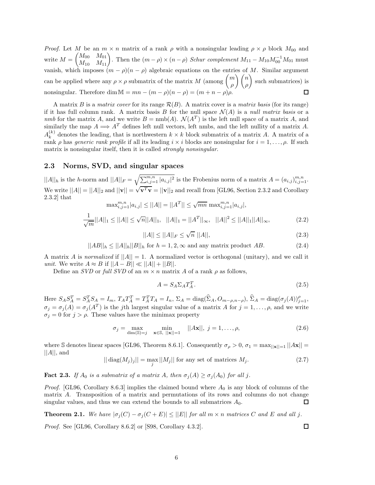*Proof.* Let *M* be an  $m \times n$  matrix of a rank *ρ* with a nonsingular leading  $\rho \times \rho$  block  $M_{00}$  and  $M = \begin{pmatrix} M_{00} & M_{01} \ M_{10} & M_{11} \end{pmatrix}$ . Then the  $(m - \rho) \times (n - \rho)$  *Schur complement*  $M_{11} - M_{10} M_{00}^{-1} M_{01}$  must vanish, which imposes  $(m - \rho)(n - \rho)$  algebraic equations on the entries of *M*. Similar argument can be applied where any  $\rho \times \rho$  submatrix of the matrix *M* (among  $\binom{m}{q}$ - *n* -such submatrices) is *ρ ρ* nonsingular. Therefore dim  $\mathbb{M} = mn - (m - \rho)(n - \rho) = (m + n - \rho)\rho$ .  $\Box$ 

A matrix *B* is a *matrix cover* for its range  $\mathcal{R}(B)$ . A matrix cover is a *matrix basis* (for its range) if it has full column rank. A matrix basis *B* for the null space  $\mathcal{N}(A)$  is a *null matrix basis* or a *nmb* for the matrix *A*, and we write  $B = \text{nmb}(A)$ .  $\mathcal{N}(A^T)$  is the left null space of a matrix *A*, and similarly the map  $A \Longrightarrow A^T$  defines left null vectors, left nmbs, and the left nullity of a matrix A.  $A_k^{(k)}$  denotes the leading, that is northwestern  $k \times k$  block submatrix of a matrix *A*. A matrix of a rank *ρ* has *generic rank profile* if all its leading *i* × *i* blocks are nonsingular for *i* = 1*,...,ρ*. If such matrix is nonsingular itself, then it is called *strongly nonsingular*.

#### **2.3 Norms, SVD, and singular spaces**

 $||A||_h$  is the *h*-norm and  $||A||_F = \sqrt{\sum_{i,j=1}^{m,n} |a_{i,j}|^2}$  is the Frobenius norm of a matrix  $A = (a_{i,j})_{i,j=1}^{m,n}$ . We write  $||A|| = ||A||_2$  and  $||\mathbf{v}|| = \sqrt{\mathbf{v}^T \mathbf{v}} = ||\mathbf{v}||_2$  and recall from [GL96, Section 2.3.2 and Corollary 2.3.2] that  $\max_{i,j=1}^{m,n} |a_{i,j}| \leq ||A|| = ||A^T|| \leq \sqrt{mn} \max_{i,j=1}^{m,n} |a_{i,j}|,$ 

$$
\frac{1}{\sqrt{m}}||A||_1 \le ||A|| \le \sqrt{n}||A||_1, \quad ||A||_1 = ||A^T||_{\infty}, \quad ||A||^2 \le ||A||_1||A||_{\infty}, \tag{2.2}
$$

$$
||A|| \le ||A||_F \le \sqrt{n} ||A||,\tag{2.3}
$$

 $||AB||_h \leq ||A||_h ||B||_h$  for  $h = 1, 2, \infty$  and any matrix product *AB*. (2.4)

A matrix *A* is *normalized* if  $||A|| = 1$ . A normalized vector is orthogonal (unitary), and we call it *unit*. We write  $A \approx B$  if  $||A - B|| \ll ||A|| + ||B||$ .

Define an *SVD* or *full SVD* of an  $m \times n$  matrix *A* of a rank  $\rho$  as follows,

$$
A = S_A \Sigma_A T_A^T. \tag{2.5}
$$

Here  $S_A S_A^T = S_A^T S_A = I_m$ ,  $T_A T_A^T = T_A^T T_A = I_n$ ,  $\Sigma_A = \text{diag}(\hat{\Sigma}_A, O_{m-\rho,n-\rho}),$   $\hat{\Sigma}_A = \text{diag}(\sigma_j(A))_{j=1}^{\rho}$ ,  $\sigma_j = \sigma_j(A) = \sigma_j(A^T)$  is the *j*th largest singular value of a matrix *A* for  $j = 1, \ldots, \rho$ , and we write  $\sigma_j = 0$  for  $j > \rho$ . These values have the minimax property

$$
\sigma_j = \max_{\dim(\mathbb{S}) = j} \quad \min_{\mathbf{x} \in \mathbb{S}, \ |\mathbf{x}\| = 1} \quad ||A\mathbf{x}||, \ j = 1, \dots, \rho,
$$
\n(2.6)

where S denotes linear spaces [GL96, Theorem 8.6.1]. Consequently  $\sigma_{\rho} > 0$ ,  $\sigma_1 = \max_{\vert\vert \mathbf{x} \vert\vert = 1} \vert\vert \mathbf{Ax} \vert\vert = 1$  $||A||$ , and

$$
||\operatorname{diag}(M_j)_j|| = \max_j ||M_j|| \text{ for any set of matrices } M_j. \tag{2.7}
$$

**Fact 2.3.** *If*  $A_0$  *is a submatrix of a matrix*  $A$ *, then*  $\sigma_j(A) \geq \sigma_j(A_0)$  *for all j*.

*Proof.* [GL96, Corollary 8.6.3] implies the claimed bound where *A*<sup>0</sup> is any block of columns of the matrix *A*. Transposition of a matrix and permutations of its rows and columns do not change singular values, and thus we can extend the bounds to all submatrices  $A_0$ . □

**Theorem 2.1.** We have  $|\sigma_j(C) - \sigma_j(C + E)| \leq ||E||$  for all  $m \times n$  matrices C and E and all j.

*Proof.* See [GL96, Corollary 8.6.2] or [S98, Corollary 4.3.2].

6

 $\Box$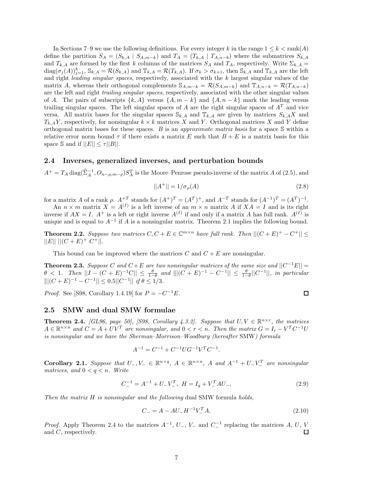In Sections 7–9 we use the following definitions. For every integer *k* in the range  $1 \leq k < \text{rank}(A)$ define the partition  $S_A = (S_{k,A} | S_{A,m-k})$  and  $T_A = (T_{k,A} | T_{A,n-k})$  where the submatrices  $S_{k,A}$ and  $T_{k,A}$  are formed by the first *k* columns of the matrices  $S_A$  and  $T_A$ , respectively. Write  $\Sigma_{k,A}$  $\text{diag}(\sigma_j(A))_{j=1}^k$ ,  $\mathbb{S}_{k,A} = \mathcal{R}(S_{k,A})$  and  $\mathbb{T}_{k,A} = \mathcal{R}(T_{k,A})$ . If  $\sigma_k > \sigma_{k+1}$ , then  $\mathbb{S}_{k,A}$  and  $\mathbb{T}_{k,A}$  are the left and right *leading singular spaces*, respectively, associated with the *k* largest singular values of the matrix *A*, whereas their orthogonal complements  $\mathcal{S}_{A,m-k} = \mathcal{R}(S_{A,m-k})$  and  $\mathbb{T}_{A,n-k} = \mathcal{R}(T_{A,n-k})$ are the left and right *trailing singular spaces*, respectively, associated with the other singular values of *A*. The pairs of subscripts  $\{k, A\}$  versus  $\{A, m - k\}$  and  $\{A, n - k\}$  mark the leading versus trailing singular spaces. The left singular spaces of *A* are the right singular spaces of *A<sup>T</sup>* and vice versa. All matrix bases for the singular spaces  $\mathbb{S}_{k,A}$  and  $\mathbb{T}_{k,A}$  are given by matrices  $S_{k,A}X$  and  $T_{k,A}Y$ , respectively, for nonsingular  $k \times k$  matrices *X* and *Y*. Orthogonal matrices *X* and *Y* define orthogonal matrix bases for these spaces. *B* is an *approximate matrix basis* for a space S within a relative error norm bound  $\tau$  if there exists a matrix *E* such that  $B + E$  is a matrix basis for this space S and if  $||E|| \leq \tau ||B||$ .

#### **2.4 Inverses, generalized inverses, and perturbation bounds**

 $A^+ = T_A \text{diag}(\hat{\Sigma}_A^{-1}, O_{n-\rho,m-\rho}) S_A^T$  is the Moore–Penrose pseudo-inverse of the matrix *A* of (2.5), and

$$
||A^{+}|| = 1/\sigma_{\rho}(A)
$$
\n(2.8)

for a matrix *A* of a rank *ρ*.  $A^{+T}$  stands for  $(A^{+})^{T} = (A^{T})^{+}$ , and  $A^{-T}$  stands for  $(A^{-1})^{T} = (A^{T})^{-1}$ .

An  $n \times m$  matrix  $X = A^{(I)}$  is a left inverse of an  $m \times n$  matrix A if  $XA = I$  and is its right inverse if  $AX = I$ .  $A^+$  is a left or right inverse  $A^{(I)}$  if and only if a matrix *A* has full rank.  $A^{(I)}$  is unique and is equal to  $A^{-1}$  if *A* is a nonsingular matrix. Theorem 2.1 implies the following bound.

**Theorem 2.2.** *Suppose two matrices*  $C, C + E \in \mathbb{C}^{m \times n}$  *have full rank. Then*  $||(C + E)^+ - C^+|| \le$  $||E|| ||(C+E)^{+} C^{+}||.$ 

This bound can be improved where the matrices  $C$  and  $C + E$  are nonsingular.

**Theorem 2.3.** *Suppose C* and  $C + E$  are two nonsingular matrices of the same size and  $||C^{-1}E|| =$  $\theta$  < 1*.* Then  $||I - (C + E)^{-1}C|| \le \frac{\theta}{1-\theta}$  and  $||[(C + E)^{-1} - C^{-1}|| \le \frac{\theta}{1-\theta}||C^{-1}||$ *, in particular*  $||(C + E)^{-1} - C^{-1}|| \leq 0.5||C^{-1}||$  *if*  $\theta \leq 1/3$ .

*Proof.* See [S98, Corollary 1.4.19] for  $P = -C^{-1}E$ .

$$
\Box
$$

#### **2.5 SMW and dual SMW formulae**

**Theorem 2.4.** *[GL96, page 50], [S98, Corollary 4.3.2]. Suppose that*  $U, V \in \mathbb{R}^{n \times r}$ *, the matrices*  $A \in \mathbb{R}^{n \times n}$  and  $C = A + UV^T$  are nonsingular, and  $0 < r < n$ . Then the matrix  $G = I_r - V^T C^{-1} U$ *is nonsingular and we have the Sherman–Morrison–Woodbury (hereafter* SMW*) formula*

$$
A^{-1} = C^{-1} + C^{-1} U G^{-1} V^T C^{-1}.
$$

**Corollary 2.1.** Suppose that  $U_-, V_- \in \mathbb{R}^{n \times q}$ ,  $A \in \mathbb{R}^{n \times n}$ ,  $A$  and  $A^{-1} + U_-V_-^T$  are nonsingular *matrices, and*  $0 < q < n$ *. Write* 

$$
C_{-}^{-1} = A^{-1} + U_{-}V_{-}^{T}, \ H = I_{q} + V_{-}^{T}AU_{-}, \tag{2.9}
$$

*Then the matrix H is nonsingular and the following* dual SMW formula *holds,*

$$
C_{-} = A - AU_{-}H^{-1}V_{-}^{T}A.
$$
\n(2.10)

*Proof.* Apply Theorem 2.4 to the matrices  $A^{-1}$ ,  $U_{-}$ ,  $V_{-}$  and  $C_{-}^{-1}$  replacing the matrices  $A$ ,  $U$ ,  $V$  and  $C$ , respectively. and *C*, respectively.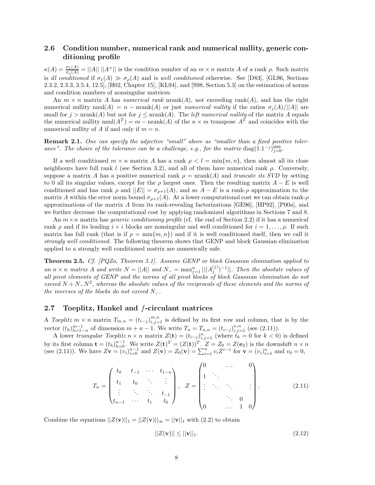# **2.6 Condition number, numerical rank and numerical nullity, generic conditioning profile**

 $\kappa(A) = \frac{\sigma_1(A)}{\sigma_o(A)} = ||A|| \, ||A^+||$  is the condition number of an  $m \times n$  matrix *A* of a rank *ρ*. Such matrix is *ill conditioned* if  $\sigma_1(A) \gg \sigma_0(A)$  and is *well conditioned* otherwise. See [D83], [GL96, Sections 2.3.2, 2.3.3, 3.5.4, 12.5], [H02, Chapter 15], [KL94], and [S98, Section 5.3] on the estimation of norms and condition numbers of nonsingular matrices.

An  $m \times n$  matrix *A* has *numerical rank* nrank(*A*), not exceeding rank(*A*), and has the right numerical nullity nnul(*A*) = *n* − nrank(*A*) or just *numerical nullity* if the ratios  $\sigma_j(A)/||A||$  are small for  $j > \text{nrank}(A)$  but not for  $j \leq \text{nrank}(A)$ . The *left numerical nullity* of the matrix A equals the numerical nullity  $nnul(A^T) = m - nrank(A)$  of the  $n \times m$  transpose  $A^T$  and coincides with the numerical nullity of A if and only if  $m = n$ .

**Remark 2.1.** *One can specify the adjective "small" above as "smaller than a fixed positive toler*ance". The choice of the tolerance can be a challenge, e.g., for the matrix diag(1.1<sup>-*j*)999</sup><sub>j=0</sub>.

If a well conditioned  $m \times n$  matrix *A* has a rank  $\rho < l = \min\{m, n\}$ , then almost all its close neighbours have full rank *l* (see Section 3.2), and all of them have numerical rank *ρ*. Conversely, suppose a matrix *A* has a positive numerical rank  $\rho = \text{nrank}(A)$  and *truncate its SVD* by setting to 0 all its singular values, except for the  $\rho$  largest ones. Then the resulting matrix  $A - E$  is well conditioned and has rank  $\rho$  and  $||E|| = \sigma_{\rho+1}(A)$ , and so  $A - E$  is a rank- $\rho$  approximation to the matrix *A* within the error norm bound  $\sigma_{\rho+1}(A)$ . At a lower computational cost we can obtain rank- $\rho$ approximations of the matrix *A* from its rank-revealing factorizations [GE96], [HP92], [P00a], and we further decrease the computational cost by applying randomized algorithms in Sections 7 and 8.

An  $m \times n$  matrix has *generic conditioning profile* (cf. the end of Section 2.2) if it has a numerical rank *ρ* and if its leading *i* × *i* blocks are nonsingular and well conditioned for *i* = 1*,...,ρ*. If such matrix has full rank (that is if  $\rho = \min\{m, n\}$ ) and if it is well conditioned itself, then we call it *strongly well conditioned*. The following theorem shows that GENP and block Gaussian elimination applied to a strongly well conditioned matrix are numerically safe.

**Theorem 2.5.** *Cf. [PQZa, Theorem 5.1]. Assume GENP or block Gaussian elimination applied to an*  $n \times n$  *matrix A and* write  $N = ||A||$  *and*  $N = \max_{j=1}^n ||(A_j^{(j)})^{-1}||$ *. Then the absolute values of all pivot elements of GENP and the norms of all pivot blocks of block Gaussian elimination do not exceed <sup>N</sup>* <sup>+</sup> *<sup>N</sup>*−*N*<sup>2</sup>*, whereas the absolute values of the reciprocals of these elements and the norms of the inverses of the blocks do not exceed N*−*.*

### **2.7 Toeplitz, Hankel and** f**-circulant matrices**

A *Toeplitz*  $m \times n$  matrix  $T_{m,n} = (t_{i-j})_{i,j=1}^{m,n}$  is defined by its first row and column, that is by the vector  $(t_h)_{h=1-n}^{m-1}$  of dimension  $m + n - 1$ . We write  $T_n = T_{n,n} = (t_{i-j})_{i,j=1}^{n,n}$  (see (2.11)).

A lower *triangular Toeplitz*  $n \times n$  matrix  $Z(\mathbf{t}) = (t_{i-j})_{i,j=1}^n$  (where  $\tilde{t}_k = 0$  for  $k < 0$ ) is defined by its first column  $\mathbf{t} = (t_h)_{h=0}^{n-1}$ . We write  $Z(\mathbf{t})^T = (Z(\mathbf{t}))^T$ .  $Z = Z_0 = Z(\mathbf{e}_2)$  is the downshift  $n \times n$ (see (2.11)). We have  $Z\mathbf{v} = (v_i)_{i=0}^{n-1}$  and  $Z(\mathbf{v}) = Z_0(\mathbf{v}) = \sum_{i=1}^{n} v_i Z^{i-1}$  for  $\mathbf{v} = (v_i)_{i=1}^{n}$  and  $v_0 = 0$ ,

$$
T_n = \begin{pmatrix} t_0 & t_{-1} & \cdots & t_{1-n} \\ t_1 & t_0 & \ddots & \vdots \\ \vdots & \ddots & \ddots & t_{-1} \\ t_{n-1} & \cdots & t_1 & t_0 \end{pmatrix}, \quad Z = \begin{pmatrix} 0 & \cdots & 0 \\ 1 & \ddots & & \\ \vdots & \ddots & \ddots & \vdots \\ 0 & \cdots & 1 & 0 \end{pmatrix}.
$$
 (2.11)

Combine the equations  $||Z(\mathbf{v})||_1 = ||Z(\mathbf{v})||_{\infty} = ||\mathbf{v}||_1$  with (2.2) to obtain

$$
||Z(\mathbf{v})|| \le ||\mathbf{v}||_1. \tag{2.12}
$$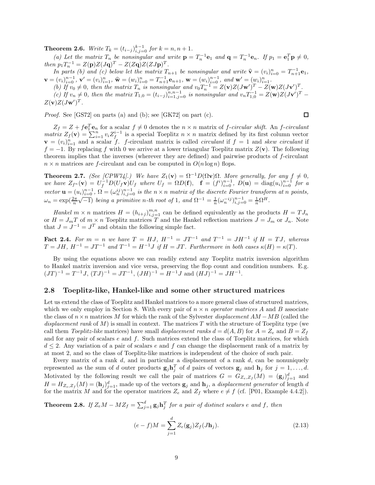**Theorem 2.6.** *Write*  $T_k = (t_{i-j})_{i,j=0}^{k-1}$  *for*  $k = n, n + 1$ *.* 

(a) Let the matrix  $T_n$  be nonsingular and write  $\mathbf{p} = T_n^{-1} \mathbf{e}_1$  and  $\mathbf{q} = T_n^{-1} \mathbf{e}_n$ . If  $p_1 = \mathbf{e}_1^T \mathbf{p} \neq 0$ , *then*  $p_1 T_n^{-1} = Z(p)Z(Jq)^T - Z(Zq)Z(ZJp)^T$ .

In parts (b) and (c) below let the matrix  $T_{n+1}$  be nonsingular and write  $\hat{\mathbf{v}} = (v_i)_{i=1}^n$ <br>  $\mathbf{v} = (v_i)_{i=0}^{n-1}$ ,  $\mathbf{v}' = (v_i)_{i=1}^n$ ,  $\hat{\mathbf{w}} = (w_i)_{i=0}^n = T_{n+1}^{-1} \mathbf{e}_{n+1}$ ,  $\mathbf{w} = (w_i)^{n-1}$ , and  $\mathbf{w$ *In parts (b) and (c) below let the matrix*  $T_{n+1}$  *be nonsingular and write*  $\hat{\mathbf{v}} = (v_i)_{i=0}^n = T_{n+1}^{-1} \mathbf{e}_1$ ,

(b) If  $v_0 \neq 0$ , then the matrix  $T_n$  is nonsingular and  $v_0 T_n^{-1} = Z(\mathbf{v})Z(J\mathbf{w}')^T - Z(\mathbf{w})Z(J\mathbf{v}')^T$ . (c) If  $v_n \neq 0$ , then the matrix  $T_{1,0} = (t_{i-j})_{i=1,j=0}^{n,n-1}$  is nonsingular and  $v_n T_{1,0}^{-1} = Z(\mathbf{w})Z(J\mathbf{v}')^T$  $Z(\mathbf{v})Z(J\mathbf{w}')^T$ .

*Proof.* See [GS72] on parts (a) and (b); see [GK72] on part (c).

$$
\qquad \qquad \Box
$$

 $Z_f = Z + f\mathbf{e}_1^T\mathbf{e}_n$  for a scalar  $f \neq 0$  denotes the  $n \times n$  matrix of *f*-*circular shift*. An *f*-*circulant matrix*  $Z_f(\mathbf{v}) = \sum_{i=1}^n v_i Z_f^{i-1}$  is a special Toeplitz  $n \times n$  matrix defined by its first column vector  $\mathbf{v} = (v_i)_{i=1}^n$  and a scalar *f*. *f*-circulant matrix is called *circulant* if  $f = 1$  and *skew circulant* if  $f = -1$ . By replacing f with 0 we arrive at a lower triangular Toeplitz matrix  $Z(\mathbf{v})$ . The following theorem implies that the inverses (wherever they are defined) and pairwise products of *f*-circulant  $n \times n$  matrices are *f*-circulant and can be computed in  $O(n \log n)$  flops.

**Theorem 2.7.** *(See [CPW74].)* We have  $Z_1(\mathbf{v}) = \Omega^{-1}D(\Omega \mathbf{v})\Omega$ *. More generally, for any*  $f \neq 0$ *,* we have  $Z_{f^n}(\mathbf{v}) = U_f^{-1} D(U_f \mathbf{v}) U_f$  where  $U_f = \Omega D(\mathbf{f}), \quad \mathbf{f} = (f^i)_{i=0}^{n-1}, D(\mathbf{u}) = \text{diag}(u_i)_{i=0}^{n-1}$  for a vector  $\mathbf{u} = (u_i)_{i=0}^{n-1}$ ,  $\Omega = (\omega_n^{ij})_{i,j=0}^{n-1}$  is the  $n \times n$  matrix of the discrete Fourier transform at n points,  $\omega_n = \exp(\frac{2\pi}{n}\sqrt{-1})$  *being a primitive n-th root of* 1*, and*  $\Omega^{-1} = \frac{1}{n}(\omega_n^{-ij})_{i,j=0}^{n-1} = \frac{1}{n}\Omega^H$ .

*Hankel*  $m \times n$  matrices  $H = (h_{i+j})_{i,j=1}^{m,n}$  can be defined equivalently as the products  $H = T J_n$ or  $H = J_m T$  of  $m \times n$  Toeplitz matrices T and the Hankel reflection matrices  $J = J_m$  or  $J_n$ . Note that  $J = J^{-1} = J^T$  and obtain the following simple fact.

**Fact 2.4.** For  $m = n$  we have  $T = HJ$ ,  $H^{-1} = JT^{-1}$  and  $T^{-1} = JH^{-1}$  if  $H = TJ$ , whereas  $T = JH$ ,  $H^{-1} = JT^{-1}$  *and*  $T^{-1} = H^{-1}J$  *if*  $H = JT$ . Furthermore in both cases  $\kappa(H) = \kappa(T)$ .

By using the equations above we can readily extend any Toeplitz matrix inversion algorithm to Hankel matrix inversion and vice versa, preserving the flop count and condition numbers. E.g.  $(JT)^{-1} = T^{-1}J$ ,  $(TJ)^{-1} = JT^{-1}$ ,  $(JH)^{-1} = H^{-1}J$  and  $(HJ)^{-1} = JH^{-1}$ .

#### **2.8 Toeplitz-like, Hankel-like and some other structured matrices**

Let us extend the class of Toeplitz and Hankel matrices to a more general class of structured matrices, which we only employ in Section 8. With every pair of  $n \times n$  *operator matrices* A and B associate the class of *n*×*n* matrices *M* for which the rank of the Sylvester *displacement AM* −*MB* (called the *displacement rank* of *M*) is small in context. The matrices *T* with the structure of Toeplitz type (we call them *Toeplitz-like* matrices) have small *displacement ranks*  $d = d(A, B)$  for  $A = Z_e$  and  $B = Z_f$ and for any pair of scalars *e* and *f*. Such matrices extend the class of Toeplitz matrices, for which *d* ≤ 2. Any variation of a pair of scalars *e* and *f* can change the displacement rank of a matrix by at most 2, and so the class of Toeplitz-like matrices is independent of the choice of such pair.

Every matrix of a rank *d*, and in particular a displacement of a rank *d*, can be nonuniquely represented as the sum of *d* outer products  $\mathbf{g}_j \mathbf{h}_j^T$  of *d* pairs of vectors  $\mathbf{g}_j$  and  $\mathbf{h}_j$  for  $j = 1, \ldots, d$ . Motivated by the following result we call the pair of matrices  $G = G_{Z_e, Z_f}(M) = (\mathbf{g}_j)_{j=1}^d$  and  $H = H_{Z_e, Z_f}(M) = (\mathbf{h}_j)_{j=1}^d$ , made up of the vectors  $\mathbf{g}_j$  and  $\mathbf{h}_j$ , a *displacement generator* of length *d* for the matrix *M* and for the operator matrices  $Z_e$  and  $Z_f$  where  $e \neq f$  (cf. [P01, Example 4.4.2]).

**Theorem 2.8.** If  $Z_eM - MZ_f = \sum_{j=1}^d g_j \mathbf{h}_j^T$  for a pair of distinct scalars  $e$  and  $f$ , then

$$
(e - f)M = \sum_{j=1}^{d} Z_e(\mathbf{g}_j) Z_f(J\mathbf{h}_j).
$$
\n(2.13)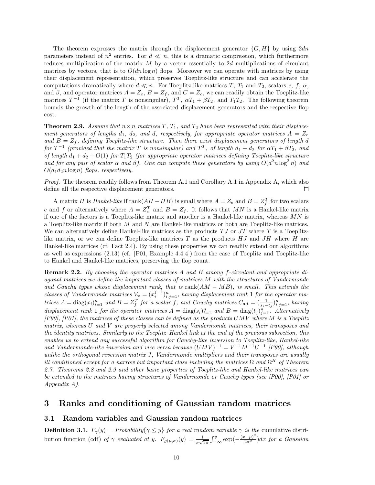The theorem expresses the matrix through the displacement generator {*G, H*} by using 2*dn* parameters instead of  $n^2$  entries. For  $d \ll n$ , this is a dramatic compression, which furthermore reduces multiplication of the matrix *M* by a vector essentially to 2*d* multiplications of circulant matrices by vectors, that is to  $O(dn \log n)$  flops. Moreover we can operate with matrices by using their displacement representation, which preserves Toeplitz-like structure and can accelerate the computations dramatically where  $d \ll n$ . For Toeplitz-like matrices *T*, *T*<sub>1</sub> and *T*<sub>2</sub>, scalars *e*, *f*,  $\alpha$ , and  $\beta$ , and operator matrices  $A = Z_e$ ,  $B = Z_f$ , and  $C = Z_c$ , we can readily obtain the Toeplitz-like matrices  $T^{-1}$  (if the matrix *T* is nonsingular),  $T^T$ ,  $\alpha T_1 + \beta T_2$ , and  $T_1 T_2$ . The following theorem bounds the growth of the length of the associated displacement generators and the respective flop cost.

**Theorem 2.9.** *Assume that*  $n \times n$  *matrices*  $T$ *,*  $T_1$ *, and*  $T_2$  *have been represented with their displacement generators of lengths*  $d_1$ ,  $d_2$ , and  $d$ , respectively, for appropriate operator matrices  $A = Z_e$ and  $B = Z_f$ , defining Toeplitz-like structure. Then there exist displacement generators of length *d for*  $T^{-1}$  *(provided that the matrix T is nonsingular) and*  $T^T$ *, of length*  $d_1 + d_2$  *for*  $\alpha T_1 + \beta T_2$ *, and of length*  $d_1 + d_2 + O(1)$  *for*  $T_1T_2$  *(for appropriate operator matrices defining Toeplitz-like structure* and for any pair of scalar  $\alpha$  and  $\beta$ ). One can compute these generators by using  $O(d^2n \log^2 n)$  and  $O(d_1d_2n \log n)$  *flops, respectively.* 

*Proof.* The theorem readily follows from Theorem A.1 and Corollary A.1 in Appendix A, which also define all the respective displacement generators. 囗

A matrix *H* is *Hankel-like* if  $\text{rank}(AH - HB)$  is small where  $A = Z_e$  and  $B = Z_f^T$  for two scalars *e* and *f* or alternatively where  $A = Z_e^T$  and  $B = Z_f$ . It follows that *MN* is a Hankel-like matrix if one of the factors is a Toeplitz-like matrix and another is a Hankel-like matrix, whereas *MN* is a Toeplitz-like matrix if both *M* and *N* are Hankel-like matrices or both are Toeplitz-like matrices. We can alternatively define Hankel-like matrices as the products *T J* or *JT* where *T* is a Toeplitzlike matrix, or we can define Toeplitz-like matrices *T* as the products *HJ* and *JH* where *H* are Hankel-like matrices (cf. Fact 2.4). By using these properties we can readily extend our algorithms as well as expressions (2.13) (cf. [P01, Example 4.4.4]) from the case of Toeplitz and Toeplitz-like to Hankel and Hankel-like matrices, preserving the flop count.

**Remark 2.2.** *By choosing the operator matrices A and B among f-circulant and appropriate diagonal matrices we define the important classes of matrices M with the structures of Vandermonde and Cauchy types whose displacement rank, that is* rank(*AM* − *MB*)*, is small. This extends the classes of Vandermonde matrices*  $V_x = (x_i^{j-1})_{i,j=1}^n$ , having displacement rank 1 for the operator matrices  $A = diag(x_i)_{i=1}^n$  and  $B = Z_f^T$  for a scalar f, and Cauchy matrices  $C_{s,t} = (\frac{1}{s_i - t_j})_{i,j=1}^n$ , having *displacement rank* 1 *for the operator matrices*  $A = \text{diag}(s_i)_{i=1}^n$  *and*  $B = \text{diag}(t_j)_{j=1}^n$ . Alternatively *[P90], [P01], the matrices of these classes can be defined as the products UMV where M is a Toeplitz matrix, whereas U and V are properly selected among Vandermonde matrices, their transposes and the identity matrices. Similarly to the Toeplitz–Hankel link at the end of the previous subsection, this enables us to extend any successful algorithm for Cauchy-like inversion to Toeplitz-like, Hankel-like and Vandermonde-like inversion and vice versa because*  $(UMV)^{-1} = V^{-1}M^{-1}U^{-1}$  *[P90], although unlike the orthogonal reversion matrix J, Vandermonde multipliers and their transposes are usually ill conditioned except for a narrow but important class including the matrices*  $\Omega$  *and*  $\Omega$ <sup>*H*</sup> *of Theorem 2.7. Theorems 2.8 and 2.9 and other basic properties of Toeplitz-like and Hankel-like matrices can be extended to the matrices having structures of Vandermonde or Cauchy types (see [P00], [P01] or Appendix A).*

## **3 Ranks and conditioning of Gaussian random matrices**

#### **3.1 Random variables and Gaussian random matrices**

**Definition 3.1.**  $F_\gamma(y) = \text{Probability}\{\gamma \leq y\}$  *for a real random variable*  $\gamma$  *is the* cumulative distribution function (cdf) of  $\gamma$  evaluated at y.  $F_{g(\mu,\sigma)}(y) = \frac{1}{\sigma\sqrt{2\pi}} \int_{-\infty}^{y} \exp(-\frac{(x-\mu)^2}{2\sigma^2}) dx$  for a Gaussian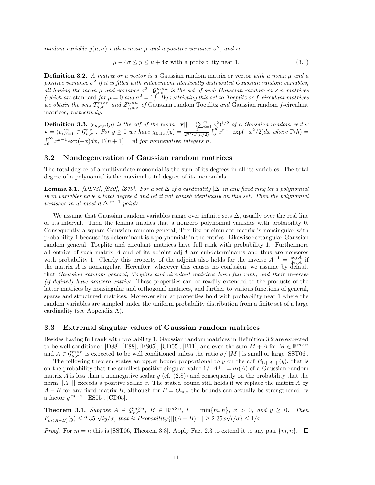*random variable*  $q(\mu, \sigma)$  *with* a mean  $\mu$  and a positive variance  $\sigma^2$ , and so

$$
\mu - 4\sigma \le y \le \mu + 4\sigma \text{ with a probability near 1.} \tag{3.1}
$$

**Definition 3.2.** *A matrix or a vector is a* Gaussian random matrix or vector *with a mean µ and a positive variance*  $\sigma^2$  *if it is filled with independent identically distributed Gaussian random variables, all having the mean*  $\mu$  *and variance*  $\sigma^2$ *.*  $\mathcal{G}_{\mu,\sigma}^{m\times n}$  *is the set of such Gaussian random*  $m \times n$  *matrices (which are* standard *for*  $\mu = 0$  *and*  $\sigma^2 = 1$ *). By restricting this set to Toeplitz or f-circulant matrices we obtain the sets*  $T_{\mu,\sigma}^{m\times n}$  *and*  $\mathcal{Z}_{f,\mu,\sigma}^{n\times n}$  *of* Gaussian random Toeplitz *and* Gaussian random *f*-circulant matrices*, respectively.*

**Definition 3.3.**  $\chi_{\mu,\sigma,n}(y)$  *is the cdf of the norm*  $||\mathbf{v}|| = \left(\sum_{i=1}^{n} v_i^2\right)^{1/2}$  *of a Gaussian random vector*  $\mathbf{v} = (v_i)_{i=1}^n \in \mathcal{G}_{\mu,\sigma}^{n \times 1}$ . For  $y \ge 0$  we have  $\chi_{0,1,n}(y) = \frac{y_i}{2^{n/2} \Gamma(n/2)} \int_0^y x^{n-1} \exp(-x^2/2) dx$  where  $\Gamma(h) =$  $\int_0^\infty x^{h-1} \exp(-x) dx$ ,  $\Gamma(n+1) = n!$  *for nonnegative integers n.* 

### **3.2 Nondegeneration of Gaussian random matrices**

The total degree of a multivariate monomial is the sum of its degrees in all its variables. The total degree of a polynomial is the maximal total degree of its monomials.

**Lemma 3.1.** *[DL78], [S80], [Z79]. For a set* ∆ *of a cardinality*  $|\Delta|$  *in any fixed ring let a polynomial in m variables have a total degree d and let it not vanish identically on this set. Then the polynomial vanishes in at most*  $d|\Delta|^{m-1}$  *points.* 

We assume that Gaussian random variables range over infinite sets  $\Delta$ , usually over the real line or its interval. Then the lemma implies that a nonzero polynomial vanishes with probability 0. Consequently a square Gaussian random general, Toeplitz or circulant matrix is nonsingular with probability 1 because its determinant is a polynomials in the entries. Likewise rectangular Gaussian random general, Toeplitz and circulant matrices have full rank with probability 1. Furthermore all entries of such matrix *A* and of its adjoint adj*A* are subdeterminants and thus are nonzeros with probability 1. Clearly this property of the adjoint also holds for the inverse  $A^{-1} = \frac{\text{adj } A}{\text{det } A}$  if the matrix *A* is nonsingular. Hereafter, wherever this causes no confusion, we assume by default that *Gaussian random general, Toeplitz and circulant matrices have full rank, and their inverses (if defined) have nonzero entries*. These properties can be readily extended to the products of the latter matrices by nonsingular and orthogonal matrices, and further to various functions of general, sparse and structured matrices. Moreover similar properties hold with probability near 1 where the random variables are sampled under the uniform probability distribution from a finite set of a large cardinality (see Appendix A).

#### **3.3 Extremal singular values of Gaussian random matrices**

Besides having full rank with probability 1, Gaussian random matrices in Definition 3.2 are expected to be well conditioned [D88], [E88], [ES05], [CD05], [B11], and even the sum  $M + A$  for  $M \in \mathbb{R}^{m \times n}$ and  $A \in \mathcal{G}_{\mu,\sigma}^{m \times n}$  is expected to be well conditioned unless the ratio  $\sigma/||M||$  is small or large [SST06].

The following theorem states an upper bound proportional to *y* on the cdf  $F_{1/||A^+||}(y)$ , that is on the probability that the smallest positive singular value  $1/||A^+|| = \sigma_l(A)$  of a Gaussian random matrix *A* is less than a nonnegative scalar *y* (cf.  $(2.8)$ ) and consequently on the probability that the norm  $||A^+||$  exceeds a positive scalar *x*. The stated bound still holds if we replace the matrix *A* by *A* − *B* for any fixed matrix *B*, although for  $B = O_{m,n}$  the bounds can actually be strengthened by a factor  $y^{|m-n|}$  [ES05], [CD05].

**Theorem 3.1.** Suppose  $A \in \mathcal{G}_{\mu,\sigma}^{m \times n}$ ,  $B \in \mathbb{R}^{m \times n}$ ,  $l = \min\{m,n\}$ ,  $x > 0$ , and  $y \ge 0$ . Then  $F_{\sigma_l(A-B)}(y) \le 2.35 \sqrt{l}y/\sigma$ , that is Probability $\{||(A-B)^+|| \ge 2.35x\sqrt{l}/\sigma\} \le 1/x$ .  $l/\sigma\} \leq 1/x$ *.* 

*Proof.* For  $m = n$  this is [SST06, Theorem 3.3]. Apply Fact 2.3 to extend it to any pair  $\{m, n\}$ .  $\Box$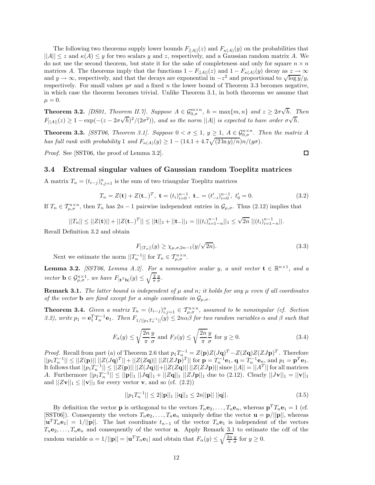The following two theorems supply lower bounds  $F_{\vert A \vert \vert}(z)$  and  $F_{\kappa(A)}(y)$  on the probabilities that  $||A|| \leq z$  and  $\kappa(A) \leq y$  for two scalars y and z, respectively, and a Gaussian random matrix A. We do not use the second theorem, but state it for the sake of completeness and only for square  $n \times n$ matrices *A*. The theorems imply that the functions  $1 - F_{\vert A \vert \vert}(z)$  and  $1 - F_{\kappa(A)}(y)$  decay as  $z \to \infty$ and  $y \to \infty$ , respectively, and that the decays are exponential in  $-z^2$  and proportional to  $\sqrt{\log y}/y$ , respectively. For small values  $y\sigma$  and a fixed *n* the lower bound of Theorem 3.3 becomes negative, in which case the theorem becomes trivial. Unlike Theorem 3.1, in both theorems we assume that  $\mu = 0.$ 

**Theorem 3.2.** *[DS01, Theorem II.7]. Suppose*  $A \in \mathcal{G}_{0,\sigma}^{m \times n}$ ,  $h = \max\{m,n\}$  and  $z \geq 2\sigma\sqrt{n}$ *h. Then F*<sub>||*A*||(*z*) ≥ 1 − exp(−(*z* − 2*σ* $\sqrt{h}$ )<sup>2</sup>/(2*σ*<sup>2</sup>)), and so the norm ||*A*|| *is expected to have order*  $\sigma \sqrt{h}$ *.*</sub>

**Theorem 3.3.** *[SST06, Theorem 3.1]. Suppose*  $0 < \sigma \leq 1$ ,  $y \geq 1$ ,  $A \in \mathcal{G}_{0,\sigma}^{n \times n}$ . Then the matrix A *has full rank with probability* 1 *and*  $F_{\kappa(A)}(y) \geq 1 - (14.1 + 4.7\sqrt{(2 \ln y)/n})n/(y\sigma)$ .

*Proof.* See [SST06, the proof of Lemma 3.2].

口

#### **3.4 Extremal singular values of Gaussian random Toeplitz matrices**

A matrix  $T_n = (t_{i-j})_{i,j=1}^n$  is the sum of two triangular Toeplitz matrices

$$
T_n = Z(\mathbf{t}) + Z(\mathbf{t})^T, \ \mathbf{t} = (t_i)_{i=0}^{n-1}, \ \mathbf{t} = (t'_{-i})_{i=0}^{n-1}, \ t'_0 = 0. \tag{3.2}
$$

If  $T_n \in T_{\mu,\sigma}^{n \times n}$ , then  $T_n$  has  $2n-1$  pairwise independent entries in  $\mathcal{G}_{\mu,\sigma}$ . Thus (2.12) implies that

$$
||T_n|| \le ||Z(\mathbf{t})|| + ||Z(\mathbf{t})|| \le ||\mathbf{t}||_1 + ||\mathbf{t}||_1 = ||(t_i)_{i=1-n}^{n-1}||_1 \le \sqrt{2n} ||(t_i)_{i=1-n}^{n-1}||.
$$

Recall Definition 3.2 and obtain

$$
F_{||T_n||}(y) \ge \chi_{\mu,\sigma,2n-1}(y/\sqrt{2n}).
$$
\n(3.3)

Next we estimate the norm  $||T_n^{-1}||$  for  $T_n \in T_{\mu,\sigma}^{n \times n}$ .

**Lemma 3.2.** *[SST06, Lemma A.2]. For a nonnegative scalar y, a unit vector*  $\mathbf{t} \in \mathbb{R}^{n \times 1}$ *, and a vector*  $\mathbf{b} \in \mathcal{G}_{\mu,\sigma}^{n\times 1}$ , we have  $F_{|\mathbf{t}^T\mathbf{b}|}(y) \leq \sqrt{\frac{2}{\pi}} \frac{y}{\sigma}$ .

**Remark 3.1.** *The latter bound is independent of*  $\mu$  *and*  $n$ *; it holds for any*  $\mu$  *even if all coordinates of the vector* **b** *are fixed except for a single coordinate in*  $\mathcal{G}_{\mu,\sigma}$ *.* 

**Theorem 3.4.** *Given a matrix*  $T_n = (t_{i-j})_{i,j=1}^n \in \mathcal{T}_{\mu,\sigma}^{n \times n}$ , assumed to be nonsingular (cf. Section 3.2), write  $p_1 = \mathbf{e}_1^T T_n^{-1} \mathbf{e}_1$ . Then  $F_{1/||p_1T_n^{-1}||}(y) \le 2n\alpha\beta$  for two random variables  $\alpha$  and  $\beta$  such that

$$
F_{\alpha}(y) \le \sqrt{\frac{2n}{\pi}} \frac{y}{\sigma} \text{ and } F_{\beta}(y) \le \sqrt{\frac{2n}{\pi}} \frac{y}{\sigma} \text{ for } y \ge 0.
$$
 (3.4)

*Proof.* Recall from part (a) of Theorem 2.6 that  $p_1T_{n_m}^{-1} = Z(\mathbf{p})Z(J\mathbf{q})^T - Z(Z\mathbf{q})Z(ZJ\mathbf{p})^T$ . Therefore  $||p_1T_n^{-1}|| \leq ||Z(\mathbf{p})|| \cdot ||Z(J\mathbf{q})^T|| + ||Z(Z\mathbf{q})|| ||Z(ZJ\mathbf{p})^T||$  for  $\mathbf{p} = T_n^{-1}\mathbf{e}_1, \mathbf{q} = T_n^{-1}\mathbf{e}_n$ , and  $p_1 = \mathbf{p}^T\mathbf{e}_1$ . It follows that  $||p_1T_n^{-1}|| \leq ||Z(\mathbf{p})|| \, ||Z(J\mathbf{q})|| + ||Z(Z\mathbf{q})|| \, ||Z(ZJ\mathbf{p})||$  since  $||A|| = ||A^T||$  for all matrices *A*. Furthermore  $||p_1T_n^{-1}|| \le ||\mathbf{p}||_1 ||J\mathbf{q}||_1 + ||Z\mathbf{q}||_1 ||ZJ\mathbf{p}||_1$  due to (2.12). Clearly  $||J\mathbf{v}||_1 = ||\mathbf{v}||_1$ and  $||Z\mathbf{v}||_1 \le ||\mathbf{v}||_1$  for every vector **v**, and so (cf. (2.2))

$$
||p_1 T_n^{-1}|| \le 2||\mathbf{p}||_1 ||\mathbf{q}||_1 \le 2n||\mathbf{p}|| ||\mathbf{q}||. \tag{3.5}
$$

By definition the vector **p** is orthogonal to the vectors  $T_n \mathbf{e}_2, \ldots, T_n \mathbf{e}_n$ , whereas  $\mathbf{p}^T T_n \mathbf{e}_1 = 1$  (cf.  $[\text{SST06}]$ . Consequenty the vectors  $T_n \mathbf{e}_2, \ldots, T_n \mathbf{e}_n$  uniquely define the vector  $\mathbf{u} = \mathbf{p}/||\mathbf{p}||$ , whereas  $|\mathbf{u}^T T_n \mathbf{e}_1| = 1/||\mathbf{p}||$ . The last coordinate  $t_{n-1}$  of the vector  $T_n \mathbf{e}_1$  is independent of the vectors  $T_n$ **e**<sub>2</sub>,..., $T_n$ **e**<sub>n</sub> and consequently of the vector **u**. Apply Remark 3.1 to estimate the cdf of the random variable  $\alpha = 1/||\mathbf{p}|| = |\mathbf{u}^T T_n \mathbf{e}_1|$  and obtain that  $F_\alpha(y) \le \sqrt{\frac{2n}{\pi}} \frac{y}{\sigma}$  for  $y \ge 0$ .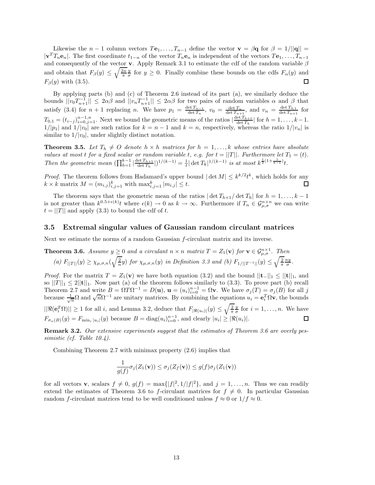Likewise the *n* − 1 column vectors  $T_1, \ldots, T_{n-1}$  define the vector  $\mathbf{v} = \beta \mathbf{q}$  for  $\beta = 1/||\mathbf{q}|| =$  $|\mathbf{v}^T T_n \mathbf{e}_n|$ . The first coordinate  $t_{1-n}$  of the vector  $T_n \mathbf{e}_n$  is independent of the vectors  $T \mathbf{e}_1, \ldots, T_{n-1}$ and consequently of the vector **v**. Apply Remark 3.1 to estimate the cdf of the random variable *β* and obtain that  $F_\beta(y) \leq \sqrt{\frac{2n}{\pi}} \frac{y}{\sigma}$  for  $y \geq 0$ . Finally combine these bounds on the cdfs  $F_\alpha(y)$  and  $F<sub>β</sub>(y)$  with (3.5). ◻

By applying parts (b) and (c) of Theorem 2.6 instead of its part (a), we similarly deduce the bounds  $||v_0T_{n+1}^{-1}|| \leq 2\alpha\beta$  and  $||v_nT_{n+1}^{-1}|| \leq 2\alpha\beta$  for two pairs of random variables  $\alpha$  and  $\beta$  that satisfy (3.4) for  $n + 1$  replacing n. We have  $p_1 = \frac{\det T_{n-1}}{\det T_n}$ ,  $v_0 = \frac{\det T_n}{\det T_{n+1}}$ , and  $v_n = \frac{\det T_{0,1}}{\det T_{n+1}}$  for  $T_{0,1} = (t_{i-j})_{i=0,j=1}^{n-1,n}$ . Next we bound the geometric means of the ratios  $\left|\frac{\det T_{h+1}}{\det T_h}\right|$  for  $h = 1, \ldots, k-1$ .  $1/|p_1|$  and  $1/|v_0|$  are such ratios for  $k = n - 1$  and  $k = n$ , respectively, whereas the ratio  $1/|v_n|$  is similar to  $1/|v_0|$ , under slightly distinct notation.

**Theorem 3.5.** Let  $T_h \neq O$  denote  $h \times h$  matrices for  $h = 1, \ldots, k$  whose entries have absolute *values at most t for a fixed scalar or random variable t*, *e.g. for*  $t = ||T||$ *. Furthermore let*  $T_1 = (t)$ *.* Then the geometric mean  $(\prod_{h=1}^{k-1} |\frac{\det T_{h+1}}{\det T_h}|)^{1/(k-1)} = \frac{1}{t} |\det T_k|^{1/(k-1)}$  is at most  $k^{\frac{1}{2}(1+\frac{1}{k-1})}t$ .

*Proof.* The theorem follows from Hadamard's upper bound  $|\det M| \leq k^{k/2}t^k$ , which holds for any  $k \times k$  matrix  $M = (m_{i,j})_{i,j=1}^k$  with  $\max_{i,j=1}^k |m_{i,j}| \leq t$ . □

The theorem says that the geometric mean of the ratios  $|\det T_{h+1}/\det T_h|$  for  $h = 1, \ldots, k - 1$ is not greater than  $k^{0.5+\epsilon(k)}$  where  $\epsilon(k) \to 0$  as  $k \to \infty$ . Furthermore if  $T_n \in \mathcal{G}_{\mu,\sigma}^{n \times n}$  we can write  $t = ||T||$  and apply (3.3) to bound the cdf of *t*.

#### **3.5 Extremal singular values of Gaussian random circulant matrices**

Next we estimate the norms of a random Gaussian *f*-circulant matrix and its inverse.

**Theorem 3.6.** Assume 
$$
y \ge 0
$$
 and a circular  $n \times n$  matrix  $T = Z_1(\mathbf{v})$  for  $\mathbf{v} \in \mathcal{G}_{\mu,\sigma}^{n \times 1}$ . Then  
\n(a)  $F_{||T||}(y) \ge \chi_{\mu,\sigma,n}(\sqrt{\frac{2}{n}}y)$  for  $\chi_{\mu,\sigma,n}(y)$  in Definition 3.3 and (b)  $F_{1/||T^{-1}||}(y) \le \sqrt{\frac{2}{\pi}} \frac{ny}{\sigma}$ .

*Proof.* For the matrix  $T = Z_1(\mathbf{v})$  we have both equation (3.2) and the bound  $||\mathbf{t}−||_1 \leq ||\mathbf{t}||_1$ , and so  $||T||_1 \leq 2||\mathbf{t}||_1$ . Now part (a) of the theorem follows similarly to (3.3). To prove part (b) recall Theorem 2.7 and write  $B = \Omega T \Omega^{-1} = D(\mathbf{u}), \mathbf{u} = (u_i)_{i=0}^{n-1} = \Omega \mathbf{v}$ . We have  $\sigma_j(T) = \sigma_j(B)$  for all *j* because  $\frac{1}{\sqrt{n}}\Omega$  and  $\sqrt{n}\Omega^{-1}$  are unitary matrices. By combining the equations  $u_i = \mathbf{e}_i^T \Omega \mathbf{v}$ , the bounds  $||\Re(\mathbf{e}_i^T \Omega)|| \ge 1$  for all *i*, and Lemma 3.2, deduce that  $F_{|\Re(u_i)|}(y) \le \sqrt{\frac{2}{\pi}} \frac{y}{\sigma}$  for  $i = 1, \ldots, n$ . We have  $F_{\sigma_n(B)}(y) = F_{\min_i |u_i|}(y)$  because  $B = \text{diag}(u_i)_{i=0}^{n-1}$ , and clearly  $|u_i| \geq |\Re(u_i)|$ . 口

**Remark 3.2.** *Our extensive experiments suggest that the estimates of Theorem 3.6 are overly pessimistic (cf. Table 10.4).*

Combining Theorem 2.7 with minimax property (2.6) implies that

$$
\frac{1}{g(f)}\sigma_j(Z_1(\mathbf{v})) \le \sigma_j(Z_f(\mathbf{v})) \le g(f)\sigma_j(Z_1(\mathbf{v}))
$$

for all vectors **v**, scalars  $f \neq 0$ ,  $g(f) = \max\{|f|^2, 1/|f|^2\}$ , and  $j = 1, ..., n$ . Thus we can readily extend the estimates of Theorem 3.6 to *f*-circulant matrices for  $f \neq 0$ . In particular Gaussian random *f*-circulant matrices tend to be well conditioned unless  $f \approx 0$  or  $1/f \approx 0$ .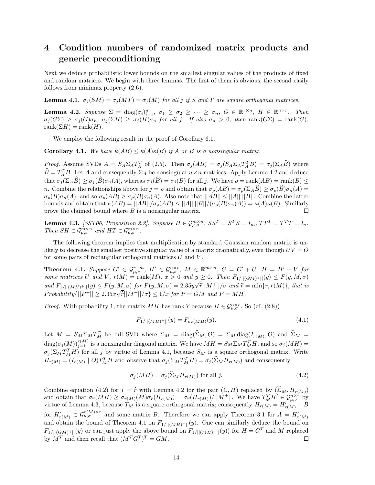# **4 Condition numbers of randomized matrix products and generic preconditioning**

Next we deduce probabilistic lower bounds on the smallest singular values of the products of fixed and random matrices. We begin with three lemmas. The first of them is obvious, the second easily follows from minimax property (2.6).

**Lemma 4.1.**  $\sigma_j(SM) = \sigma_j(MT) = \sigma_j(M)$  *for all j if S and T* are square orthogonal matrices.

**Lemma 4.2.** Suppose  $\Sigma = \text{diag}(\sigma_i)_{i=1}^n$ ,  $\sigma_1 \ge \sigma_2 \ge \cdots \ge \sigma_n$ ,  $G \in \mathbb{R}^{r \times n}$ ,  $H \in \mathbb{R}^{n \times r}$ . Then  $\sigma_i(G\Sigma) \geq \sigma_i(G)\sigma_n$ ,  $\sigma_i(\Sigma H) \geq \sigma_i(H)\sigma_n$  for all j. If also  $\sigma_n > 0$ , then rank $(G\Sigma) = \text{rank}(G)$ ,  $rank(\Sigma H) = rank(H)$ .

We employ the following result in the proof of Corollary 6.1.

**Corollary 4.1.** We have  $\kappa(AB) \leq \kappa(A)\kappa(B)$  if A or B is a nonsingular matrix.

*Proof.* Assume SVDs  $A = S_A \Sigma_A T_A^T$  of (2.5). Then  $\sigma_j(AB) = \sigma_j(S_A \Sigma_A T_A^T B) = \sigma_j(\Sigma_A \widehat{B})$  where  $\widehat{B} = T_A^T B$ . Let *A* and consequently  $\Sigma_A$  be nonsingular  $n \times n$  matrices. Apply Lemma 4.2 and deduce that  $\sigma_j(\Sigma_A \widehat{B}) \geq \sigma_j(\widehat{B}) \sigma_n(A)$ , whereas  $\sigma_j(\widehat{B}) = \sigma_j(B)$  for all j. We have  $\rho = \text{rank}(AB) = \text{rank}(B) \leq$ *n*. Combine the relationships above for  $j = \rho$  and obtain that  $\sigma_{\rho}(AB) = \sigma_{\rho}(\Sigma_A \widehat{B}) \geq \sigma_{\rho}(\widehat{B}) \sigma_n(A) =$  $\sigma_{\rho}(B)\sigma_n(A)$ , and so  $\sigma_{\rho}(AB) \geq \sigma_{\rho}(B)\sigma_n(A)$ . Also note that  $||AB|| \leq ||A|| ||B||$ . Combine the latter bounds and obtain that  $\kappa(AB) = ||AB||/\sigma_{\rho}(AB) \leq ||A|| \, ||B||/(\sigma_{\rho}(B)\sigma_n(A)) = \kappa(A)\kappa(B)$ . Similarly prove the claimed bound where *B* is a nonsingular matrix. П

**Lemma 4.3.** [SST06, Proposition 2.2]. Suppose  $H \in \mathcal{G}_{\mu,\sigma}^{m \times n}$ ,  $SS^T = S^T S = I_m$ ,  $TT^T = T^T T = I_n$ . *Then*  $SH \in \mathcal{G}_{\mu,\sigma}^{m \times n}$  *and*  $HT \in \mathcal{G}_{\mu,\sigma}^{m \times n}$ *.* 

The following theorem implies that multiplication by standard Gaussian random matrix is unlikely to decrease the smallest positive singular value of a matrix dramatically, even though *UV* = *O* for some pairs of rectangular orthogonal matrices *U* and *V* .

**Theorem 4.1.** Suppose  $G' \in \mathcal{G}_{\mu,\sigma}^{r\times m}$ ,  $H' \in \mathcal{G}_{\mu,\sigma}^{n\times r}$ ,  $M \in \mathbb{R}^{m\times n}$ ,  $G = G' + U$ ,  $H = H' + V$  for some matrices U and V,  $r(M) = \text{rank}(M)$ ,  $x > 0$  and  $y \ge 0$ . Then  $F_{1/||(GM)^+||}(y) \le F(y, M, \sigma)$ and  $F_{1/||(MH)^+||}(y) \leq F(y, M, \sigma)$  for  $F(y, M, \sigma) = 2.35y\sqrt{\tilde{r}}||M^+||/\sigma$  and  $\hat{r} = \min\{r, r(M)\}\$ , that is  $Probability(||P^+|| \geq 2.35 \times \sqrt{\hat{r}}||M^+||/\sigma \} \leq 1/x$  *for*  $P = GM$  *and*  $P = MH$ *.* 

*Proof.* With probability 1, the matrix *MH* has rank  $\hat{r}$  because  $H \in \mathcal{G}_{\mu,\sigma}^{n\times r}$ . So (cf. (2.8))

$$
F_{1/||(MH)^{+}||}(y) = F_{\sigma_{\hat{r}}(MH)}(y). \tag{4.1}
$$

Let  $M = S_M \Sigma_M T_M^T$  be full SVD where  $\Sigma_M = \text{diag}(\Sigma_M, O) = \Sigma_M \text{diag}(I_{r(M)}, O)$  and  $\widehat{\Sigma}_M =$  $\frac{d}{d}$  diag $(\sigma_j(M))_{j=1}^{r(M)}$  is a nonsingular diagonal matrix. We have  $MH = S_M \Sigma_M T_M^T H$ , and so  $\sigma_j(MH) =$  $\sigma_j(\Sigma_M T_M^T H)$  for all *j* by virtue of Lemma 4.1, because  $S_M$  is a square orthogonal matrix. Write  $H_{r(M)} = (I_{r(M)} \mid O)T_M^T H$  and observe that  $\sigma_j(\Sigma_M T_M^T H) = \sigma_j(\Sigma_M H_{r(M)})$  and consequently

$$
\sigma_j(MH) = \sigma_j(\hat{\Sigma}_M H_{r(M)}) \text{ for all } j.
$$
\n(4.2)

Combine equation (4.2) for  $j = \hat{r}$  with Lemma 4.2 for the pair  $(\Sigma, H)$  replaced by  $(\widehat{\Sigma}_M, H_{r(M)})$ and obtain that  $\sigma_{\hat{r}}(MH) \geq \sigma_{r(M)}(M)\sigma_{\hat{r}}(H_{r(M)}) = \sigma_{\hat{r}}(H_{r(M)})/||M^+||$ . We have  $T_{M}^TH' \in \mathcal{G}_{\mu,\sigma}^{n \times r}$  by virtue of Lemma 4.3, because  $T_M$  is a square orthogonal matrix; consequently  $H_{r(M)} = H'_{r(M)} + B$ for  $H'_{r(M)} \in \mathcal{G}_{\mu,\sigma}^{r(M)\times r}$  and some matrix *B*. Therefore we can apply Theorem 3.1 for  $A = H'_{r(M)}$ and obtain the bound of Theorem 4.1 on  $F_{1/||(MH)^+||}(y)$ . One can similarly deduce the bound on  $F_{1/||(GM)+||}(y)$  or can just apply the above bound on  $F_{1/||(MH)+||}(y)$  for  $H = G^T$  and *M* replaced by  $M^T$  and then recall that  $(M^T G^T)^T = GM$ . by  $M^T$  and then recall that  $(M^T G^T)^T = GM$ .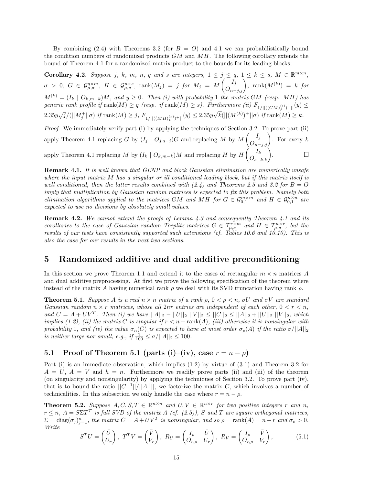By combining  $(2.4)$  with Theorems 3.2 (for  $B = O$ ) and 4.1 we can probabilistically bound the condition numbers of randomized products *GM* and *MH*. The following corollary extends the bound of Theorem 4.1 for a randomized matrix product to the bounds for its leading blocks.

**Corollary 4.2.** Suppose j, k, m, n, q and s are integers,  $1 \le j \le q$ ,  $1 \le k \le s$ ,  $M \in \mathbb{R}^{m \times n}$ ,  $\sigma\ >\ 0,\ \ G\ \in\ \mathcal G^{q\times m}_{\mu,\sigma},\ \ H\ \in\ \mathcal G^{n\times s}_{\mu,\sigma},\ \ \mathrm{rank}(M_j)\ =\ j\ \ for\ \ M_j\ =\ M\begin{pmatrix} I_j\ O_{n-j,j} \end{pmatrix},\ \ \mathrm{rank}(M^{(k)})\ =\ k\ \ for\$  $M^{(k)} = (I_k \mid O_{k,m-k})M$ , and  $y \geq 0$ . Then (i) with probability 1 *the matrix GM* (resp. MH) has  $generic$  rank profile if  $\text{rank}(M) \geq q$  (resp. if  $\text{rank}(M) \geq s$ ). Furthermore (ii)  $F_{1/||((GM)^{(j)}_j)+||}(y) \leq$  $2.35y\sqrt{j}/(||M_j^+||\sigma)$  if  $\mathrm{rank}(M) \geq j$ ,  $F_{1/||((MH)_k^{(k)})^+||}(y) \leq 2.35y\sqrt{k}(||(M^{(k)})^+||\sigma)$  if  $\mathrm{rank}(M) \geq k$ .

*Proof.* We immediately verify part (i) by applying the techniques of Section 3.2. To prove part (ii) apply Theorem 4.1 replacing *G* by  $(I_j \mid O_{j,q-j})$ *G* and replacing *M* by  $M\begin{pmatrix}I_j \ O_{n-j,j}\end{pmatrix}$ . For every *k* apply Theorem 4.1 replacing *M* by  $(I_k \mid O_{k,m-k})M$  and replacing *H* by  $H\left(O_{s-k,k}\right)$ .

**Remark 4.1.** *It is well known that GENP and block Gaussian elimination are numerically unsafe where the input matrix M has a singular or ill conditioned leading block, but if this matrix itself is well conditioned, then the latter results combined with*  $(2.4)$  *and Theorems 2.5 and 3.2 for*  $B = O$ *imply that multiplication by Gaussian random matrices is expected to fix this problem. Namely both elimination algorithms applied to the matrices GM and MH for*  $G \in \mathcal{G}_{0,1}^{m \times m}$  and  $H \in \mathcal{G}_{0,1}^{n \times n}$  are *expected to use no divisions by absolutely small values.*

**Remark 4.2.** *We cannot extend the proofs of Lemma 4.3 and consequently Theorem 4.1 and its corollaries to the case of Gaussian random Toeplitz matrices*  $G \in T_{\mu,\sigma}^{r \times m}$  *and*  $H \in T_{\mu,\sigma}^{n \times r}$ , but the *results of our tests have consistently supported such extensions (cf. Tables 10.6 and 10.10). This is also the case for our results in the next two sections.*

# **5 Randomized additive and dual additive preconditioning**

In this section we prove Theorem 1.1 and extend it to the cases of rectangular  $m \times n$  matrices *A* and dual additive preprocessing. At first we prove the following specification of the theorem where instead of the matrix *A* having numerical rank  $\rho$  we deal with its SVD truncation having rank  $\rho$ .

**Theorem 5.1.** *Suppose A is a real*  $n \times n$  *matrix of a rank*  $\rho$ ,  $0 \leq \rho \leq n$ ,  $\sigma U$  *and*  $\sigma V$  *are standard Gaussian random*  $n \times r$  *matrices, whose all*  $2nr$  *entries are independent of each other,*  $0 \leq r \leq n$ , *and*  $C = A + UV^T$ . Then (i) we have  $||A||_2 - ||U||_2 ||V||_2 \leq ||C||_2 \leq ||A||_2 + ||U||_2 ||V||_2$ , which *implies (1.2), (ii) the matrix*  $C$  *is singular if*  $r < n - \text{rank}(A)$ *, (iii) otherwise it is nonsingular with probability* 1*, and (iv) the value*  $\sigma_n(C)$  *is expected to have at most order*  $\sigma_\rho(A)$  *if the ratio*  $\sigma/||A||_2$ *is neither large nor small, e.g., if*  $\frac{1}{100} \le \sigma / ||A||_2 \le 100$ .

# **5.1 Proof of Theorem 5.1 (parts (i)–(iv), case**  $r = n - \rho$ )

Part (i) is an immediate observation, which implies (1.2) by virtue of (3.1) and Theorem 3.2 for  $A = U, A = V$  and  $h = n$ . Furthermore we readily prove parts (ii) and (iii) of the theorem (on singularity and nonsingularity) by applying the techniques of Section 3.2. To prove part (iv), that is to bound the ratio  $||C^{-1}||/||A^+||$ , we factorize the matrix *C*, which involves a number of technicalities. In this subsection we only handle the case where  $r = n - \rho$ .

**Theorem 5.2.** Suppose  $A, C, S, T \in \mathbb{R}^{n \times n}$  and  $U, V \in \mathbb{R}^{n \times r}$  for two positive integers r and n,  $r \leq n$ ,  $A = S\Sigma T^T$  *is full SVD of the matrix A (cf. (2.5))*, *S* and *T* are square orthogonal matrices,  $\Sigma = diag(\sigma_j)_{j=1}^n$ , the matrix  $C = A + UV^T$  is nonsingular, and so  $\rho = \text{rank}(A) = n - r$  and  $\sigma_\rho > 0$ . *Write*

$$
S^{T}U = \begin{pmatrix} \bar{U} \\ U_{r} \end{pmatrix}, T^{T}V = \begin{pmatrix} \bar{V} \\ V_{r} \end{pmatrix}, R_{U} = \begin{pmatrix} I_{\rho} & \bar{U} \\ O_{r,\rho} & U_{r} \end{pmatrix}, R_{V} = \begin{pmatrix} I_{\rho} & \bar{V} \\ O_{r,\rho} & V_{r} \end{pmatrix},
$$
(5.1)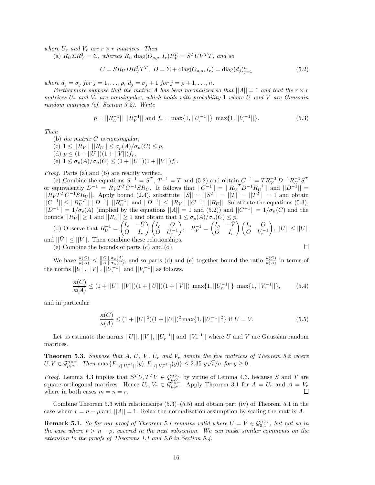*where*  $U_r$  *and*  $V_r$  *are*  $r \times r$  *matrices. Then* 

(a)  $R_U \Sigma R_V^T = \Sigma$ , whereas  $R_U \text{ diag}(O_{\rho,\rho}, I_r) R_V^T = S^T UV^T T$ , and so

$$
C = SR_U DR_V^T T^T, \ D = \Sigma + \text{diag}(O_{\rho,\rho}, I_r) = \text{diag}(d_j)_{j=1}^n
$$
\n(5.2)

*where*  $d_j = \sigma_j$  *for*  $j = 1, ..., \rho$ *,*  $d_j = \sigma_j + 1$  *for*  $j = \rho + 1, ..., n$ *.* 

*Furthermore suppose that the matrix A has been normalized so that*  $||A|| = 1$  *and that the*  $r \times r$ *matrices U<sup>r</sup> and V<sup>r</sup> are nonsingular, which holds with probability* 1 *where U and V are Gaussain random matrices (cf. Section 3.2). Write*

$$
p = ||R_U^{-1}|| \, ||R_V^{-1}|| \text{ and } f_r = \max\{1, ||U_r^{-1}||\} \, \max\{1, ||V_r^{-1}||\}. \tag{5.3}
$$

*Then*

(b) *the matrix C is nonsingular,*

 $(c)$  1  $\leq$   $||R_V||$   $||R_U|| \leq \sigma_p(A)/\sigma_n(C) \leq p$ , (d)  $p \leq (1 + ||U||)(1 + ||V||)f_r$ ,  $(e)$   $1 \leq \sigma_p(A)/\sigma_n(C) \leq (1+||U||)(1+||V||)f_r.$ 

*Proof.* Parts (a) and (b) are readily verified.

(c) Combine the equations  $S^{-1} = S^T$ ,  $T^{-1} = T$  and (5.2) and obtain  $C^{-1} = TR_V^{-T}D^{-1}R_U^{-1}S^T$ or equivalently  $D^{-1} = R_V T^T C^{-1} S R_U$ . It follows that  $||C^{-1}|| = ||R_V^{-T} D^{-1} R_U^{-1}||$  and  $||D^{-1}|| =$  $||R_V T^T C^{-1} S R_U||$ . Apply bound (2.4), substitute  $||S|| = ||S^T|| = ||T|| = ||T^T|| = 1$  and obtain  $||C^{-1}|| \leq ||R_V^{-T}|| \ ||D^{-1}|| \ ||R_U^{-1}||$  and  $||D^{-1}|| \leq ||R_V|| \ ||C^{-1}|| \ ||R_U||$ . Substitute the equations (5.3),  $||D^{-1}|| = 1/\sigma_p(A)$  (implied by the equations  $||A|| = 1$  and  $(5.2)$ ) and  $||C^{-1}|| = 1/\sigma_p(C)$  and the bounds  $||R_V|| \geq 1$  and  $||R_V|| \geq 1$  and obtain that  $1 \leq \sigma_p(A)/\sigma_n(C) \leq p$ .

(d) Observe that 
$$
R_U^{-1} = \begin{pmatrix} I_\rho & -\bar{U} \\ O & I_r \end{pmatrix} \begin{pmatrix} I_\rho & O \\ O & U_r^{-1} \end{pmatrix}
$$
,  $R_V^{-1} = \begin{pmatrix} I_\rho & -\bar{V} \\ O & I_r \end{pmatrix} \begin{pmatrix} I_\rho & O \\ O & V_r^{-1} \end{pmatrix}$ ,  $||\bar{U}|| \le ||U||$   
and  $||\bar{V}|| \le ||V||$ . Then combine these relationships.

(e) Combine the bounds of parts (c) and (d).

We have  $\frac{\kappa(C)}{\kappa(A)} \leq \frac{||C||}{||A||}$  $\frac{\sigma_p(A)}{\sigma_n(C)}$ , and so parts (d) and (e) together bound the ratio  $\frac{\kappa(C)}{\kappa(A)}$  in terms of the norms  $||U||, ||V||, ||U_r^{-1}||$  and  $||V_r^{-1}||$  as follows,

$$
\frac{\kappa(C)}{\kappa(A)} \le (1 + ||U|| \, ||V||)(1 + ||U||)(1 + ||V||) \, \max\{1, ||U_r^{-1}||\} \, \max\{1, ||V_r^{-1}||\},\tag{5.4}
$$

and in particular

$$
\frac{\kappa(C)}{\kappa(A)} \le (1 + ||U||^2)(1 + ||U||)^2 \max\{1, ||U_r^{-1}||^2\} \text{ if } U = V. \tag{5.5}
$$

Let us estimate the norms  $||U||, ||V||, ||U_r^{-1}||$  and  $||V_r^{-1}||$  where *U* and *V* are Gaussian random matrices.

**Theorem 5.3.** Suppose that  $A$ ,  $U$ ,  $V$ ,  $U_r$  and  $V_r$  denote the five matrices of Theorem 5.2 where **Theorem 5.5.** Suppose that A, U, V,  $V_r$  and  $V_r$  denote the five matrices<br> $U, V \in \mathcal{G}_{\mu,\sigma}^{n \times r}$ . Then  $\max\{F_{1/||U_r^{-1}||}(y), F_{1/||V_r^{-1}||}(y)\} \le 2.35 \ y\sqrt{r}/\sigma$  for  $y \ge 0$ .

*Proof.* Lemma 4.3 implies that  $S^T U, T^T V \in \mathcal{G}_{\mu,\sigma}^{n \times r}$  by virtue of Lemma 4.3, because *S* and *T* are square orthogonal matrices. Hence  $U_r, V_r \in \mathcal{G}_{\mu,\sigma}^{r \times r}$ . Apply Theorem 3.1 for  $A = U_r$  and  $A = V_r$ where in both cases  $m = n = r$ .

Combine Theorem 5.3 with relationships  $(5.3)$ – $(5.5)$  and obtain part (iv) of Theorem 5.1 in the case where  $r = n - \rho$  and  $||A|| = 1$ . Relax the normalization assumption by scaling the matrix *A*.

**Remark 5.1.** *So far our proof of Theorem 5.1 remains valid where*  $U = V \in \mathcal{G}_{0,1}^{n \times r}$ , but not so in *the case where*  $r > n - \rho$ , covered in the next subsection. We can make similar comments on the *extension to the proofs of Theorems 1.1 and 5.6 in Section 5.4.*

 $\Box$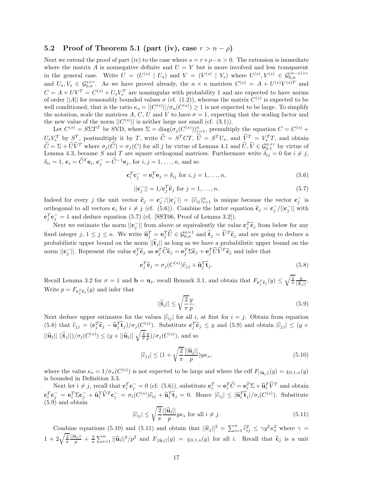### **5.2** Proof of Theorem 5.1 (part (iv), case  $r > n - \rho$ )

Next we extend the proof of part (iv) to the case where  $s = r + \rho - n > 0$ . The extension is immediate where the matrix *A* is nonnegative definite and  $U = V$  but is more involved and less transparent in the general case. Write  $U = (U^{(s)} | U_s)$  and  $V = (V^{(s)} | V_s)$  where  $U^{(s)}$ ,  $V^{(s)} \in \mathcal{G}_{0,\sigma}^{(n-s)\times r}$ <br>and  $U_s, V_s \in \mathcal{G}_{0,\sigma}^{s\times r}$ . As we have proved already, the  $n \times n$  matrices  $C^{(s)} = A + U^{(s)}V^{(s)T}$  and  $C = A + UV^T = C^{(s)} + U_s V_s^T$  are nonsingular with probability 1 and are expected to have norms of order  $||A||$  for reasonably bounded values  $\sigma$  (cf. (1.2)), whereas the matrix  $C^{(s)}$  is expected to be well conditioned, that is the ratio  $\kappa_s = ||C^{(s)}||/\sigma_n(\tilde{C}^{(s)}) \geq 1$  is not expected to be large. To simplify the notation, scale the matrices A, C, U and V to have  $\sigma = 1$ , expecting that the scaling factor and the new value of the norm  $||C^{(s)}||$  is neither large nor small (cf. (3.1)).

Let  $C^{(s)} = S\Sigma T^T$  be SVD, where  $\Sigma = \text{diag}(\sigma_j(C^{(s)}))_{j=1}^n$ , premultiply the equation  $C = C^{(s)} +$  $U_s V_s^T$  by  $S^T$ , postmultiply it by T, write  $\hat{C} = S^T C T$ ,  $\hat{U} = S^T U_s$ , and  $\hat{V}^T = V_s^T T$ , and obtain  $\widehat{C} = \Sigma + \widehat{U}\widehat{V}^T$  where  $\sigma_j(\widehat{C}) = \sigma_j(C)$  for all j by virtue of Lemma 4.1 and  $\widehat{U}, \widehat{V} \in \mathcal{G}_{0,1}^{n \times r}$  by virtue of Lemma 4.3, because S and T are square orthogonal matrices. Furthermore write  $\delta_{ij} = 0$   $\delta_{ii} = 1$ ,  $\mathbf{c}_i = \hat{C}^T \mathbf{e}_i$ ,  $\mathbf{c}_j^- = \hat{C}^{-1} \mathbf{e}_j$ , for  $i, j = 1, \ldots, n$ , and so

$$
\mathbf{c}_i^T \mathbf{c}_j^- = \mathbf{e}_i^T \mathbf{e}_j = \delta_{ij} \text{ for } i, j = 1, \dots, n,
$$
\n(5.6)

$$
||\mathbf{c}_j^-|| = 1/\mathbf{c}_j^T \widehat{\mathbf{c}}_j \text{ for } j = 1, \dots, n. \tag{5.7}
$$

Indeed for every *j* the unit vector  $\hat{\mathbf{c}}_j = \mathbf{c}^-_j / ||\mathbf{c}^-_j|| = (\hat{c}_{ij})^n_{i=1}$  is unique because the vector  $\mathbf{c}^-_j$  is orthogonal to all vectors  $\mathbf{c}_i$  for  $i \neq j$  (cf. (5.6)). Combine the latter equation  $\hat{\mathbf{c}}_j = \mathbf{c}_j^- / ||\mathbf{c}_j^-||$  with  $\mathbf{c}_j^T \mathbf{c}_j^- = 1$  and deduce equation (5.7) (cf. [SST06, Proof of Lemma 3.2]).

Next we estimate the norm  $||\mathbf{c}_j||$  from above or equivalently the value  $\mathbf{c}_j^T \hat{\mathbf{c}}_j$  from below for any fixed integer  $j, 1 \leq j \leq n$ . We write  $\widehat{\mathbf{u}}_j^T = \mathbf{e}_j^T \widehat{U} \in \mathcal{G}_{0,\sigma}^{n \times 1}$  and  $\widehat{\mathbf{t}}_j = \widehat{V}^T \widehat{\mathbf{c}}_j$  and are going to deduce a probabilistic upper bound on the norm  $||\hat{\mathbf{t}}_j||$  as long as we have a probabilistic upper bound on the norm  $||\mathbf{c}_j||$ . Represent the value  $\mathbf{c}_j^T\widehat{\mathbf{c}}_j$  as  $\mathbf{e}_j^T\widehat{\mathbf{C}}\widehat{\mathbf{c}}_j = \mathbf{e}_j^T\Sigma\widehat{\mathbf{c}}_j + \mathbf{e}_j^T\widehat{U}\widehat{V}^T\widehat{\mathbf{c}}_j$  and infer that

$$
\mathbf{c}_j^T \widehat{\mathbf{c}}_j = \sigma_j(C^{(s)}) \widehat{c}_{jj} + \widehat{\mathbf{u}}_j^T \widehat{\mathbf{t}}_j. \tag{5.8}
$$

Recall Lemma 3.2 for  $\sigma = 1$  and  $\mathbf{b} = \mathbf{u}_j$ , recall Remark 3.1, and obtain that  $F_{\mathbf{c}_j^T\hat{\mathbf{c}}_j}(y) \leq \sqrt{\frac{2}{\pi}} \frac{y}{||\hat{\mathbf{t}}_j||}$ . Write  $p = F_{\mathbf{c}_j^T \mathbf{\hat{c}}_j}(y)$  and infer that

$$
||\hat{\mathbf{t}}_j|| \le \sqrt{\frac{2}{\pi}} \frac{y}{p}.\tag{5.9}
$$

Next deduce upper estimates for the values  $|\hat{c}_{ij}|$  for all *i*, at first for  $i = j$ . Obtain from equation (5.8) that  $\hat{c}_{jj} = (\mathbf{c}_j^T \hat{\mathbf{c}}_j - \hat{\mathbf{u}}_j^T \hat{\mathbf{t}}_j)/\sigma_j(C^{(s)})$ . Substitute  $\mathbf{c}_j^T \hat{\mathbf{c}}_j \leq y$  and (5.9) and obtain  $|\hat{c}_{jj}| \leq (y + \hat{c}_{jj})$  $||\hat{\mathbf{u}}_j|| \, ||\hat{\mathbf{t}}_j||)/\sigma_j(C^{(s)}) \leq (y + ||\hat{\mathbf{u}}_j|| \, \sqrt{\frac{2}{\pi}} \frac{y}{p})/\sigma_j(C^{(s)})$ , and so

$$
|\widehat{c}_{jj}| \le (1 + \sqrt{\frac{2}{\pi}} \frac{||\widehat{\mathbf{u}}_j||}{p}) y \kappa_s,
$$
\n(5.10)

where the value  $\kappa_s = 1/\sigma_n(C^{(s)})$  is not expected to be large and where the cdf  $F_{\vert\vert \mathbf{\hat{u}}_j \vert\vert}(y) = \chi_{0,1,n}(y)$ is bounded in Definition 3.3.

Next let  $i \neq j$ , recall that  $\mathbf{c}_i^T \mathbf{c}_j^T = 0$  (cf. (5.6)), substitute  $\mathbf{c}_i^T = \mathbf{e}_i^T \hat{C} = \mathbf{e}_i^T \Sigma + \hat{\mathbf{u}}_i^T \hat{V}^T$  and obtain  $\mathbf{c}_i^T \mathbf{c}_j^- = \mathbf{e}_i^T \Sigma \mathbf{c}_j^- + \mathbf{\widehat{u}}_i^T \widehat{V}^T \mathbf{c}_j^- = \sigma_i(C^{(s)}) \widehat{c}_{ij} + \mathbf{\widehat{u}}_i^T \widehat{\mathbf{t}}_j = 0.$  Hence  $|\widehat{c}_{ij}| \leq |\widehat{\mathbf{u}}_i^T \widehat{\mathbf{t}}_j| / \sigma_i(C^{(s)})$ . Substitute  $(5.9)$  and obtain

$$
|\hat{c}_{ij}| \le \sqrt{\frac{2}{\pi}} \frac{||\hat{\mathbf{u}}_i||}{p} y \kappa_s \text{ for all } i \ne j.
$$
 (5.11)

Combine equations (5.10) and (5.11) and obtain that  $||\hat{\mathbf{c}}_j||^2 = \sum_{i=1}^n \hat{c}_{ij}^2 \le \gamma y^2 \kappa_s^2$  where  $\gamma = \sqrt{\hat{\mathbf{c}}}\sin(\gamma)$  $1+2\sqrt{\frac{2}{\pi}}\frac{||\hat{\mathbf{u}}_j||}{p}+\frac{2}{\pi}\sum_{i=1}^n||\hat{\mathbf{u}}_i||^2/p^2$  and  $F_{\vert\vert\hat{\mathbf{u}}_i\vert\vert}(y) = \chi_{0,1,n}(y)$  for all i. Recall that  $\hat{\mathbf{c}}_j$  is a unit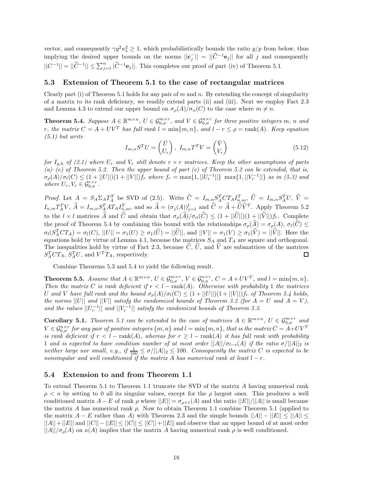vector, and consequently  $\gamma y^2 \kappa_s^2 \geq 1$ , which probabilistically bounds the ratio  $y/p$  from below, thus implying the desired upper bounds on the norms  $||\mathbf{c}_j|| = ||\hat{C}^{-1}\mathbf{e}_j||$  for all *j* and consequently  $||C^{-1}|| = ||\widehat{C}^{-1}|| \le \sum_{j=1}^n |\widehat{C}^{-1}e_j||.$  This completes our proof of part (iv) of Theorem 5.1.

#### **5.3 Extension of Theorem 5.1 to the case of rectangular matrices**

Clearly part (i) of Theorem 5.1 holds for any pair of *m* and *n*. By extending the concept of singularity of a matrix to its rank deficiency, we readily extend parts (ii) and (iii). Next we employ Fact 2.3 and Lemma 4.3 to extend our upper bound on  $\sigma_{\rho}(A)/\sigma_n(C)$  to the case where  $m \neq n$ .

**Theorem 5.4.** Suppose  $A \in \mathbb{R}^{m \times n}$ ,  $U \in \mathcal{G}_{0,\sigma}^{m \times r}$ , and  $V \in \mathcal{G}_{0,\sigma}^{n \times r}$  for three positive integers m, n and *r,* the matrix  $C = A + UV^T$  has full rank  $l = \min\{m, n\}$ *, and*  $l - r \leq \rho = \text{rank}(A)$ *. Keep equation (5.1) but write*

$$
I_{m,n}S^TU = \begin{pmatrix} \bar{U} \\ U_r \end{pmatrix}, I_{m,n}T^TV = \begin{pmatrix} \bar{V} \\ V_r \end{pmatrix}
$$
\n(5.12)

*for*  $I_{q,h}$  *of* (2.1) where  $U_r$  and  $V_r$  *still denote*  $r \times r$  *matrices. Keep the other assumptions of parts (a)–(e) of Theorem 5.2. Then the upper bound of part (e) of Theorem 5.2 can be extended, that is,*  $\sigma_{\rho}(A)/\sigma_l(C) \leq (1+||U||)(1+||V||)f_r$  where  $f_r = \max\{1, ||U_r^{-1}||\}$   $\max\{1, ||V_r^{-1}||\}$  as in (5.3) and *where*  $U_r$ ,  $V_r \in \mathcal{G}_{0,\sigma}^{r \times r}$ .

*Proof.* Let  $A = S_A \Sigma_A T_A^T$  be SVD of (2.5). Write  $\hat{C} = I_{m,n} S_A^T C T_A I_{n,m}^T$ ,  $\hat{U} = I_{m,n} S_A^T U$ ,  $\hat{V} = I_{m,n} S_A^T U$  $I_{n,m}T_A^TV$ ,  $\hat{A} = I_{m,n}S_A^TAT_AI_{n,m}^T$ , and so  $\hat{A} = (\sigma_j(A))_{j=1}^l$  and  $\hat{C} = \hat{A} + \hat{U}\hat{V}^T$ . Apply Theorem 5.2 to the  $l \times l$  matrices  $\widehat{A}$  and  $\widehat{C}$  and obtain that  $\sigma_{\rho}(\widehat{A})/\sigma_n(\widehat{C}) \leq (1 + ||\widehat{U}||)(1 + ||\widehat{V}||)f_r$ . Complete the proof of Theorem 5.4 by combining this bound with the relationships  $\sigma_{\rho}(\widehat{A}) = \sigma_{\rho}(A), \sigma_{l}(\widehat{C}) \leq$  $\sigma_l(S_A^T C T_A) = \sigma_l(C), ||U|| = \sigma_1(U) \geq \sigma_1(\hat{U}) = ||\hat{U}||$ , and  $||V|| = \sigma_1(V) \geq \sigma_1(\hat{V}) = ||\hat{V}||$ . Here the equations hold by virtue of Lemma 4.1, because the matrices *S<sup>A</sup>* and *T<sup>A</sup>* are square and orthogonal. The inequalities hold by virtue of Fact 2.3, because  $\hat{C}$ ,  $\hat{U}$ , and  $\hat{V}$  are submatrices of the matrices  $S_1^T C T_A$ ,  $S_1^T U$ , and  $V^T T_A$ , respectively.  $S_A^T C T_A$ ,  $S_A^T U$ , and  $V^T T_A$ , respectively.

Combine Theorems 5.3 and 5.4 to yield the following result.

**Theorem 5.5.** Assume that  $A \in \mathbb{R}^{m \times n}$ ,  $U \in \mathcal{G}_{0,\sigma}^{m \times r}$ ,  $V \in \mathcal{G}_{0,\sigma}^{n \times r}$ ,  $C = A + UV^T$ , and  $l = \min\{m, n\}$ . *Then the matrix C is rank deficient if*  $r < l$  − rank(*A*)*. Otherwise with probability* 1 *the matrices U* and *V* have full rank and the bound  $\sigma_{\rho}(A)/\sigma_l(C) \leq (1 + ||U||)(1 + ||V||)f_r$  of Theorem 5.4 holds, *the norms*  $||U||$  *and*  $||V||$  *satisfy the randomized bounds of Theorem 3.2 (for*  $A = U$  *and*  $A = V$ *), and the values*  $||U_r^{-1}||$  *and*  $||V_r^{-1}||$  *satisfy the randomized bounds of Theorem 5.3.* 

**Corollary 5.1.** *Theorem 5.1 can be extended to the case of matrices*  $A \in \mathbb{R}^{m \times n}$ ,  $U \in \mathcal{G}_{0,\sigma}^{m \times r}$  and  $V \in \mathcal{G}_{0,\sigma}^{n \times r}$  for any pair of positive integers  $\{m, n\}$  and  $l = \min\{m, n\}$ , that is the matrix  $C = A + UV^T$ *is rank deficient if*  $r < l$  − rank(*A*)*, whereas for*  $r \geq l$  − rank(*A*) *it has full rank with probability* 1 *and is expected to have condition number of at most order*  $||A||/\sigma_{l-r}(A)$  *if the ratio*  $\sigma/||A||_2$  *is neither large nor small, e.g., if*  $\frac{1}{100} \leq \sigma / ||A||_2 \leq 100$ *. Consequently the matrix C is expected to be nonsingular and well conditioned if the matrix A has numerical rank at least l* − *r.*

#### **5.4 Extension to and from Theorem 1.1**

To extend Theorem 5.1 to Theorem 1.1 truncate the SVD of the matrix *A* having numerical rank  $\rho < n$  by setting to 0 all its singular values, except for the  $\rho$  largest ones. This produces a well conditioned matrix  $A - E$  of rank  $\rho$  where  $||E|| = \sigma_{\rho+1}(A)$  and the ratio  $||E||/||A||$  is small because the matrix *A* has numerical rank  $\rho$ . Now to obtain Theorem 1.1 combine Theorem 5.1 (applied to the matrix  $A - E$  rather than  $\overline{A}$ ) with Theorem 2.3 and the simple bounds  $||A|| - ||E|| < ||A|| <$  $||A||+||E||$  and  $||C||-||E|| \leq ||C|| \leq ||C||+||E||$  and observe that an upper bound of at most order  $||A||/\sigma_{\rho}(A)$  on  $\kappa(A)$  implies that the matrix *A* having numerical rank  $\rho$  is well conditioned.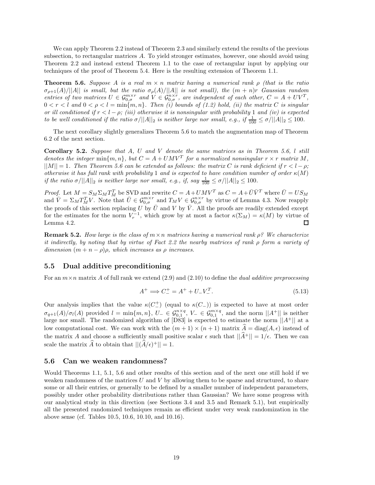We can apply Theorem 2.2 instead of Theorem 2.3 and similarly extend the results of the previous subsection, to rectangular matrices *A*. To yield stronger estimates, however, one should avoid using Theorem 2.2 and instead extend Theorem 1.1 to the case of rectangular input by applying our techniques of the proof of Theorem 5.4. Here is the resulting extension of Theorem 1.1.

**Theorem 5.6.** *Suppose A is a real m* × *n matrix having a numerical rank ρ (that is the ratio*  $\sigma_{\rho+1}(A)/||A||$  *is small, but the ratio*  $\sigma_{\rho}(A)/||A||$  *is not small), the*  $(m + n)r$  *Gaussian random entries of two matrices*  $U \in \mathcal{G}_{0,\sigma}^{m \times r}$  and  $V \in \mathcal{G}_{0,\sigma}^{n \times r}$ , are independent of each other,  $C = A + UV^T$ ,  $0 < r < l$  and  $0 < \rho < l = \min\{m, n\}$ . Then (i) bounds of (1.2) hold, (ii) the matrix *C* is singular *or ill conditioned if*  $r < l - \rho$ *; (iii) otherwise it is nonsingular with probability* 1 *and (iv) is expected to be well conditioned if the ratio*  $\sigma/||A||_2$  *is neither large nor small, e.g., if*  $\frac{1}{100} \leq \sigma/||A||_2 \leq 100$ *.* 

The next corollary slightly generalizes Theorem 5.6 to match the augmentation map of Theorem 6.2 of the next section.

**Corollary 5.2.** *Suppose that A, U and V denote the same matrices as in Theorem 5.6, l still denotes the integer* min ${m, n}$ *, but*  $C = A + UMV^T$  *for a normalized nonsingular*  $r \times r$  *matrix M,*  $||M|| = 1$ *. Then Theorem 5.6 can be extended as follows: the matrix C is rank deficient if*  $r < l - \rho$ ; *otherwise it has full rank with probability* 1 *and is expected to have condition number of order κ*(*M*) *if the ratio*  $\sigma/||A||_2$  *is neither large nor small, e.g., if, say*  $\frac{1}{100} \leq \sigma/||A||_2 \leq 100$ *.* 

*Proof.* Let  $M = S_M \Sigma_M T_M^T$  be SVD and rewrite  $C = A + UMV^T$  as  $C = A + \overline{U}\overline{V}^T$  where  $\overline{U} = US_M$ and  $\overline{V} = \Sigma_M T_M^T V$ . Note that  $\overline{U} \in \mathcal{G}_{0,\sigma}^{m \times r}$  and  $T_M V \in \mathcal{G}_{0,\sigma}^{n \times r}$  by virtue of Lemma 4.3. Now reapply the proofs of this section replacing *U* by  $\bar{U}$  and *V* by  $\bar{V}$ . All the proofs are readily extended except for the estimates for the norm  $V_r^{-1}$ , which grow by at most a factor  $\kappa(\Sigma_M) = \kappa(M)$  by virtue of Lemma 4.2. □

**Remark 5.2.** *How large is the class of m*×*n matrices having a numerical rank ρ? We characterize it indirectly, by noting that by virtue of Fact 2.2 the nearby matrices of rank ρ form a variety of dimension*  $(m + n - \rho)\rho$ *, which increases as*  $\rho$  *increases.* 

#### **5.5 Dual additive preconditioning**

For an *m*×*n* matrix *A* of full rank we extend (2.9) and (2.10) to define the *dual additive preprocessing*

$$
A^{+} \implies C_{-}^{+} = A^{+} + U_{-}V_{-}^{T}.
$$
\n(5.13)

Our analysis implies that the value  $\kappa(C_{-}^{+})$  (equal to  $\kappa(C_{-})$ ) is expected to have at most order  $\sigma_{q+1}(A)/\sigma_l(A)$  provided  $l = \min\{m, n\}$ ,  $U - \in \mathcal{G}_{0,1}^{n \times q}$ ,  $V - \in \mathcal{G}_{0,1}^{m \times q}$ , and the norm  $||A^+||$  is neither large nor small. The randomized algorithm of  $[D83]$  is expected to estimate the norm  $||A^+||$  at a low computational cost. We can work with the  $(m+1) \times (n+1)$  matrix  $\hat{A} = \text{diag}(A, \epsilon)$  instead of the matrix *A* and choose a sufficiently small positive scalar  $\epsilon$  such that  $||\hat{A}^+|| = 1/\epsilon$ . Then we can scale the matrix  $\widehat{A}$  to obtain that  $||(\widehat{A}/\epsilon)^{+}|| = 1$ .

#### **5.6 Can we weaken randomness?**

Would Theorems 1.1, 5.1, 5.6 and other results of this section and of the next one still hold if we weaken randomness of the matrices *U* and *V* by allowing them to be sparse and structured, to share some or all their entries, or generally to be defined by a smaller number of independent parameters, possibly under other probability distributions rather than Gaussian? We have some progress with our analytical study in this direction (see Sections 3.4 and 3.5 and Remark 5.1), but empirically all the presented randomized techniques remain as efficient under very weak randomization in the above sense (cf. Tables 10.5, 10.6, 10.10, and 10.16).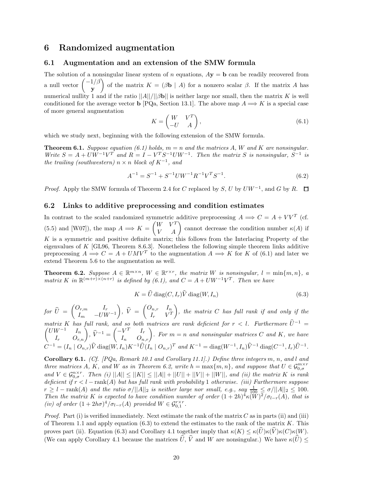### **6 Randomized augmentation**

#### **6.1 Augmentation and an extension of the SMW formula**

The solution of a nonsingular linear system of *n* equations,  $A\mathbf{y} = \mathbf{b}$  can be readily recovered from a null vector −1*/β* **y** of the matrix  $K = (\beta \mathbf{b} \mid A)$  for a nonzero scalar  $\beta$ . If the matrix *A* has numerical nullity 1 and if the ratio  $||A||/||Bb||$  is neither large nor small, then the matrix *K* is well conditioned for the average vector **b** [PQa, Section 13.1]. The above map  $A \implies K$  is a special case of more general augmentation

$$
K = \begin{pmatrix} W & V^T \\ -U & A \end{pmatrix},\tag{6.1}
$$

which we study next, beginning with the following extension of the SMW formula.

**Theorem 6.1.** *Suppose equation (6.1) holds,*  $m = n$  *and the matrices*  $A$ *,*  $W$  *and*  $K$  *are nonsingular. Write*  $S = A + UW^{-1}V^{T}$  *and*  $R = I - V^{T}S^{-1}UW^{-1}$ *. Then the matrix S is nonsingular*,  $S^{-1}$  *is the trailing (southwestern)*  $n \times n$  *block of*  $K^{-1}$ *, and* 

$$
A^{-1} = S^{-1} + S^{-1}UW^{-1}R^{-1}V^{T}S^{-1}.
$$
\n(6.2)

*Proof.* Apply the SMW formula of Theorem 2.4 for *C* replaced by *S*, *U* by  $U W^{-1}$ , and *G* by *R*.  $\Box$ 

#### **6.2 Links to additive preprocessing and condition estimates**

In contrast to the scaled randomized symmetric additive preprocessing  $A \implies C = A + V V^T$  (cf. (5.5) and [W07]), the map  $A \implies K = \begin{pmatrix} W & V^T \\ V & A \end{pmatrix}$  cannot decrease the condition number  $\kappa(A)$  if *K* is a symmetric and positive definite matrix; this follows from the Interlacing Property of the eigenvalues of *K* [GL96, Theorem 8.6.3]. Nonetheless the following simple theorem links additive preprocessing  $A \Longrightarrow C = A + UMV^T$  to the augmentation  $A \Longrightarrow K$  for K of (6.1) and later we extend Theorem 5.6 to the augmentation as well.

**Theorem 6.2.** *Suppose*  $A \in \mathbb{R}^{m \times n}$ ,  $W \in \mathbb{R}^{r \times r}$ , the matrix W is nonsingular,  $l = \min\{m, n\}$ , a *matrix K in*  $\mathbb{R}^{(m+r)} \times (n+r)$  *is defined by (6.1), and*  $C = A + UW^{-1}V^{T}$ *. Then we have* 

$$
K = \widehat{U} \operatorname{diag}(C, I_r) \widehat{V} \operatorname{diag}(W, I_n)
$$
\n(6.3)

 $for \ \widehat{U} \ = \ \begin{pmatrix} O_{r,m} & I_r \ I_m & -UW \end{pmatrix}$  $I_m$  −*UW*<sup>−1</sup>  $\left( \begin{matrix} \hat{V} \ \hat{V} \ \end{matrix} \right) = \left( \begin{matrix} O_{n,r} & I_n \ I_r & V^T \ \end{matrix} \right)$  $I_r$   $V^T$ - *, the matrix C has full rank if and only if the*  $\frac{matrix}{K}$  *k has full rank, and so both matrices are rank deficient for*  $r < l$ *. Furthermore*  $\hat{U}^{-1} =$  $\begin{pmatrix} UW^{-1} & I_n \\ I_r & O_{r,n} \end{pmatrix}$ ,  $\hat{V}^{-1} = \begin{pmatrix} -V^T & I_r \\ I_n & O_{n,r} \end{pmatrix}$ . For  $m = n$  and nonsingular matrices C and K, we have  $C^{-1} = (I_n \mid O_{n,r})\widehat{V}$  diag $(W, I_n)K^{-1}\widehat{U}(I_n \mid O_{n,r})^T$  and  $K^{-1} = \text{diag}(W^{-1}, I_n)\widehat{V}^{-1}$  diag $(C^{-1}, I_r)\widehat{U}^{-1}$ .

**Corollary 6.1.** *(Cf. [PQa, Remark 10.1 and Corollary 11.1].) Define three integers m, n, and l and three matrices A, K, and W as in Theorem 6.2, write*  $h = \max\{m, n\}$ *, and suppose that*  $U \in \mathcal{G}_{0,\sigma}^{m \times r}$ *and*  $V \in \mathcal{G}_{0,\sigma}^{n \times r}$ . Then (i)  $||A|| \leq ||K|| \leq ||A|| + ||U|| + ||V|| + ||W||$ , and (ii) the matrix K is rank *deficient if r<l* − rank(*A*) *but has full rank with probability* 1 *otherwise. (iii) Furthermore suppose*  $r \geq l$  – rank(*A*) and the ratio  $\sigma/||A||_2$  is neither large nor small, e.g., say  $\frac{1}{100} \leq \sigma/||A||_2 \leq 100$ . *Then the matrix K is expected to have condition number of order*  $(1+2h)^4 \kappa (W)^2 / \sigma_{l-r}(A)$ *, that is (iv) of order*  $(1+2h\sigma)^4/\sigma_{l-r}(A)$  *provided*  $W \in \mathcal{G}_{0,1}^{r\times r}$ .

*Proof.* Part (i) is verified immediately. Next estimate the rank of the matrix *C* as in parts (ii) and (iii) of Theorem 1.1 and apply equation (6.3) to extend the estimates to the rank of the matrix *K*. This proves part (ii). Equation (6.3) and Corollary 4.1 together imply that  $\kappa(K) \leq \kappa(\widehat{U})\kappa(\widehat{V})\kappa(C)\kappa(W)$ . (We can apply Corollary 4.1 because the matrices  $\hat{U}$ ,  $\hat{V}$  and *W* are nonsingular.) We have  $\kappa(\hat{U})$  <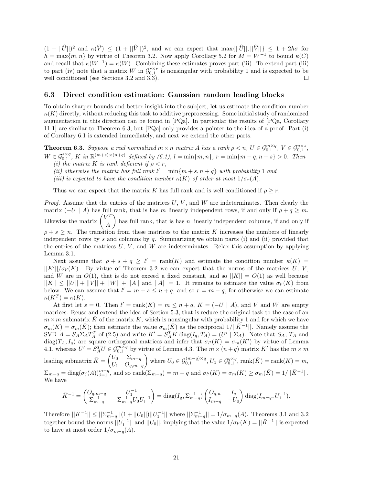$(1 + ||\hat{U}||)^2$  and  $\kappa(\hat{V}) \leq (1 + ||\hat{V}||)^2$ , and we can expect that max $\{||\hat{U}||, ||\hat{V}||\} \leq 1 + 2h\sigma$  for  $h = \max\{m, n\}$  by virtue of Theorem 3.2. Now apply Corollary 5.2 for  $M = W^{-1}$  to bound  $\kappa(C)$ and recall that  $\kappa(W^{-1}) = \kappa(W)$ . Combining these estimates proves part (iii). To extend part (iii) to part (iv) note that a matrix *W* in  $\mathcal{G}_{0,1}^{r\times r}$  is nonsingular with probability 1 and is expected to be well conditioned (see Sections 3.2 and 3.3). well conditioned (see Sections 3.2 and 3.3).

#### **6.3 Direct condition estimation: Gaussian random leading blocks**

To obtain sharper bounds and better insight into the subject, let us estimate the condition number  $\kappa(K)$  directly, without reducing this task to additive preprocessing. Some initial study of randomized augmentation in this direction can be found in [PQa]. In particular the results of [PQa, Corollary 11.1] are similar to Theorem 6.3, but [PQa] only provides a pointer to the idea of a proof. Part (i) of Corollary 6.1 is extended immediately, and next we extend the other parts.

**Theorem 6.3.** Suppose a real normalized  $m \times n$  matrix A has a rank  $\rho < n$ ,  $U \in \mathcal{G}_{0,1}^{m \times q}$ ,  $V \in \mathcal{G}_{0,1}^{n \times s}$ ,  $W \in \mathcal{G}_{0,1}^{s \times q}$ , K in  $\mathbb{R}^{(m+s)\times (n+q)}$  defined by  $(6.1)$ ,  $l = \min\{m, n\}$ ,  $r = \min\{m-q, n-s\} > 0$ . Then *(i)* the matrix K is rank deficient if  $\rho < r$ ,

- 
- *(ii) otherwise the matrix has full rank*  $l' = \min\{m + s, n + q\}$  *with probability* 1 *and*
- *(iii) is expected to have the condition number*  $\kappa(K)$  *of order at most*  $1/\sigma_r(A)$ *.*

Thus we can expect that the matrix *K* has full rank and is well conditioned if  $\rho \geq r$ .

*Proof.* Assume that the entries of the matrices *U*, *V* , and *W* are indeterminates. Then clearly the matrix  $(-U \mid A)$  has full rank, that is has *m* linearly independent rows, if and only if  $\rho + q \geq m$ . Likewise the matrix  $\begin{pmatrix} V^T \\ A \end{pmatrix}$ *A* ) has full rank, that is has  $n$  linearly independent columns, if and only if  $\rho + s \geq n$ . The transition from these matrices to the matrix *K* increases the numbers of linearly independent rows by *s* and columns by *q*. Summarizing we obtain parts (i) and (ii) provided that the entries of the matrices  $U, V$ , and  $W$  are indeterminates. Relax this assumption by applying Lemma 3.1.

Next assume that  $\rho + s + q \geq l'$  = rank(*K*) and estimate the condition number  $\kappa(K)$  =  $||K'|| / \sigma_{l'}(K)$ . By virtue of Theorem 3.2 we can expect that the norms of the matrices *U*, *V*, and *W* are in  $O(1)$ , that is do not exceed a fixed constant, and so  $||K|| = O(1)$  as well because  $||K|| \leq ||U|| + ||V|| + ||W|| + ||A||$  and  $||A|| = 1$ . It remains to estimate the value  $\sigma_V(K)$  from below. We can assume that  $l' = m + s \leq n + q$ , and so  $r = m - q$ , for otherwise we can estimate  $\kappa(K^T) = \kappa(K)$ .

At first let  $s = 0$ . Then  $l' = \text{rank}(K) = m \leq n + q$ ,  $K = (-U \mid A)$ , and V and W are empty matrices. Reuse and extend the idea of Section 5.3, that is reduce the original task to the case of an  $m \times m$  submatrix  $\bar{K}$  of the matrix  $K$ , which is nonsingular with probability 1 and for which we have  $\sigma_m(K) = \sigma_m(\bar{K})$ ; then estimate the value  $\sigma_m(\bar{K})$  as the reciprocal  $1/||\bar{K}^{-1}||$ . Namely assume the SVD  $A = S_A \Sigma_A T_A^T$  of (2.5) and write  $K' = S_A^T K \text{diag}(I_q, T_A) = (U' | \Sigma_A)$ . Note that  $S_A$ ,  $T_A$  and diag( $T_A$ ,  $I_q$ ) are square orthogonal matrices and infer that  $\sigma_{l'}(K) = \sigma_m(K')$  by virtue of Lemma 4.1, whereas  $U' = S_A^T U \in \mathcal{G}_{0,1}^{m \times q}$  by virtue of Lemma 4.3. The  $m \times (n+q)$  matrix  $K'$  has the  $m \times m$ leading submatrix  $\bar{K} = \begin{pmatrix} U_0 & \Sigma_{m-q} \\ U & Q \end{pmatrix}$ *U*<sup>1</sup> *Oq,m*−*<sup>q</sup>*  $\left\{ \text{where } U_0 \in \mathcal{G}_{0,1}^{(m-q)\times q}, U_1 \in \mathcal{G}_{0,1}^{q\times q}, \text{rank}(\bar{K}) = \text{rank}(K) = m, \right\}$  $\Sigma_{m-q} = \text{diag}(\sigma_j(A))_{j=1}^{m-q}$ , and so  $\text{rank}(\Sigma_{m-q}) = m-q$  and  $\sigma_{l'}(K) = \sigma_m(K) \ge \sigma_m(\bar{K}) = 1/||\bar{K}^{-1}||$ . We have

$$
\bar{K}^{-1} = \begin{pmatrix} O_{q,m-q} & U_1^{-1} \\ \Sigma_{m-q}^{-1} & -\Sigma_{m-q}^{-1} U_0 U_1^{-1} \end{pmatrix} = \text{diag}(I_q, \Sigma_{m-q}^{-1}) \begin{pmatrix} O_{q,n} & I_q \\ I_{m-q} & -U_0 \end{pmatrix} \text{diag}(I_{m-q}, U_1^{-1}).
$$

Therefore  $||\bar{K}^{-1}|| \le ||\sum_{m-q}^{-1}||(1+||U_0||)||U_1^{-1}||$  where  $||\sum_{m-q}^{-1}||=1/\sigma_{m-q}(A)$ . Theorems 3.1 and 3.2 together bound the norms  $||U_1^{-1}||$  and  $||U_0||$ , implying that the value  $1/\sigma_l(K) = ||\bar{K}^{-1}||$  is expected to have at most order  $1/\sigma_{m-q}(A)$ .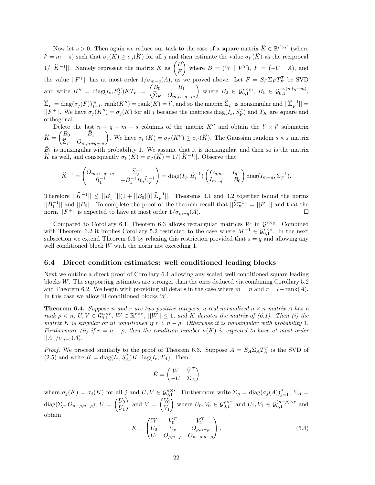Now let  $s > 0$ . Then again we reduce our task to the case of a square matrix  $\hat{K} \in \mathbb{R}^{l' \times l'}$  (where  $l' = m + s$ ) such that  $\sigma_j(K) \ge \sigma_j(K)$  for all *j* and then estimate the value  $\sigma_{l'}(K)$  as the reciprocal 1/|| $\hat{K}^{-1}$ ||. Namely represent the matrix *K* as  $\begin{pmatrix} B \\ F \end{pmatrix}$ *F* where  $B = (W \mid V^T)$ ,  $F = (-U \mid A)$ , and the value  $||F^+||$  has at most order  $1/\sigma_{m-q}(A)$ , as we proved above. Let  $F = S_F \Sigma_F T_F^T$  be SVD and write  $K'' = \text{diag}(I_s, S_F^T)KT_F = \begin{pmatrix} B_0 & B_1 \ \hat{\Sigma}_B & O \end{pmatrix}$ <sup>Σ</sup>*<sup>F</sup> <sup>O</sup>m,n*+*q*−*<sup>m</sup>*  $\left\{\right\}$  where  $B_0 \in \mathcal{G}_{0,1}^{s \times m}, B_1 \in \mathcal{G}_{0,1}^{s \times (n+q-m)},$  $\widehat{\Sigma}_F = \text{diag}(\sigma_j(F))_{j=1}^m$ , rank $(K'') = \text{rank}(K) = l'$ , and so the matrix  $\widehat{\Sigma}_F$  is nonsingular and  $||\widehat{\Sigma}_F^{-1}|| =$  $||F^+||$ . We have  $\sigma_j(K'') = \sigma_j(K)$  for all *j* because the matrices diag( $I_s$ ,  $S_F^T$ ) and  $T_K$  are square and orthogonal.

Delete the last  $n + q - m - s$  columns of the matrix  $K''$  and obtain the  $l' \times l'$  submatrix  $K =$  $\bar{B}_0$   $\bar{B}_1$  $\Sigma_F$  *O*<sub>*m,n*+*q*−*m*</sub> ). We have  $\sigma_{l'}(K) = \sigma_{l'}(K'') \geq \sigma_{l'}(\widehat{K})$ . The Gaussian random  $s \times s$  matrix  $\overline{B}_1$  is nonsingular with probability 1. We assume that it is nonsingular, and then so is the matrix  $\hat{K}$  as well, and consequently  $\sigma_{l'}(\tilde{K}) = \sigma_{l'}(\hat{K}) = 1/||\hat{K}^{-1}||$ . Observe that

$$
\widehat{K}^{-1} = \begin{pmatrix} O_{m,n+q-m} & \widehat{\Sigma}_F^{-1} \\ \bar{B}_1^{-1} & -\bar{B}_1^{-1}B_0\widehat{\Sigma}_F^{-1} \end{pmatrix} = \text{diag}(I_q, \bar{B}_1^{-1}) \begin{pmatrix} O_{q,n} & I_q \\ I_{m-q} & -B_0 \end{pmatrix} \text{diag}(I_{m-q}, \Sigma_F^{-1}).
$$

Therefore  $||\hat{K}^{-1}|| \le ||\bar{B}_1^{-1}||(1 + ||B_0||)||\hat{\Sigma}_F^{-1}||$ . Theorems 3.1 and 3.2 together bound the norms  $||\bar{B}_1^{-1}||$  and  $||B_0||$ . To complete the proof of the theorem recall that  $||\hat{\Sigma}_F^{-1}|| = ||F^+||$  and that the norm  $||F^+||$  is expected to have at most order  $1/\sigma_{m-q}(A)$ .

Compared to Corollary 6.1, Theorem 6.3 allows rectangular matrices *W* in  $\mathcal{G}^{s \times q}$ . Combined with Theorem 6.2 it implies Corollary 5.2 restricted to the case where  $M^{-1} \in \mathcal{G}_{0,1}^{s \times s}$ . In the next subsection we extend Theorem 6.3 by relaxing this restriction provided that  $s = q$  and allowing any well conditioned block *W* with the norm not exceeding 1.

#### **6.4 Direct condition estimates: well conditioned leading blocks**

Next we outline a direct proof of Corollary 6.1 allowing any scaled well conditioned square leading blocks *W*. The supporting estimates are stronger than the ones deduced via combining Corollary 5.2 and Theorem 6.2. We begin with providing all details in the case where  $m = n$  and  $r = l - \text{rank}(A)$ . In this case we allow ill conditioned blocks *W*.

**Theorem 6.4.** *Suppose n* and *r* are two positive integers, a real normalized  $n \times n$  matrix A has a *rank*  $\rho < n$ ,  $U, V \in \mathcal{G}_{0,1}^{n \times r}$ ,  $W \in \mathbb{R}^{r \times r}$ ,  $||W|| \leq 1$ , and K denotes the matrix of (6.1). Then (i) the *matrix K is singular or ill conditioned if*  $r < n - \rho$ *. Otherwise it is nonsingular with probability* 1*. Furthermore (ii) if*  $r = n - \rho$ *, then the condition number*  $\kappa(K)$  *is expected to have at most order*  $||A|| / \sigma_{n-r}(A)$ .

*Proof.* We proceed similarly to the proof of Theorem 6.3. Suppose  $A = S_A \Sigma_A T_A^T$  is the SVD of  $(2.5)$  and write  $\bar{K} = \text{diag}(I_r, S_A^T)K \text{diag}(I_r, T_A)$ . Then

$$
\bar{K} = \begin{pmatrix} W & \bar{V}^T \\ -\bar{U} & \Sigma_A \end{pmatrix}
$$

where  $\sigma_j(K) = \sigma_j(\bar{K})$  for all j and  $\bar{U}, \bar{V} \in \mathcal{G}_{0,1}^{n \times r}$ . Furthermore write  $\Sigma_\rho = \text{diag}(\sigma_j(A))_{j=1}^\rho$ ,  $\Sigma_A =$  $diag(\Sigma_{\rho}, O_{n-\rho,n-\rho}), \ \bar{U} = \begin{pmatrix} U_0 \\ U_1 \end{pmatrix}$  $U_1$ ) and  $\bar{V} = \begin{pmatrix} V_0 \\ V \end{pmatrix}$ *V*1 where  $U_0, V_0 \in \mathcal{G}_{0,1}^{\rho \times r}$  and  $U_1, V_1 \in \mathcal{G}_{0,1}^{(n-\rho)\times r}$  and obtain

$$
\bar{K} = \begin{pmatrix} W & V_0^T & V_1^T \\ U_0 & \Sigma_{\rho} & O_{\rho, n-\rho} \\ U_1 & O_{\rho, n-\rho} & O_{n-\rho, n-\rho} \end{pmatrix} .
$$
\n(6.4)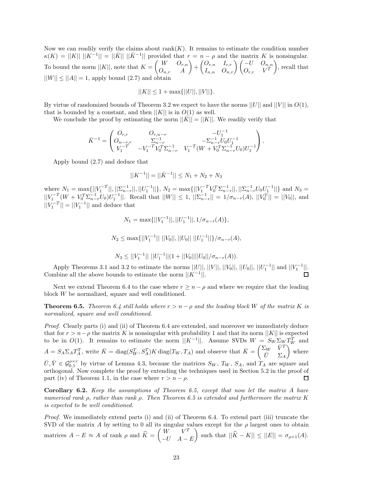Now we can readily verify the claims about  $rank(K)$ . It remains to estimate the condition number  $\kappa(K) = ||K|| \, ||K^{-1}|| = ||\overline{K}|| \, ||\overline{K}^{-1}||$  provided that  $r = n - \rho$  and the matrix *K* is nonsingular. To bound the norm  $||K||$ , note that  $K = \begin{pmatrix} W & O_{r,n} \\ O & A \end{pmatrix}$ *On,r A*  $\left( \begin{matrix} O_{r,n} & I_{r,r} \ I_{n,n} & O_{n,r} \end{matrix} \right) \left( \begin{matrix} -U & O_{n,n} \ O_{r,r} & V^T \end{matrix} \right)$  $O_{r,r}$  *V*<sup>*T*</sup> - , recall that  $||W|| \le ||A|| = 1$ , apply bound (2.7) and obtain

$$
||K|| \le 1 + \max{||U||, ||V||}.
$$

By virtue of randomized bounds of Theorem 3.2 we expect to have the norms  $||U||$  and  $||V||$  in  $O(1)$ , that is bounded by a constant, and then  $||K||$  is in  $O(1)$  as well.

We conclude the proof by estimating the norm  $||K|| = ||K||$ . We readily verify that

$$
\bar{K}^{-1} = \begin{pmatrix} O_{r,r} & O_{r,n-r} & -U_1^{-1} \\ O_{n-r,r} & \Sigma_{n-r}^{-1} & -\Sigma_{n-r}^{-1} U_0 U_1^{-1} \\ V_1^{-T} & -V_1^{-T} V_0^T \Sigma_{n-r}^{-1} & V_1^{-T} (W + V_0^T \Sigma_{n-r}^{-1} U_0) U_1^{-1} \end{pmatrix}.
$$

Apply bound (2.7) and deduce that

$$
||K^{-1}|| = ||\bar{K}^{-1}|| \leq N_1 + N_2 + N_3
$$

where  $N_1 = \max\{||V_1^{-T}||, ||\sum_{n-r}^{-1}||, ||U_1^{-1}||\}, N_2 = \max\{||V_1^{-T}V_0^T\Sigma_{n-r}^{-1}||, ||\sum_{n-r}^{-1}U_0U_1^{-1}||\}$  and  $N_3 =$  $||V_1^{-T}(W + V_0^T \Sigma_{n-r}^{-1} U_0) U_1^{-1}||.$  Recall that  $||W|| \le 1$ ,  $||\Sigma_{n-r}^{-1}|| = 1/\sigma_{n-r}(A)$ ,  $||V_0^T|| = ||V_0||$ , and  $||V_1^{-T}|| = ||V_1^{-1}||$  and deduce that

$$
N_1=\max\{||V_1^{-1}||,||U_1^{-1}||,1/\sigma_{n-r}(A)\},
$$

$$
N_2 \le \max\{||V_1^{-1}|| \, ||V_0||, ||U_0|| \, ||U_1^{-1}||\}/\sigma_{n-r}(A),
$$

$$
N_3 \le ||V_1^{-1}|| \, ||U_1^{-1}|| (1+||V_0|| ||U_0||/\sigma_{n-r}(A)).
$$

Apply Theorems 3.1 and 3.2 to estimate the norms  $||U||, ||V||, ||V_0||, ||U_0||, ||U_1^{-1}||$  and  $||V_1^{-1}||$ . Combine all the above bounds to estimate the norm  $||K^{-1}||$ .

Next we extend Theorem 6.4 to the case where  $r \geq n - \rho$  and where we require that the leading block *W* be normalized, square and well conditioned.

**Theorem 6.5.** *Theorem 6.4 still holds where*  $r > n - \rho$  *and the leading block W of the matrix K is normalized, square and well conditioned.*

*Proof.* Clearly parts (i) and (ii) of Theorem 6.4 are extended, and moreover we immediately deduce that for  $r > n - \rho$  the matrix *K* is nonsingular with probability 1 and that its norm  $||K||$  is expected to be in  $O(1)$ . It remains to estimate the norm  $||K^{-1}||$ . Assume SVDs  $W = S_W \Sigma_W T_W^T$  and  $A = S_A \Sigma_A T_A^T$ , write  $\bar{K} = \text{diag}(S_W^T, S_A^T) K \text{ diag}(T_W, T_A)$  and observe that  $\bar{K} = \begin{pmatrix} \Sigma_W & \bar{V}^T \\ \bar{I} & \Sigma_A \end{pmatrix}$ - where  $\bar{U}=\Sigma_A$  $\bar{U}, \bar{V} \in \mathcal{G}_{0,1}^{\rho \times r}$  by virtue of Lemma 4.3, because the matrices  $S_W$ ,  $T_W$ ,  $S_A$ , and  $T_A$  are square and orthogonal. Now complete the proof by extending the techniques used in Section 5.2 in the proof of part (iv) of Theorem 1.1, in the case where  $r > n - \rho$ .  $\Box$ 

**Corollary 6.2.** *Keep the assumptions of Theorem 6.5, except that now let the matrix A have numerical rank ρ, rather than rank ρ. Then Theorem 6.5 is extended and furthermore the matrix K is expected to be well conditioned.*

*Proof.* We immediately extend parts (i) and (ii) of Theorem 6.4. To extend part (iii) truncate the SVD of the matrix *A* by setting to 0 all its singular values except for the  $\rho$  largest ones to obtain matrices  $A - E \approx A$  of rank  $\rho$  and  $\widehat{K} = \begin{pmatrix} W & V^T \\ -U & A \end{pmatrix}$ −*U A* − *E*  $\left| \int \text{such that } ||\hat{K} - K|| \leq ||E|| = \sigma_{\rho+1}(A).$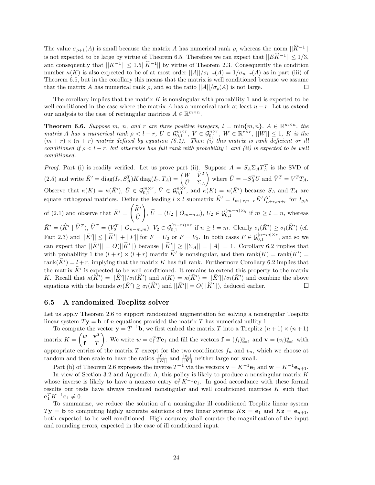The value  $\sigma_{\rho+1}(A)$  is small because the matrix *A* has numerical rank  $\rho$ , whereas the norm  $||\hat{K}^{-1}||$ is not expected to be large by virtue of Theorem 6.5. Therefore we can expect that  $||E\hat{K}^{-1}|| \leq 1/3$ , and consequently that  $||K^{-1}|| \leq 1.5||K^{-1}||$  by virtue of Theorem 2.3. Consequently the condition number  $\kappa(K)$  is also expected to be of at most order  $||A||/\sigma_{l-r}(A) = 1/\sigma_{n-r}(A)$  as in part (iii) of Theorem 6.5, but in the corollary this means that the matrix is well conditioned because we assume that the matrix *A* has numerical rank  $\rho$ , and so the ratio  $||A||/\sigma_{\rho}(A)$  is not large. П

The corollary implies that the matrix *K* is nonsingular with probability 1 and is expected to be well conditioned in the case where the matrix *A* has a numerical rank at least *n* − *r*. Let us extend our analysis to the case of rectangular matrices  $A \in \mathbb{R}^{m \times n}$ .

**Theorem 6.6.** *Suppose m*, *n*, and *r* are three positive integers,  $l = \min\{m, n\}$ ,  $A \in \mathbb{R}^{m \times n}$ , the matrix A has a numerical rank  $\rho < l-r$ ,  $U \in \mathcal{G}_{0,1}^{m \times r}$ ,  $V \in \mathcal{G}_{0,1}^{n \times r}$ ,  $W \in \mathbb{R}^{r \times r}$ ,  $||W|| \leq 1$ , K is the  $(m + r) \times (n + r)$  matrix defined by equation (6.1). Then (i) this matrix is rank deficient or ill *conditioned if*  $\rho < l - r$ *, but otherwise has full rank with probability* 1 *and (ii) is expected to be well conditioned.*

*Proof.* Part (i) is readily verified. Let us prove part (ii). Suppose  $A = S_A \Sigma_A T_A^T$  is the SVD of  $(2.5)$  and write  $\bar{K}' = \text{diag}(I_r, S_A^T)K \text{diag}(I_r, T_A) = \begin{pmatrix} W & \bar{V}^T & \bar{V}^T & \bar{V}^T & \bar{V}^T \end{pmatrix}$ where  $\bar{U} = -S_A^T U$  and  $\bar{V}^T = V^T T_A$ .  $\bar{U}$   $\Sigma_A$ Observe that  $\kappa(K) = \kappa(\bar{K}')$ ,  $\bar{U} \in \mathcal{G}_{0,1}^{m \times r}$ ,  $\bar{V} \in \mathcal{G}_{0,1}^{n \times r}$ , and  $\kappa(K) = \kappa(\bar{K}')$  because  $S_A$  and  $T_A$  are square orthogonal matrices. Define the leading  $l \times l$  submatrix  $\widehat{K}^{\prime} = I_{m+r,n+r} \overline{K}^{\prime} I_{n+r,m+r}^T$  for  $I_{g,h}$ of (2.1) and observe that  $\bar{K}' = \begin{pmatrix} \hat{K}' & \hat{K} \\ \hat{K} & \hat{K} \end{pmatrix}$  $\left( \int_{0}^{L} f(x) \right) = (U_2 \mid O_{m-n,n}), U_2 \in \mathcal{G}_{0,1}^{(m-n) \times q}$  if  $m \geq l = n$ , whereas *U*  $\bar{K}' = (\widehat{K}' | \widehat{V}^T), \widehat{V}^T = (V_2^T | O_{n-m,m}), V_2 \in \mathcal{G}_{0,1}^{(n-m)\times r}$  if  $n \geq l = m$ . Clearly  $\sigma_l(\bar{K}') \geq \sigma_l(\widehat{K}')$  (cf.  $\text{Fact 2.3) and } ||\bar{K}'|| \leq ||\hat{K}'|| + ||F|| \text{ for } F = U_2 \text{ or } F = V_2. \text{ In both cases } F \in \mathcal{G}_{0,1}^{|n-m| \times r}, \text{ and so we}$ can expect that  $||\bar{K}|| = O(||\hat{K}||)$  because  $||\hat{K}|| \ge ||\Sigma_A|| = ||A|| = 1$ . Corollary 6.2 implies that with probability 1 the  $(l + r) \times (l + r)$  matrix  $\hat{K}'$  is nonsingular, and then  $rank(K) = rank(\overline{K}')$ rank $(K') = l + r$ , implying that the matrix *K* has full rank. Furthermore Corollary 6.2 implies that the matrix  $\hat{K}'$  is expected to be well conditioned. It remains to extend this property to the matrix *K*. Recall that  $\kappa(\hat{K}') = ||\hat{K}'||/\sigma_l(\hat{K}')$  and  $\kappa(K) = \kappa(\bar{K}') = ||\bar{K}'||/\sigma_l(\bar{K}')$  and combine the above equations with the bounds  $\sigma_l(\bar{K}') \geq \sigma_l(\hat{K}')$  and  $||\bar{K}'|| = O(||\hat{K}'||)$ , deduced earlier. 口

#### **6.5 A randomized Toeplitz solver**

Let us apply Theorem 2.6 to support randomized augmentation for solving a nonsingular Toeplitz linear system  $T$ **y** = **b** of *n* equations provided the matrix *T* has numerical nullity 1.

To compute the vector  $\mathbf{y} = T^{-1}\mathbf{b}$ , we first embed the matrix *T* into a Toeplitz  $(n+1) \times (n+1)$ matrix  $K = \begin{pmatrix} w & \mathbf{v}^T \\ \mathbf{r} & T \end{pmatrix}$ **f** *T* ). We write  $w = \mathbf{e}_1^T T \mathbf{e}_1$  and fill the vectors  $\mathbf{f} = (f_i)_{i=1}^n$  and  $\mathbf{v} = (v_i)_{i=1}^n$  with appropriate entries of the matrix *T* except for the two coordinates  $f_n$  and  $v_n$ , which we choose at random and then scale to have the ratios  $\frac{|f_n|}{||K||}$  and  $\frac{|v_n|}{||K||}$  neither large nor small.

Part (b) of Theorem 2.6 expresses the inverse  $T^{-1}$  via the vectors  $\mathbf{v} = K^{-1} \mathbf{e}_1$  and  $\mathbf{w} = K^{-1} \mathbf{e}_{n+1}$ . In view of Section 3.2 and Appendix A, this policy is likely to produce a nonsingular matrix *K* whose inverse is likely to have a nonzero entry  $\mathbf{e}_1^T K^{-1} \mathbf{e}_1$ . In good accordance with these formal results our tests have always produced nonsingular and well conditioned matrices *K* such that  $e_1^T K^{-1} e_1 \neq 0.$ 

To summarize, we reduce the solution of a nonsingular ill conditioned Toeplitz linear system  $T$ **y** = **b** to computing highly accurate solutions of two linear systems  $K$ **x** = **e**<sub>1</sub> and  $K$ **z** = **e**<sub>*n*+1</sub>, both expected to be well conditioned. High accuracy shall counter the magnification of the input and rounding errors, expected in the case of ill conditioned input.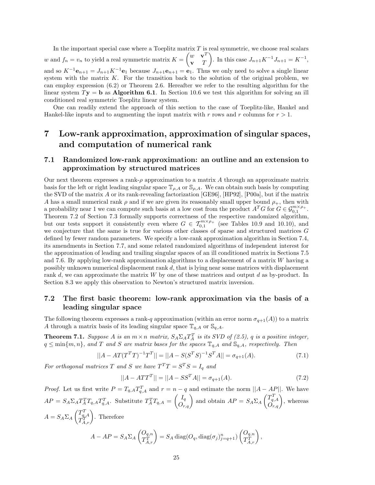In the important special case where a Toeplitz matrix *T* is real symmetric, we choose real scalars *w* and  $f_n = v_n$  to yield a real symmetric matrix  $K = \begin{pmatrix} w & \mathbf{v}^T \\ \mathbf{v} & T \end{pmatrix}$ **v** *T* ). In this case  $J_{n+1}K^{-1}J_{n+1} = K^{-1}$ , and so  $K^{-1}\mathbf{e}_{n+1} = J_{n+1}K^{-1}\mathbf{e}_1$  because  $J_{n+1}\mathbf{e}_{n+1} = \mathbf{e}_1$ . Thus we only need to solve a single linear system with the matrix *K*. For the transition back to the solution of the original problem, we can employ expression (6.2) or Theorem 2.6. Hereafter we refer to the resulting algorithm for the linear system  $T$ **y** = **b** as **Algorithm 6.1**. In Section 10.6 we test this algorithm for solving an ill conditioned real symmetric Toeplitz linear system.

One can readily extend the approach of this section to the case of Toeplitz-like, Hankel and Hankel-like inputs and to augmenting the input matrix with *r* rows and *r* columns for *r >* 1.

# **7 Low-rank approximation, approximation of singular spaces, and computation of numerical rank**

## **7.1 Randomized low-rank approximation: an outline and an extension to approximation by structured matrices**

Our next theorem expresses a rank-*ρ* approximation to a matrix *A* through an approximate matrix basis for the left or right leading singular space  $\mathbb{T}_{\rho,A}$  or  $\mathbb{S}_{\rho,A}$ . We can obtain such basis by computing the SVD of the matrix *A* or its rank-revealing factorization [GE96], [HP92], [P00a], but if the matrix *A* has a small numerical rank  $\rho$  and if we are given its reasonably small upper bound  $\rho_+$ , then with a probability near 1 we can compute such basis at a low cost from the product  $A^T G$  for  $G \in \mathcal{G}_{0,1}^{m \times \rho_+}$ . Theorem 7.2 of Section 7.3 formally supports correctness of the respective randomized algorithm, but our tests support it consistently even where  $G \in \mathcal{T}_{0,1}^{m \times \rho_+}$  (see Tables 10.9 and 10.10), and we conjecture that the same is true for various other classes of sparse and structured matrices *G* defined by fewer random parameters. We specify a low-rank approximation algorithm in Section 7.4, its amendments in Section 7.7, and some related randomized algorithms of independent interest for the approximation of leading and trailing singular spaces of an ill conditioned matrix in Sections 7.5 and 7.6. By applying low-rank approximation algorithms to a displacement of a matrix *W* having a possibly unknown numerical displacement rank *d*, that is lying near some matrices with displacement rank *d*, we can approximate the matrix *W* by one of these matrices and output *d* as by-product. In Section 8.3 we apply this observation to Newton's structured matrix inversion.

### **7.2 The first basic theorem: low-rank approximation via the basis of a leading singular space**

The following theorem expresses a rank-*q* approximation (within an error norm  $\sigma_{q+1}(A)$ ) to a matrix *A* through a matrix basis of its leading singular space  $\mathbb{T}_{q,A}$  or  $\mathbb{S}_{q,A}$ .

**Theorem 7.1.** *Suppose A is an*  $m \times n$  *matrix,*  $S_A \Sigma_A T_A^T$  *is its SVD of (2.5), q is a positive integer,*  $q \leq \min\{m, n\}$ , and *T* and *S* are matrix bases for the spaces  $\mathbb{T}_{q,A}$  and  $\mathbb{S}_{q,A}$ , respectively. Then

$$
||A - AT(T^T T)^{-1}T^T|| = ||A - S(S^T S)^{-1}S^T A|| = \sigma_{q+1}(A). \tag{7.1}
$$

*For orthogonal matrices T and S we have*  $T^{T}T = S^{T}S = I_{q}$  *and* 

$$
||A - ATTT|| = ||A - SSTA|| = \sigma_{q+1}(A).
$$
 (7.2)

*Proof.* Let us first write  $P = T_{q,A}T_{q,A}^T$  and  $r = n - q$  and estimate the norm  $||A - AP||$ . We have  $AP = S_A \Sigma_A T_A^T T_{q,A} T_{q,A}^T$ . Substitute  $T_A^T T_{q,A} = \begin{pmatrix} I_q \\ O_{r,q} \end{pmatrix}$  and obtain  $AP = S_A \Sigma_A \begin{pmatrix} T_{q,A}^T \\ O_{r,q} \end{pmatrix}$ , whereas  $A = S_A \Sigma_A \begin{pmatrix} T_{q,A}^T \\ T_{A,r}^T \end{pmatrix}$ . Therefore  $A - AP = S_A \Sigma_A \begin{pmatrix} O_{q,n} \\ T^T \end{pmatrix}$  $\begin{pmatrix} O_{q,n} \ T_{A,r}^T \end{pmatrix} = S_A \, \text{diag}(O_q, \text{diag}(\sigma_j)_{j=q+1}^n) \begin{pmatrix} O_{q,n} \ T_{A,r}^T \end{pmatrix}$  $\left(\begin{matrix} O_{q,n}\ T_{A,r}^T\end{matrix}\right),$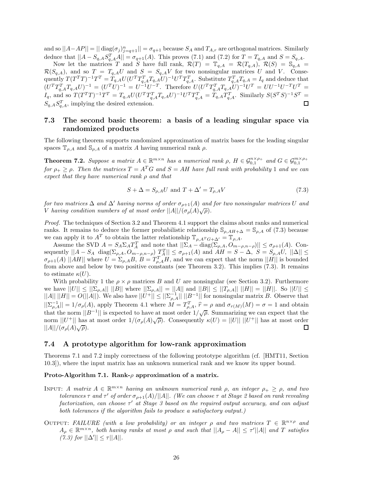and so  $||A - AP|| = || \text{diag}(\sigma_j)_{j=q+1}^n || = \sigma_{q+1}$  because  $S_A$  and  $T_{A,r}$  are orthogonal matrices. Similarly deduce that  $||A - S_{q,A}S_{q,A}^T A|| = \sigma_{q+1}(A)$ . This proves (7.1) and (7.2) for  $T = T_{q,A}$  and  $S = S_{q,A}$ .

Now let the matrices *T* and *S* have full rank,  $\mathcal{R}(T) = \mathbb{T}_{q,A} = \mathcal{R}(T_{q,A})$ ,  $\mathcal{R}(S) = \mathbb{S}_{q,A}$  $\mathcal{R}(S_{q,A})$ , and so  $T = T_{q,A}U$  and  $S = S_{q,A}V$  for two nonsingular matrices U and V. Consequently  $T(T^TT)^{-1}T^T = T_{q,A}U(U^TT_{q,A}^TT_{q,A}U)^{-1}U^TT_{q,A}^T$ . Substitute  $T_{q,A}^TT_{q,A} = I_q$  and deduce that  $(U^{T}T_{q,A}^{T}T_{q,A}U)^{-1} = (U^{T}U)^{-1} = U^{T1}U^{-T}$ . Therefore  $U(U^{T}T_{q,A}^{T}T_{q,A}U)^{-1}U^{T} = UU^{-1}U^{-T}U^{T} =$  $I_q$ , and so  $T(T^T T)^{-1} T^T = T_{q,A} U (U^T T_{q,A}^T T_{q,A} U)^{-1} U^T T_{q,A}^T = T_{q,A} T_{q,A}^T$ . Similarly  $S(S^T S)^{-1} S^T =$  $S_{q,A} S_{q,A}^T$ , implying the desired extension.  $\square$ 

## **7.3 The second basic theorem: a basis of a leading singular space via randomized products**

The following theorem supports randomized approximation of matrix bases for the leading singular spaces  $\mathbb{T}_{\rho,A}$  and  $\mathbb{S}_{\rho,A}$  of a matrix *A* having numerical rank  $\rho$ .

**Theorem 7.2.** Suppose a matrix  $A \in \mathbb{R}^{m \times n}$  has a numerical rank  $\rho$ ,  $H \in \mathcal{G}_{0,1}^{n \times \rho_+}$  and  $G \in \mathcal{G}_{0,1}^{m \times \rho_+}$ *for*  $\rho_+ \geq \rho$ . Then the matrices  $T = A^T G$  and  $S = AH$  have full rank with probability 1 and we can *expect that they have numerical rank ρ and that*

$$
S + \Delta = S_{\rho,A} U \text{ and } T + \Delta' = T_{\rho,A} V \tag{7.3}
$$

*for two matrices*  $\Delta$  *and*  $\Delta'$  *having norms of order*  $\sigma_{p+1}(A)$  *and for two nonsingular matrices U and V having condition numbers of at most order*  $||A||/(\sigma_{\rho}(A)\sqrt{\rho})$ .

*Proof.* The techniques of Section 3.2 and Theorem 4.1 support the claims about ranks and numerical ranks. It remains to deduce the former probabilistic relationship  $\mathcal{S}_{\rho, AH+\Delta} = \mathcal{S}_{\rho,A}$  of (7.3) because we can apply it to  $A^T$  to obtain the latter relationship  $\mathbb{T}_{\rho, A^T G + \Delta'} = \mathbb{T}_{\rho, A}$ .

Assume the SVD  $A = S_A \Sigma_A T_A^T$  and note that  $||\Sigma_A - \text{diag}(\Sigma_{\rho,A}, O_{m-\rho,n-\rho})|| \leq \sigma_{\rho+1}(A)$ . Consequently  $||A - S_A \text{ diag}(\Sigma_{\rho,A}, O_{m-\rho,n-\rho}) \frac{T_A^T}{r_A}|| \le \sigma_{\rho+1}(A)$  and  $AH = S - \Delta, S = S_{\rho,A}U, ||\Delta|| \le$  $\sigma_{\rho+1}(A)$  ||*AH*|| where  $U = \Sigma_{\rho,A} B$ ,  $B = T_{\rho,A}^T H$ , and we can expect that the norm ||*H*|| is bounded from above and below by two positive constants (see Theorem 3.2). This implies (7.3). It remains to estimate  $\kappa(U)$ .

With probability 1 the  $\rho \times \rho$  matrices *B* and *U* are nonsingular (see Section 3.2). Furthermore we have  $||U|| \le ||\sum_{\rho,A}|| ||B||$  where  $||\sum_{\rho,A}|| = ||A||$  and  $||B|| \le ||T_{\rho,A}|| ||H|| = ||H||$ . So  $||U|| \le$  $||A|| \, ||H|| = O(||A||)$ . We also have  $||U^+|| \leq ||\Sigma_{\rho,A}^{-1}|| \, ||B^{-1}||$  for nonsingular matrix *B*. Observe that  $||\sum_{\rho,A}^{-1}|| = 1/\sigma_{\rho}(A)$ , apply Theorem 4.1 where  $M = T_{\rho,A}^T$ ,  $\hat{r} = \rho$  and  $\sigma_{r(M)}(M) = \sigma = 1$  and obtain that the norm  $||B^{-1}||$  is expected to have at most order  $1/\sqrt{\rho}$ . Summarizing we can expect that the norm  $||U^+||$  has at most order  $1/(\sigma_\rho(A)\sqrt{\rho})$ . Consequently  $\kappa(U) = ||U|| ||U^+||$  has at most order  $||A||/(\sigma_{\rho}(A)\sqrt{\rho}).$ □

#### **7.4 A prototype algorithm for low-rank approximation**

Theorems 7.1 and 7.2 imply correctness of the following prototype algorithm (cf. [HMT11, Section 10.3]), where the input matrix has an unknown numerical rank and we know its upper bound.

#### **Proto-Algorithm 7.1. Rank-***ρ* **approximation of a matrix.**

- INPUT: *A matrix*  $A \in \mathbb{R}^{m \times n}$  *having an unknown numerical rank*  $\rho$ *, an integer*  $\rho_+ \geq \rho$ *, and two tolerances τ and*  $\tau'$  *of order*  $\sigma_{\rho+1}(A)/||A||$ *. (We can choose τ at Stage 2 based on rank revealing factorization, can choose τ at Stage 3 based on the required output accuracy, and can adjust both tolerances if the algorithm fails to produce a satisfactory output.)*
- OUTPUT: *FAILURE* (with a low probability) or an integer  $\rho$  and two matrices  $T \in \mathbb{R}^{n \times \rho}$  and  $A_{\rho} \in \mathbb{R}^{m \times n}$ , both having ranks at most  $\rho$  and such that  $||A_{\rho} - A|| \leq \tau'||A||$  and *T* satisfies  $(7.3)$  for  $||\Delta'|| \leq \tau ||A||$ .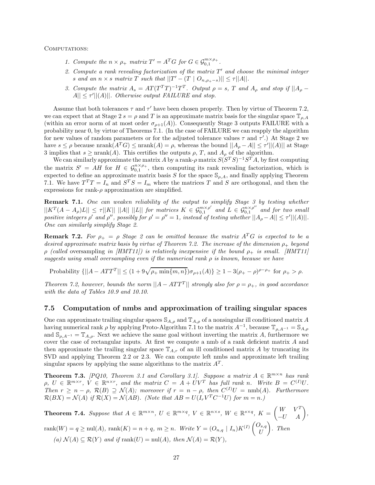COMPUTATIONS:

- *1. Compute the*  $n \times \rho_+$  *matrix*  $T' = A^T G$  *for*  $G \in \mathcal{G}_{0,1}^{m \times \rho_+}$ *.*
- *2. Compute a rank revealing factorization of the matrix T and choose the minimal integer s* and an  $n \times s$  *matrix*  $T$  *such that*  $||T' - (T \mid O_{n, \rho_+ - s})|| \leq \tau ||A||$ *.*
- 3. Compute the matrix  $A_s = AT(T^T T)^{-1}T^T$ . Output  $\rho = s$ , T and  $A_\rho$  and stop if  $||A_\rho A|| \leq \tau' ||(A)||$ *. Otherwise output FAILURE and stop.*

Assume that both tolerances  $\tau$  and  $\tau'$  have been chosen properly. Then by virtue of Theorem 7.2, we can expect that at Stage 2  $s = \rho$  and *T* is an approximate matrix basis for the singular space  $\mathbb{T}_{\rho,A}$ (within an error norm of at most order  $\sigma_{\rho+1}(A)$ ). Consequently Stage 3 outputs FAILURE with a probability near 0, by virtue of Theorems 7.1. (In the case of FAILURE we can reapply the algorithm for new values of random parameters or for the adjusted tolerance values *τ* and *τ* .) At Stage 2 we have  $s \leq \rho$  because  $\text{nrank}(A^T G) \leq \text{nrank}(A) = \rho$ , whereas the bound  $||A_{\rho} - A|| \leq \tau'||(A)||$  at Stage 3 implies that  $s \geq \text{nrank}(A)$ . This certifies the outputs  $\rho$ ,  $T$ , and  $A_{\rho}$  of the algorithm.

We can similarly approximate the matrix *A* by a rank- $\rho$  matrix  $S(S^T S)^{-1}S^T A$ , by first computing the matrix  $S' = AH$  for  $H \in \mathcal{G}_{0,1}^{n \times p_+}$ , then computing its rank revealing factorization, which is expected to define an approximate matrix basis *S* for the space  $\mathcal{S}_{\rho,A}$ , and finally applying Theorem 7.1. We have  $T^T T = I_n$  and  $S^T S = I_m$  where the matrices *T* and *S* are orthogonal, and then the expressions for rank- $\rho$  approximation are simplified.

**Remark 7.1.** *One can weaken reliability of the output to simplify Stage 3 by testing whether*  $||K^T(A-A_\rho)L|| \leq \tau ||K|| ||A|| ||L||$  for matrices  $K \in \mathcal{G}_{0,1}^{m \times \rho'}$  and  $L \in \mathcal{G}_{0,1}^{n \times \rho''}$  and for two small *positive integers*  $\rho'$  and  $\rho''$ , possibly for  $\rho' = \rho'' = 1$ , instead of testing whether  $||A_{\rho} - A|| \leq \tau'||(A)||$ . *One can similarly simplify Stage 2.*

**Remark 7.2.** *For*  $\rho_+ = \rho$  *Stage 2 can be omitted because the matrix*  $A^T G$  *is expected to be a desired approximate matrix basis by virtue of Theorem 7.2. The increase of the dimension ρ*<sup>+</sup> *beyond ρ (called* oversampling *in [HMT11]) is relatively inexpensive if the bound ρ*<sup>+</sup> *is small. [HMT11] suggests using small oversampling even if the numerical rank ρ is known, because we have*

 $\text{Probability } \{||A - ATT^T|| \leq (1 + 9\sqrt{\rho_+ \min\{m, n\}})\sigma_{\rho+1}(A)\} \geq 1 - 3(\rho_+ - \rho)^{\rho - \rho_+} \text{ for } \rho_+ > \rho.$ 

*Theorem 7.2, however, bounds the norm*  $||A - ATT^T||$  *strongly also for*  $\rho = \rho_+$ *, in good accordance with the data of Tables 10.9 and 10.10.*

#### **7.5 Computation of nmbs and approximation of trailing singular spaces**

One can approximate trailing singular spaces S*A,ρ* and T*A,ρ* of a nonsingular ill conditioned matrix *A* having numerical rank  $\rho$  by applying Proto-Algorithm 7.1 to the matrix  $A^{-1}$ , because  $\mathbb{T}_{\rho,A^{-1}} = \mathbb{S}_{A,\rho}$ and  $\mathcal{S}_{\rho,A^{-1}} = \mathbb{T}_{A,\rho}$ . Next we achieve the same goal without inverting the matrix *A*, furthermore we cover the case of rectangular inputs. At first we compute a nmb of a rank deficient matrix *A* and then approximate the trailing singular space  $\mathbb{T}_{A,r}$  of an ill conditioned matrix A by truncating its SVD and applying Theorem 2.2 or 2.3. We can compute left nmbs and approximate left trailing singular spaces by applying the same algorithms to the matrix  $A<sup>T</sup>$ .

**Theorem 7.3.** *[PQ10, Theorem 3.1 and Corollary 3.1]. Suppose a matrix*  $A \in \mathbb{R}^{m \times n}$  *has rank*  $\rho, U \in \mathbb{R}^{m \times r}, V \in \mathbb{R}^{n \times r}$ , and the matrix  $C = A + UV^T$  has full rank n. Write  $B = C^{(I)}U$ . *Then*  $r \geq n - \rho$ ,  $\mathcal{R}(B) \supseteq \mathcal{N}(A)$ ; moreover if  $r = n - \rho$ , then  $C^{(I)}U = \text{nmb}(A)$ *. Furthermore*  $\mathcal{R}(BX) = \mathcal{N}(A)$  *if*  $\mathcal{R}(X) = \mathcal{N}(AB)$ *. (Note that*  $AB = U(I_rV^TC^{-1}U)$  *for*  $m = n$ *.)* 

**Theorem 7.4.** Suppose that 
$$
A \in \mathbb{R}^{m \times n}
$$
,  $U \in \mathbb{R}^{m \times q}$ ,  $V \in \mathbb{R}^{n \times s}$ ,  $W \in \mathbb{R}^{s \times q}$ ,  $K = \begin{pmatrix} W & V^T \\ -U & A \end{pmatrix}$ ,  
\n $rank(W) = q \geq null(A)$ ,  $rank(K) = n + q$ ,  $m \geq n$ . Write  $Y = (O_{n,q} | I_n)K^{(I)} \begin{pmatrix} O_{s,q} \\ U \end{pmatrix}$ . Then  
\n(a)  $\mathcal{N}(A) \subseteq \mathcal{R}(Y)$  and if  $rank(U) = null(A)$ , then  $\mathcal{N}(A) = \mathcal{R}(Y)$ ,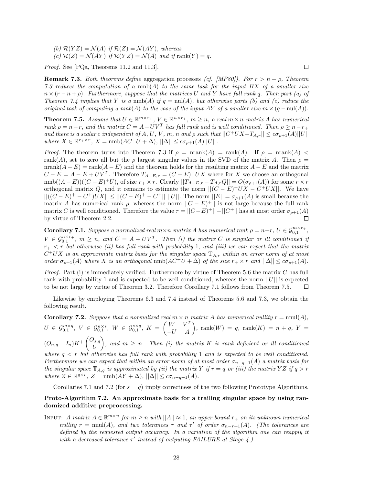*(b)*  $\mathcal{R}(YZ) = \mathcal{N}(A)$  *if*  $\mathcal{R}(Z) = \mathcal{N}(AY)$ *, whereas* (c)  $\mathcal{R}(Z) = \mathcal{N}(AY)$  *if*  $\mathcal{R}(YZ) = \mathcal{N}(A)$  *and if*  $\text{rank}(Y) = q$ *.* 

*Proof.* See [PQa, Theorems 11.2 and 11.3].

**Remark 7.3.** *Both theorems define* aggregation processes *(cf. [MP80]). For r>n* − *ρ, Theorem 7.3 reduces the computation of a* nmb(*A*) *to the same task for the input BX of a smaller size*  $n \times (r - n + \rho)$ . Furthermore, suppose that the matrices U and Y have full rank *q*. Then part (*a*) of *Theorem 7.4 implies that Y is a* nmb(*A*) *if*  $q = \text{null}(A)$ *, but otherwise parts (b) and (c) reduce the original task of computing a nmb* $(A)$  *to the case of the input AY of a smaller size*  $m \times (q - \text{null}(A))$ *.* 

**Theorem 7.5.** Assume that  $U \in \mathbb{R}^{m \times r_+}$ ,  $V \in \mathbb{R}^{n \times r_+}$ ,  $m \geq n$ , a real  $m \times n$  matrix *A* has numerical *rank*  $\rho = n - r$ *, and the matrix*  $C = A + UV^T$  *has full rank and is well conditioned. Then*  $\rho \geq n - r_+$ and there is a scalar c independent of A, U, V, m, n and  $\rho$  such that  $||C^+UX - T_{A,r}|| \leq c\sigma_{\rho+1}(A)||U||$  $where X \in \mathbb{R}^{r+ \times r}, X = \text{nmb}(AC^+U + \Delta), ||\Delta|| \leq c\sigma_{\rho+1}(A)||U||.$ 

*Proof.* The theorem turns into Theorem 7.3 if  $\rho = \text{nrank}(A) = \text{rank}(A)$ . If  $\rho = \text{nrank}(A)$ rank(*A*), set to zero all but the *ρ* largest singular values in the SVD of the matrix *A*. Then  $\rho =$ nrank $(A - E)$  = rank $(A - E)$  and the theorem holds for the resulting matrix  $A - E$  and the matrix *C* −  $E$  = *A* − *E* + *UV<sup>T</sup>*. Therefore  $T_{A-E,r} = (C - E)^+ U X$  where for *X* we choose an orthogonal  $\text{nmb}((A-E))((C-E)^+U)$ , of size  $r_+ \times r$ . Clearly  $||T_{A-E,r} - T_{A,r}Q|| = O(\sigma_{\rho+1}(A))$  for some  $r \times r$ orthogonal matrix *Q*, and it remains to estimate the norm  $||(C - E)^+UX - C^+UX||$ . We have || $((C − E)^+ − C^+)UX|| ≤ ||(C − E)^+ − C^+|| ||U||$ . The norm  $||E|| = \sigma_{\rho+1}(A)$  is small because the matrix *A* has numerical rank *ρ*, whereas the norm  $||C - E$ <sup>+</sup> $||$  is not large because the full rank matrix *C* is well conditioned. Therefore the value  $\tau = ||C - E|^+|| - ||C^+||$  has at most order  $\sigma_{\rho+1}(A)$ by virtue of Theorem 2.2. 口

**Corollary 7.1.** *Suppose a normalized real*  $m \times n$  *matrix A has numerical rank*  $\rho = n-r$ ,  $U \in \mathcal{G}_{0,1}^{m \times r_+}$ ,  $V \in \mathcal{G}_{0,1}^{n \times r_+}, m \geq n$ , and  $C = A + UV^T$ . Then (i) the matrix *C* is singular or ill conditioned if  $r_{+}$  *< r' but otherwise (ii) has full rank with probability 1, and (iii) we can expect that the matrix*  $C^+UX$  *is an approximate matrix basis for the singular space*  $\mathbb{T}_{A,r}$  *within an error norm of at most order*  $\sigma_{\rho+1}(A)$  *where X is an orthogonal* nmb( $AC^+U + \Delta$ ) *of the size*  $r_+ \times r$  *and*  $||\Delta|| \leq c\sigma_{\rho+1}(A)$ *.* 

*Proof.* Part (i) is immediately verified. Furthermore by virtue of Theorem 5.6 the matrix *C* has full rank with probability 1 and is expected to be well conditioned, whereas the norm ||*U*|| is expected to be not large by virtue of Theorem 3.2. Therefore Corollary 7.1 follows from Theorem 7.5. 口

Likewise by employing Theorems 6.3 and 7.4 instead of Theorems 5.6 and 7.3, we obtain the following result.

**Corollary 7.2.** *Suppose that a normalized real*  $m \times n$  *matrix A has numerical nullity*  $r = \text{nnul}(A)$ *,*  $U\,\in\,\mathcal{G}^{m\times q}_{0,1},\;V\,\in\,\mathcal{G}^{n\times s}_{0,1},\;W\,\in\,\mathcal{G}^{s\times q}_{0,1},\;K\,=\,\begin{pmatrix} W&V^T\ -U&A\end{pmatrix},\;\text{rank}(W)\,=\,q,\;\text{rank}(K)\,=\,n\,+\,q,\;Y\,=\,N\,$  $(O_{n,q} | I_n)K^+\binom{O_{s,q}}{I}$ *U*  $\left\{ \rho, \rho \geq n$ . Then (i) the matrix K is rank deficient or ill conditioned where  $q < r$  but otherwise has full rank with probability 1 and is expected to be well conditioned. *Furthermore we can expect that within an error norm of at most order*  $\sigma_{n-q+1}(A)$  *a matrix basis for the singular space*  $\mathbb{T}_{A,q}$  *is approximated by (ii) the matrix Y if*  $r = q$  *or (iii) the matrix YZ if*  $q > r$  $where Z \in \mathbb{R}^{q \times r}, Z = \text{nmb}(AY + \Delta), ||\Delta|| \leq c\sigma_{n-q+1}(A).$ 

Corollaries 7.1 and 7.2 (for  $s = q$ ) imply correctness of the two following Prototype Algorithms.

### **Proto-Algorithm 7.2. An approximate basis for a trailing singular space by using randomized additive preprocessing.**

INPUT: *A matrix*  $A \in \mathbb{R}^{m \times n}$  *for*  $m \geq n$  *with*  $||A|| \approx 1$ *, an upper bound*  $r_+$  *on its unknown numerical nullity*  $r = \text{nnul}(A)$ *, and two tolerances*  $\tau$  *and*  $\tau'$  *of order*  $\sigma_{n-r+1}(A)$ *. (The tolerances are defined by the requested output accuracy. In a variation of the algorithm one can reapply it with a decreased tolerance*  $τ'$  *instead of outputing FAILURE at Stage 4.)* 

 $\Box$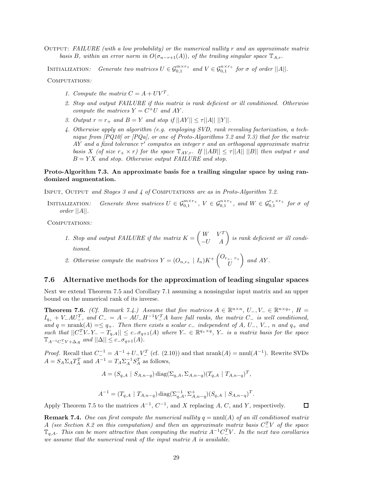Output: *FAILURE (with a low probability) or the numerical nullity r and an approximate matrix basis B, within an error norm in*  $O(\sigma_{n-r+1}(A))$ *, of the trailing singular space*  $\mathbb{T}_{A,r}$ *.* 

INITIALIZATION: Generate two matrices  $U \in \mathcal{G}_{0,1}^{m \times r_+}$  and  $V \in \mathcal{G}_{0,1}^{n \times r_+}$  for  $\sigma$  of order  $||A||$ .

Computations*:*

- *1. Compute the matrix*  $C = A + UV^T$ .
- *2. Stop and output FAILURE if this matrix is rank deficient or ill conditioned. Otherwise compute the matrices*  $Y = C^+U$  *and*  $AY$ .
- *3. Output*  $r = r_+$  *and*  $B = Y$  *and stop if*  $||AY|| \leq \tau ||A|| ||Y||$ *.*
- *4. Otherwise apply an algorithm (e.g. employing SVD, rank revealing factorization, a technique from [PQ10] or [PQa], or one of Proto-Algorithms 7.2 and 7.3) that for the matrix AY and a fixed tolerance τ computes an integer r and an orthogonal approximate matrix basis X* (of size  $r_+ \times r$ ) for the space  $\mathbb{T}_{AY,r}$ . If  $||AB|| \leq \tau ||A|| ||B||$  then output r and *B* = *Y X and stop. Otherwise output FAILURE and stop.*

#### **Proto-Algorithm 7.3. An approximate basis for a trailing singular space by using randomized augmentation.**

Input, Output *and Stages 3 and 4 of* Computations *are as in Proto-Algorithm 7.2.*

INITIALIZATION: Generate three matrices  $U \in \mathcal{G}_{0,1}^{m \times r_+}$ ,  $V \in \mathcal{G}_{0,1}^{n \times r_+}$ , and  $W \in \mathcal{G}_{0,1}^{r_+ \times r_+}$  for  $\sigma$  of *order* ||*A*||*.*

Computations*:*

*1. Stop and output FAILURE if the matrix*  $K = \begin{pmatrix} W & V^T \\ -U & A \end{pmatrix}$  is rank deficient or ill condi*tioned.*

2. Otherwise compute the matrices 
$$
Y = (O_{n,r_+} | I_n)K^+\begin{pmatrix} O_{r_+, r_+} \\ U \end{pmatrix}
$$
 and  $AY$ .

#### **7.6 Alternative methods for the approximation of leading singular spaces**

Next we extend Theorem 7.5 and Corollary 7.1 assuming a nonsingular input matrix and an upper bound on the numerical rank of its inverse.

**Theorem 7.6.** *(Cf. Remark 7.4.) Assume that five matrices*  $A \in \mathbb{R}^{n \times n}$ ,  $U_-, V_- \in \mathbb{R}^{n \times q_+}$ ,  $H =$  $I_{q+} + V_-\mathcal{A}U_{-}^T$ , and  $C_-=A-\mathcal{A}U_-\mathcal{H}^{-1}V_-^T\mathcal{A}$  have full ranks, the matrix  $C_-$  is well conditioned,  $\alpha$ *nd*  $q = \text{nrank}(A) = \leq q_+$ *. Then there exists a scalar*  $c_-\$  *independent of*  $A$ *,*  $U_-, V_-, n$  *and*  $q_+$  *and such that*  $||C_1^T V_- Y_- - T_{q,A}|| ≤ c_−σ_{q+1}(A)$  *where*  $Y_− ∈ ℝ<sup>q+×q</sup>, Y_−$  *is a matrix basis for the space*  $\mathbb{T}_{A^{-1}C_{-}^{T}V + \Delta,q}$  *and*  $||\Delta|| \leq c_{-}\sigma_{q+1}(A)$ *.* 

*Proof.* Recall that  $C^{-1} = A^{-1} + U - V^T$  (cf. (2.10)) and that  $nrank(A) = null(A^{-1})$ . Rewrite SVDs  $A = S_A \Sigma_A T_A^T$  and  $A^{-1} = T_A \Sigma_A^{-1} S_A^T$  as follows,

$$
A = (S_{q,A} \mid S_{A,n-q}) \operatorname{diag}(\Sigma_{q,A}, \Sigma_{A,n-q})(T_{q,A} \mid T_{A,n-q})^T,
$$

$$
A^{-1} = (T_{q,A} \mid T_{A,n-q}) \operatorname{diag}(\Sigma_{q,A}^{-1}, \Sigma_{A,n-q}^+)(S_{q,A} \mid S_{A,n-q})^T.
$$

Apply Theorem 7.5 to the matrices  $A^{-1}$ ,  $C^{-1}$ , and *X* replacing *A*, *C*, and *Y*, respectively.

**Remark 7.4.** One can first compute the numerical nullity  $q = \text{null}(A)$  of an ill conditioned matrix *A (see Section 8.2 on this computation) and then an approximate matrix basis*  $C^T$  *C of the space*  $\mathbb{T}_{q,A}$ *. This can be more attractive than computing the matrix*  $A^{-1}C^{T}_{-V}V$ *. In the next two corollaries we assume that the numerical rank of the input matrix A is available.*

 $\Box$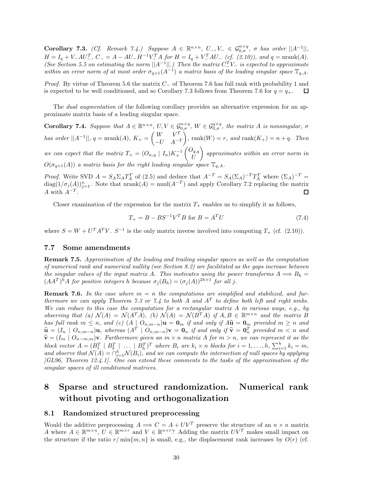**Corollary 7.3.** *(Cf. Remark 7.4.) Suppose*  $A \in \mathbb{R}^{n \times n}$ ,  $U_-, V_- \in \mathcal{G}_{0,\sigma}^{n \times q}$ ,  $\sigma$  *has order*  $||A^{-1}||$ ,  $H = I_q + V_A U^T$ ,  $C_- = A - AU_- H^{-1} V^T_A$  for  $H = I_q + V^T_A A U_-(cf. (2.10))$ , and  $q = \text{nrank}(A)$ . *(See Section 5.5 on estimating the norm*  $||A^{-1}||$ *.) Then the matrix*  $C^T$ V<sub>−</sub> *is expected to approximate within an error norm of at most order*  $\sigma_{q+1}(A^{-1})$  *a matrix basis of the leading singular space*  $\mathbb{T}_{q,A}$ *.* 

*Proof.* By virtue of Theorem 5.6 the matrix  $C_$  of Theorem 7.6 has full rank with probability 1 and is expected to be well conditioned, and so Corollary 7.3 follows from Theorem 7.6 for  $q = q_+$ . □

The *dual augmentation* of the following corollary provides an alternative expression for an approximate matrix basis of a leading singular space.

**Corollary 7.4.** Suppose that  $A \in \mathbb{R}^{n \times n}$ ,  $U, V \in \mathcal{G}_{0,\sigma}^{n \times q}$ ,  $W \in \mathcal{G}_{0,\sigma}^{q \times q}$ , the matrix A is nonsingular,  $\sigma$ *has order*  $||A^{-1}||$ *, q* = nrank(*A*)*, K*<sub>+</sub> =  $\begin{pmatrix} W & V^T \\ V & 1 \end{pmatrix}$ −*U A*−*<sup>T</sup>*  $\bigg), \text{ rank}(W) = r, \text{ and } \text{rank}(K_+) = n + q.$  Then *we can expect that the matrix*  $T_+ = (O_{n,q} \mid I_n)K_+^{-1} \begin{pmatrix} O_{q,q} & I_n \\ I_n & I_n \end{pmatrix}$ *U* - *approximates within an error norm in*  $O(\sigma_{q+1}(A))$  *a matrix basis for the right leading singular space*  $\mathbb{T}_{q,A}$ *.* 

*Proof.* Write SVD  $A = S_A \Sigma_A T_A^T$  of (2.5) and deduce that  $A^{-T} = S_A(\Sigma_A)^{-T} T_A^T$  where  $(\Sigma_A)^{-T} =$  $\text{diag}(1/\sigma_j(A))_{j=1}^n$ . Note that  $\text{nrank}(A) = \text{mul}(A^{-T})$  and apply Corollary 7.2 replacing the matrix  $A$  with  $A^{-T}$ . 口

Closer examination of the expression for the matrix  $T_+$  enables us to simplify it as follows,

$$
T_{+} = B - BS^{-1}V^{T}B \text{ for } B = A^{T}U \tag{7.4}
$$

where  $S = W + U^T A^T V$ .  $S^{-1}$  is the only matrix inverse involved into computing  $T_+$  (cf. (2.10)).

#### **7.7 Some amendments**

**Remark 7.5.** *Approximation of the leading and trailing singular spaces as well as the computation of numerical rank and numerical nullity (see Section 8.2) are facilitated as the gaps increase between the singular values of the input matrix A. This motivates using the power transforms*  $A \implies B_h =$  $(AA^T)^h A$  *for positive integers h because*  $\sigma_i(B_h) = (\sigma_i(A))^{2h+1}$  *for all j*.

**Remark 7.6.** In the case where  $m = n$  the computations are simplified and stabilized, and fur*thermore we can apply Theorem 7.3 or 7.4 to both*  $A$  *and*  $A<sup>T</sup>$  *to define both left and right nmbs. We can reduce to this case the computation for a rectangular matrix A in various ways, e.g., by observing that (a)*  $\mathcal{N}(A) = \mathcal{N}(A^T A)$ *, (b)*  $\mathcal{N}(A) = \mathcal{N}(B^T A)$  *if*  $A, B \in \mathbb{R}^{m \times n}$  *and the matrix B* has full rank  $m \leq n$ , and (c)  $(A \mid O_{n,m-n})$ **u** = **0**<sub>m</sub> if and only if  $A\hat{u} = 0$ <sub>m</sub> provided  $m \geq n$  and  $\hat{\mathbf{u}} = (I_n \mid O_{n,m-n})\mathbf{u}$ , whereas  $(A^T \mid O_{n,m-n})\mathbf{v} = \mathbf{0}_n$  if and only if  $\hat{\mathbf{v}} = \mathbf{0}_n^T$  provided  $m < n$  and  $\hat{\mathbf{v}} = (I_n \mid O_{n,m-n})\mathbf{v}$ . Earthermore given an  $m \times n$  matrix A for  $m > n$ , we can represent it as  $\hat{\mathbf{v}} = (I_m \mid O_{n-m,m})\mathbf{v}$ *. Furthermore given an*  $m \times n$  *matrix A* for  $m > n$ *, we can represent it as the* block vector  $A = (B_1^T \mid B_2^T \mid \ldots \mid B_h^T)^T$  where  $B_i$  are  $k_i \times n$  blocks for  $i = 1, \ldots, h$ ,  $\sum_{i=1}^h k_i = m$ , and observe that  $\mathcal{N}(A) = \bigcap_{i=1}^h \mathcal{N}(B_i)$ , and we can compute the intersection of null spaces by applying *[GL96, Theorem 12.4.1]. One can extend these comments to the tasks of the approximation of the singular spaces of ill conditioned matrices.*

# **8 Sparse and structured randomization. Numerical rank without pivoting and orthogonalization**

#### **8.1 Randomized structured preprocessing**

Would the additive preprocessing  $A \implies C = A + UV^T$  preserve the structure of an  $n \times n$  matrix *A* where  $A \in \mathbb{R}^{m \times n}$ ,  $U \in \mathbb{R}^{m \times r}$  and  $V \in \mathbb{R}^{n \times r}$ ? Adding the matrix  $UV^T$  makes small impact on the structure if the ratio  $r/\min\{m, n\}$  is small, e.g., the displacement rank increases by  $O(r)$  (cf.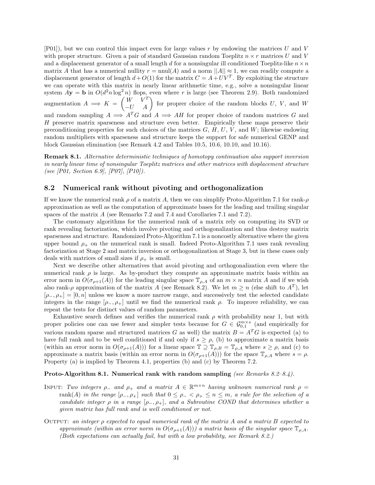[P01]), but we can control this impact even for large values *r* by endowing the matrices *U* and *V* with proper structure. Given a pair of standard Gaussian random Toeplitz  $n \times r$  matrices U and V and a displacement generator of a small length *d* for a nonsingular ill conditioned Toeplitz-like  $n \times n$ matrix *A* that has a numerical nullity  $r = \text{nnul}(A)$  and a norm  $||A|| \approx 1$ , we can readily compute a displacement generator of length  $d + O(1)$  for the matrix  $C = A + UV^T$ . By exploiting the structure we can operate with this matrix in nearly linear arithmetic time, e.g., solve a nonsingular linear system  $A$ **y** = **b** in  $O(d^2n \log^2 n)$  flops, even where *r* is large (see Theorem 2.9). Both randomized augmentation  $A \implies K = \begin{pmatrix} W & V^T \\ -U & A \end{pmatrix}$  for proprer choice of the random blocks *U*, *V*, and *W* and random sampling  $A \implies A^T G$  and  $A \implies AH$  for proper choice of random matrices G and *H* preserve matrix sparseness and structure even better. Empirically these maps preserve their preconditioning properties for such choices of the matrices *G*, *H*, *U*, *V* , and *W*; likewise endowing random multipliers with sparseness and structure keeps the support for safe numerical GENP and block Gaussian elimination (see Remark 4.2 and Tables 10.5, 10.6, 10.10, and 10.16).

**Remark 8.1.** *Alternative deterministic techniques of homotopy continuation also support inversion in nearly linear time of nonsingular Toeplitz matrices and other matrices with displacement structure (see [P01, Section 6.9], [P07], [P10]).*

#### **8.2 Numerical rank without pivoting and orthogonalization**

If we know the numerical rank *ρ* of a matrix *A*, then we can simplify Proto-Algorithm 7.1 for rank-*ρ* approximation as well as the computation of approximate bases for the leading and trailing singular spaces of the matrix *A* (see Remarks 7.2 and 7.4 and Corollaries 7.1 and 7.2).

The customary algorithms for the numerical rank of a matrix rely on computing its SVD or rank revealing factorization, which involve pivoting and orthogonalization and thus destroy matrix sparseness and structure. Randomized Proto-Algorithm 7.1 is a noncostly alternative where the given upper bound  $\rho_+$  on the numerical rank is small. Indeed Proto-Algorithm 7.1 uses rank revealing factorization at Stage 2 and matrix inversion or orthogonalization at Stage 3, but in these cases only deals with matrices of small sizes if  $\rho_+$  is small.

Next we describe other alternatives that avoid pivoting and orthogonalization even where the numerical rank  $\rho$  is large. As by-product they compute an approximate matrix basis within an error norm in  $O(\sigma_{\rho+1}(A))$  for the leading singular space  $\mathbb{T}_{\rho,A}$  of an  $m \times n$  matrix *A* and if we wish also rank-*ρ* approximation of the matrix *A* (see Remark 8.2). We let  $m \geq n$  (else shift to  $A<sup>T</sup>$ ), let  $[\rho_-, \rho_+] = [0, n]$  unless we know a more narrow range, and successively test the selected candidate integers in the range  $[\rho_-, \rho_+]$  until we find the numerical rank  $\rho$ . To improve reliability, we can repeat the tests for distinct values of random parameters.

Exhaustive search defines and verifies the numerical rank  $\rho$  with probability near 1, but with proper policies one can use fewer and simpler tests because for  $G \in \mathcal{G}_{0,1}^{m \times s}$  (and empirically for various random sparse and structured matrices *G* as well) the matrix  $B = A<sup>T</sup>G$  is expected (a) to have full rank and to be well conditioned if and only if  $s \geq \rho$ , (b) to approximate a matrix basis (within an error norm in  $O(\sigma_{\rho+1}(A))$ ) for a linear space  $\mathbb{T} \supseteq \mathbb{T}_{\rho,B} = \mathbb{T}_{\rho,A}$  where  $s \geq \rho$ , and (c) to approximate a matrix basis (within an error norm in  $O(\sigma_{\rho+1}(A))$ ) for the space  $\mathbb{T}_{\rho,A}$  where  $s = \rho$ . Property (a) is implied by Theorem 4.1, properties (b) and (c) by Theorem 7.2.

#### **Proto-Algorithm 8.1. Numerical rank with random sampling** *(see Remarks 8.2–8.4).*

- INPUT: *Two integers*  $\rho_-\$  *and*  $\rho_+\$  *and a matrix*  $A \in \mathbb{R}^{m \times n}$  *having unknown numerical rank*  $\rho =$ rank(*A*) in the range  $[\rho_-, \rho_+]$  such that  $0 \leq \rho_- \leq \rho_+ \leq n \leq m$ , a rule for the selection of a *candidate integer*  $\rho$  *in a range*  $[\rho_-, \rho_+]$ *, and a Subroutine COND that determines whether a given matrix has full rank and is well conditioned or not.*
- Output: *an integer ρ expected to equal numerical rank of the matrix A and a matrix B expected to approximate (within an error norm in*  $O(\sigma_{p+1}(A))$ ) a matrix basis of the singular space  $\mathbb{T}_{\rho,A}$ *. (Both expectations can actually fail, but with a low probability, see Remark 8.2.)*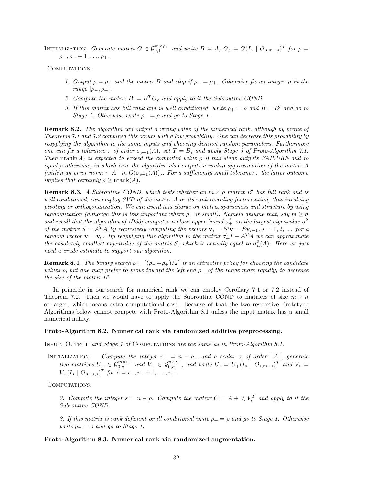INITIALIZATION: *Generate matrix*  $G \in \mathcal{G}_{0,1}^{m \times \rho_+}$  and write  $B = A$ ,  $G_{\rho} = G(I_{\rho} \mid O_{\rho,m-\rho})^T$  for  $\rho =$  $\rho_-, \rho_- + 1, \ldots, \rho_+$ 

Computations*:*

- *1. Output*  $\rho = \rho_+$  *and the matrix B and stop if*  $\rho_- = \rho_+$ *. Otherwise fix an integer*  $\rho$  *in the range*  $[\rho_-, \rho_+]$ *.*
- 2. Compute the matrix  $B' = B^T G_{\rho}$  and apply to it the Subroutine COND.
- *3. If this matrix has full rank and is well conditioned, write*  $\rho_{+} = \rho$  *and*  $B = B'$  *and go to Stage 1. Otherwise write*  $\rho = \rho$  *and go to Stage 1.*

**Remark 8.2.** *The algorithm can output a wrong value of the numerical rank, although by virtue of Theorems 7.1 and 7.2 combined this occurs with a low probability. One can decrease this probability by reapplying the algorithm to the same inputs and choosing distinct random parameters. Furthermore one can fix a tolerance*  $\tau$  *of order*  $\sigma_{\rho+1}(A)$ *, set*  $T = B$ *, and apply Stage 3 of Proto-Algorithm 7.1. Then*  $\text{nrank}(A)$  *is expected to exceed the computed value*  $\rho$  *if this stage outputs FAILURE and to equal ρ otherwise, in which case the algorithm also outputs a rank-ρ approximation of the matrix A*  $(within an error norm \tau ||A|| in O(\sigma_{\rho+1}(A)))$ . For a sufficiently small tolerance  $\tau$  the latter outcome *implies that certainly*  $\rho \geq \text{nrank}(A)$ *.* 

**Remark 8.3.** *A Subroutine COND, which tests whether an m* × *ρ matrix B has full rank and is well conditioned, can employ SVD of the matrix A or its rank revealing factorization, thus involving pivoting or orthogonalization. We can avoid this charge on matrix sparseness and structure by using randomization (although this is less important where*  $\rho_+$  *is small). Namely assume that, say*  $m \geq n$ and recall that the algorithm of [D83] computes a close upper bound  $\sigma^2$  on the largest eigenvalue  $\sigma^2$ of the matrix  $S = A^T A$  by recursively computing the vectors  $\mathbf{v}_i = S^i \mathbf{v} = S \mathbf{v}_{i-1}$ ,  $i = 1, 2, ...$  for a *random vector*  $\mathbf{v} = \mathbf{v}_0$ . By reapplying this algorithm to the matrix  $\sigma_+^2 I - A^T A$  we can approximate *the absolutely smallest eigenvalue of the matrix S, which is actually equal to*  $\sigma_n^2(A)$ *. Here we just need a crude estimate to support our algorithm.*

**Remark 8.4.** *The binary search*  $\rho = \left[\left(\rho_{-} + \rho_{+}\right)/2\right]$  *is an attractive policy for choosing the candidate values ρ, but one may prefer to move toward the left end ρ*<sup>−</sup> *of the range more rapidly, to decrease the size of the matrix B .*

In principle in our search for numerical rank we can employ Corollary 7.1 or 7.2 instead of Theorem 7.2. Then we would have to apply the Subroutine COND to matrices of size  $m \times n$ or larger, which means extra computational cost. Because of that the two respective Prototype Algorithms below cannot compete with Proto-Algorithm 8.1 unless the input matrix has a small numerical nullity.

#### **Proto-Algorithm 8.2. Numerical rank via randomized additive preprocessing.**

Input, Output *and Stage 1 of* Computations *are the same as in Proto-Algorithm 8.1.*

INITIALIZATION: Compute the integer  $r_+ = n - \rho_-$  and a scalar  $\sigma$  of order  $||A||$ , generate two matrices  $U_{+} \in \mathcal{G}_{0,\sigma}^{m \times r_{+}}$  and  $V_{+} \in \mathcal{G}_{0,\sigma}^{n \times r_{+}}$ , and write  $U_{s} = U_{+}(I_{s} \mid O_{s,m-s})^{T}$  and  $V_{s} =$  $V_+(I_s \mid O_{n-s,s})^T$  *for*  $s = r_-, r_- + 1, \ldots, r_+$ .

Computations*:*

2. Compute the integer  $s = n - \rho$ . Compute the matrix  $C = A + U_s V_s^T$  and apply to it the *Subroutine COND.*

*3. If this matrix is rank deficient or ill conditioned write*  $\rho_{+} = \rho$  *and go to Stage 1. Otherwise write*  $\rho_-=\rho$  *and go to Stage 1.* 

**Proto-Algorithm 8.3. Numerical rank via randomized augmentation.**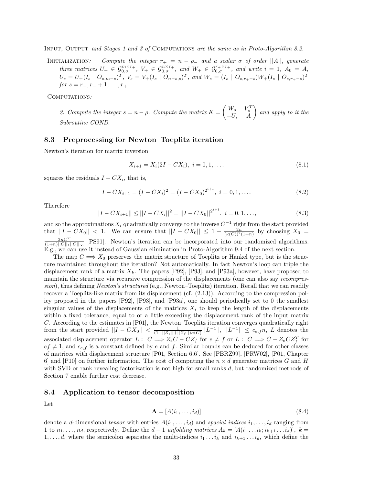Input, Output *and Stages 1 and 3 of* Computations *are the same as in Proto-Algorithm 8.2.*

INITIALIZATION: Compute the integer  $r_+ = n - \rho_-$  and a scalar  $\sigma$  of order  $||A||$ , generate three matrices  $U_+ \in \mathcal{G}_{0,\sigma}^{m \times r_+}$ ,  $V_+ \in \mathcal{G}_{0,\sigma}^{n \times r_+}$ , and  $W_+ \in \mathcal{G}_{0,\sigma}^{r_+ \times r_+}$ , and write  $i = 1$ ,  $A_0 = A$ ,  $U_s = U_+(I_s \mid O_{s,m-s})^T$ ,  $V_s = V_+(I_s \mid O_{n-s,s})^T$ , and  $W_s = (I_s \mid O_{s,r_+-s})W_+(I_s \mid O_{s,r_+-s})^T$ *for*  $s = r_-, r_- + 1, \ldots, r_+$ .

Computations*:*

*2. Compute the integer*  $s = n - \rho$ *. Compute the matrix*  $K = \begin{pmatrix} W_s & V_s^T \\ -U_s & A \end{pmatrix}$ - *and apply to it the Subroutine COND.*

#### **8.3 Preprocessing for Newton–Toeplitz iteration**

Newton's iteration for matrix inversion

$$
X_{i+1} = X_i(2I - CX_i), \quad i = 0, 1, \dots
$$
\n
$$
(8.1)
$$

squares the residuals  $I - CX_i$ , that is,

$$
I - CX_{i+1} = (I - CX_i)^2 = (I - CX_0)^{2^{i+1}}, \ i = 0, 1, .... \tag{8.2}
$$

Therefore

$$
||I - CX_{i+1}|| \le ||I - CX_i||^2 = ||I - CX_0||^{2^{i+1}}, \quad i = 0, 1, ..., \tag{8.3}
$$

and so the approximations  $X_i$  quadratically converge to the inverse  $C^{-1}$  right from the start provided that  $||I - CX_0|| < 1$ . We can ensure that  $||I - CX_0|| \leq 1 - \frac{2n}{(\kappa(C))^2(1+n)}$  by choosing  $X_0 =$  $\frac{2nC^T}{(1+n)||C||_1||C||_{\infty}}$  [PS91]. Newton's iteration can be incorporated into our randomized algorithms. E.g., we can use it instead of Gaussian elimination in Proto-Algorithm 9.4 of the next section.

The map  $C \implies X_0$  preserves the matrix structure of Toeplitz or Hankel type, but is the structure maintained throughout the iteration? Not automatically. In fact Newton's loop can triple the displacement rank of a matrix  $X_k$ . The papers  $[P92]$ ,  $[P93]$ , and  $[P93a]$ , however, have proposed to maintain the structure via recursive compression of the displacements (one can also say *recompression*), thus defining *Newton's structured* (e.g., Newton–Toeplitz) iteration. Recall that we can readily recover a Toeplitz-like matrix from its displacement (cf. (2.13)). According to the compression policy proposed in the papers [P92], [P93], and [P93a], one should periodically set to 0 the smallest singular values of the displacements of the matrices  $X_i$  to keep the length of the displacements within a fixed tolerance, equal to or a little exceeding the displacement rank of the input matrix *C*. According to the estimates in [P01], the Newton–Toeplitz iteration converges quadratically right from the start provided ||*I* − *CX*0|| *<* <sup>1</sup> (1+||*Ze*||+||*Z<sup>f</sup>* ||)*κ*(*C*) ||*L*−<sup>1</sup>||, ||*L*−<sup>1</sup>|| ≤ *<sup>c</sup>e,fn*, *<sup>L</sup>* denotes the associated displacement operator  $L: C \implies Z_eC - CZ_f$  for  $e \neq f$  or  $L: C \implies C - Z_eCZ_f^T$  for  $ef \neq 1$ , and  $c_{e,f}$  is a constant defined by *e* and *f*. Similar bounds can be deduced for other classes of matrices with displacement structure [P01, Section 6.6]. See [PBRZ99], [PRW02], [P01, Chapter 6] and [P10] on further information. The cost of computing the  $n \times d$  generator matrices *G* and *H* with SVD or rank revealing factorization is not high for small ranks *d*, but randomized methods of Section 7 enable further cost decrease.

#### **8.4 Application to tensor decomposition**

Let

$$
\mathbf{A} = [A(i_1, \dots, i_d)] \tag{8.4}
$$

denote a *d*-dimensional *tensor* with entries  $A(i_1, \ldots, i_d)$  and *spacial indices*  $i_1, \ldots, i_d$  ranging from 1 to  $n_1, \ldots, n_d$ , respectively. Define the  $d-1$  *unfolding matrices*  $A_k = [A(i_1 \ldots i_k; i_{k+1} \ldots i_d)], k =$ 1,...,d, where the semicolon separates the multi-indices  $i_1 \nldots i_k$  and  $i_{k+1} \nldots i_d$ , which define the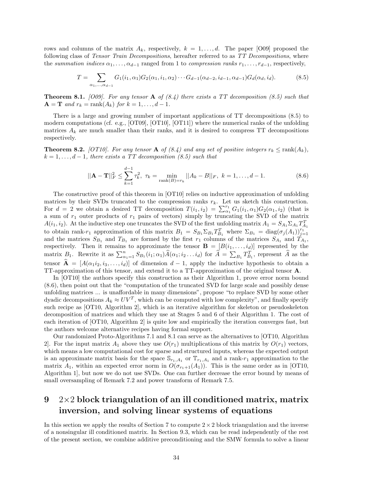rows and columns of the matrix  $A_k$ , respectively,  $k = 1, \ldots, d$ . The paper [O09] proposed the following class of *Tensor Train Decompositions*, hereafter referred to as *TT Decompositions*, where the *summation indices*  $\alpha_1, \ldots, \alpha_{d-1}$  ranged from 1 to *compression ranks*  $r_1, \ldots, r_{d-1}$ , respectively,

$$
T = \sum_{\alpha_1, \dots, \alpha_{d-1}} G_1(i_1, \alpha_1) G_2(\alpha_1, i_1, \alpha_2) \cdots G_{d-1}(\alpha_{d-2}, i_{d-1}, \alpha_{d-1}) G_d(\alpha_d, i_d).
$$
(8.5)

**Theorem 8.1.** *[O09]. For any tensor* **A** *of (8.4) there exists a TT decomposition (8.5) such that*  $A = T$  *and*  $r_k = \text{rank}(A_k)$  *for*  $k = 1, ..., d - 1$ *.* 

There is a large and growing number of important applications of TT decompositions (8.5) to modern computations (cf. e.g., [OT09], [OT10], [OT11]) where the numerical ranks of the unfolding matrices  $A_k$  are much smaller than their ranks, and it is desired to compress TT decompositions respectively.

**Theorem 8.2.** *[OT10]. For any tensor* **A** *of* (8.4) and any set of positive integers  $r_k \leq \text{rank}(A_k)$ ,  $k = 1, \ldots, d - 1$ *, there exists a TT decomposition (8.5) such that* 

$$
||\mathbf{A} - \mathbf{T}||_F^2 \le \sum_{k=1}^{d-1} \tau_k^2, \ \tau_k = \min_{\text{rank}(B) = \tau_k} ||A_k - B||_F, \ k = 1, \dots, d-1.
$$
 (8.6)

The constructive proof of this theorem in [OT10] relies on inductive approximation of unfolding matrices by their SVDs truncated to the compression ranks  $r_k$ . Let us sketch this construction. For  $d = 2$  we obtain a desired TT decomposition  $T(i_1, i_2) = \sum_{\alpha_1}^{r_1} G_1(i_1, \alpha_1) G_2(\alpha_1, i_2)$  (that is a sum of *r*<sup>1</sup> outer products of *r*<sup>1</sup> pairs of vectors) simply by truncating the SVD of the matrix *A*(*i*<sub>1</sub>, *i*<sub>2</sub>). At the inductive step one truncates the SVD of the first unfolding matrix  $A_1 = S_{A_1} \Sigma_{A_1} T_{A_1}^T$ to obtain rank-*r*<sub>1</sub> approximation of this matrix  $B_1 = S_{B_1} \Sigma_{B_1} T_{B_1}^T$  where  $\Sigma_{B_1} = \text{diag}(\sigma_j(A_1))_{j=1}^{r_1}$ and the matrices  $S_{B_1}$  and  $T_{B_1}$  are formed by the first  $r_1$  columns of the matrices  $S_{A_1}$  and  $T_{A_1}$ , respectively. Then it remains to approximate the tensor  $\mathbf{B} = [B(i_1, \ldots, i_d)]$  represented by the matrix  $B_1$ . Rewrite it as  $\sum_{\alpha_1=1}^n S_{B_1}(i_1;\alpha_1) \widehat{A}(\alpha_1;i_2...i_d)$  for  $\widehat{A} = \sum_{B_1} T_{B_1}^T$ , represent  $\widehat{A}$  as the tensor  $\hat{\mathbf{A}} = [A(\alpha_1 i_2, i_3, \ldots, i_d)]$  of dimension  $d-1$ , apply the inductive hypothesis to obtain a TT-approximation of this tensor, and extend it to a TT-approximation of the original tensor **A**.

In [OT10] the authors specify this construction as their Algorithm 1, prove error norm bound (8.6), then point out that the "computation of the truncated SVD for large scale and possibly dense unfolding matrices ... is unaffordable in many dimensions", propose "to replace SVD by some other dyadic decompositions  $A_k \approx UV^T$ , which can be computed with low complexity", and finally specify such recipe as [OT10, Algorithm 2], which is an iterative algorithm for skeleton or pseudoskeleton decomposition of matrices and which they use at Stages 5 and 6 of their Algorithm 1. The cost of each iteration of [OT10, Algorithm 2] is quite low and empirically the iteration converges fast, but the authors welcome alternative recipes having formal support.

Our randomized Proto-Algorithms 7.1 and 8.1 can serve as the alternatives to [OT10, Algorithm 2. For the input matrix  $A_1$  above they use  $O(r_1)$  multiplications of this matrix by  $O(r_1)$  vectors, which means a low computational cost for sparse and structured inputs, whereas the expected output is an approximate matrix basis for the space  $\mathbb{S}_{r_1,A_1}$  or  $\mathbb{T}_{r_1,A_1}$  and a rank- $r_1$  approximation to the matrix  $A_1$ , within an expected error norm in  $O(\sigma_{r_1+1}(A_1))$ . This is the same order as in [OT10, Algorithm 1], but now we do not use SVDs. One can further decrease the error bound by means of small oversampling of Remark 7.2 and power transform of Remark 7.5.

# **9** 2×2 **block triangulation of an ill conditioned matrix, matrix inversion, and solving linear systems of equations**

In this section we apply the results of Section 7 to compute  $2 \times 2$  block triangulation and the inverse of a nonsingular ill conditioned matrix. In Section 9.3, which can be read independently of the rest of the present section, we combine additive preconditioning and the SMW formula to solve a linear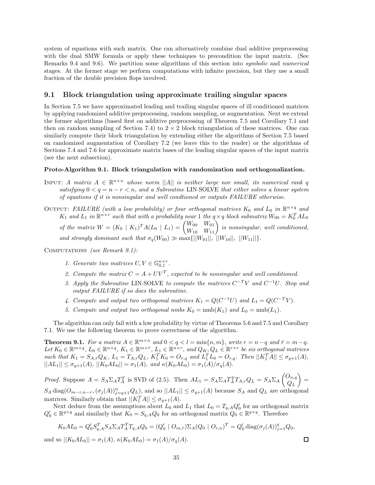system of equations with such matrix. One can alternatively combine dual additive preprocessing with the dual SMW formula or apply these techniques to precondition the input matrix. (See Remarks 9.4 and 9.6). We partition some algorithms of this section into *symbolic* and *numerical* stages. At the former stage we perform computations with infinite precision, but they use a small fraction of the double precision flops involved.

### **9.1 Block triangulation using approximate trailing singular spaces**

In Section 7.5 we have approximated leading and trailing singular spaces of ill conditioned matrices by applying randomized additive preprocessing, random sampling, or augmentation. Next we extend the former algorithms (based first on additive preprocessing of Theorem 7.5 and Corollary 7.1 and then on random sampling of Section 7.4) to  $2 \times 2$  block triangulation of these matrices. One can similarly compute their block triangulation by extending either the algorithms of Section 7.5 based on randomized augmentation of Corollary 7.2 (we leave this to the reader) or the algorithms of Sections 7.4 and 7.6 for approximate matrix bases of the leading singular spaces of the input matrix (see the next subsection).

#### **Proto-Algorithm 9.1. Block triangulation with randomization and orthogonalization.**

- INPUT: *A matrix*  $A \in \mathbb{R}^{n \times n}$  whose norm ||*A*|| *is neither large nor small, its numerical rank q satisfying*  $0 < q = n - r < n$ , and a Subroutine LIN·SOLVE that either solves a linear system *of equations if it is nonsingular and well condtioned or outputs FAILURE otherwise.*
- OUTPUT: *FAILURE* (with a low probability) or four orthogonal matrices  $K_0$  and  $L_0$  in  $\mathbb{R}^{n \times q}$  and *K*<sub>1</sub> and *L*<sub>1</sub> in  $\mathbb{R}^{n \times r}$  such that with a probability near 1 the  $q \times q$  block submatrix  $W_{00} = K_0^T A L_0$ *of the matrix*  $W = (K_0 \mid K_1)^T A (L_0 \mid L_1) = \begin{pmatrix} W_{00} & W_{01} \\ W_{10} & W_{11} \end{pmatrix}$  is nonsingular, well conditioned, *and strongly dominant such that*  $\sigma_q(W_{00}) \gg \max\{||W_{01}||, ||W_{10}||, ||W_{11}||\}.$

Computations *(see Remark 9.1):*

- *1. Generate two matrices*  $U, V \in \mathbb{G}_{0,1}^{n \times r}$ .
- 2. Compute the matrix  $C = A + UV^T$ , expected to be nonsingular and well conditioned.
- *3. Apply the Subroutine* LIN·SOLVE *to compute the matrices*  $C^{-T}V$  *and*  $C^{-1}U$ *. Stop and output FAILURE if so does the subroutine.*
- *4. Compute and output two orthogonal matrices*  $K_1 = Q(C^{-1}U)$  *and*  $L_1 = Q(C^{-T}V)$ *.*
- *5. Compute and output two orthogonal nmbs*  $K_0 = \text{nmb}(K_1)$  *and*  $L_0 = \text{nmb}(L_1)$ *.*

The algorithm can only fail with a low probability by virtue of Theorems 5.6 and 7.5 and Corollary 7.1. We use the following theorem to prove correctness of the algorithm.

**Theorem 9.1.** For a matrix  $A \in \mathbb{R}^{m \times n}$  and  $0 < q < l = \min\{n, m\}$ , write  $r = n - q$  and  $\bar{r} = m - q$ . Let  $K_0 \in \mathbb{R}^{m \times q}$ ,  $L_0 \in \mathbb{R}^{n \times q}$ ,  $K_1 \in \mathbb{R}^{m \times \bar{r}}$ ,  $L_1 \in \mathbb{R}^{n \times r}$ , and  $Q_K$ ,  $Q_L \in \mathbb{R}^{r \times r}$  be six orthogonal matrices such that  $K_1 = S_{A,\bar{r}}Q_K$ ,  $L_1 = T_{A,r}Q_L$ ,  $K_1^T K_0 = O_{\bar{r},q}$  and  $L_1^T L_0 = O_{r,q}$ . Then  $||K_1^T A|| \leq \sigma_{q+1}(A)$ ,  $||AL_1|| \leq \sigma_{q+1}(A)$ ,  $||K_0AL_0|| = \sigma_1(A)$ , and  $\kappa(K_0AL_0) = \sigma_1(A)/\sigma_q(A)$ .

*Proof.* Suppose  $A = S_A \Sigma_A T_A^T$  is SVD of (2.5). Then  $AL_1 = S_A \Sigma_A T_A^T T_{A,r} Q_L = S_A \Sigma_A \begin{pmatrix} O_{n,q} \\ O_{n,q} \end{pmatrix}$  $Q_L$  $=$  $S_A \text{ diag}(O_{m-r,n-r}, (\sigma_j(A))_{j=q+1}^n Q_L)$ , and so  $||AL_1|| \leq \sigma_{q+1}(A)$  because  $S_A$  and  $Q_L$  are orthogonal matrices. Similarly obtain that  $||K_1^T A|| \leq \sigma_{q+1}(A)$ .

Next deduce from the assumptions about  $L_0$  and  $L_1$  that  $L_0 = T_{q,A} Q_0'$  for an orthogonal matrix  $Q'_0 \in \mathbb{R}^{q \times q}$  and similarly that  $K_0 = S_{q,A} Q_0$  for an orthogonal matrix  $Q_0 \in \mathbb{R}^{q \times q}$ . Therefore

$$
K_0AL_0 = Q'_0S_{q,A}^T S_A \Sigma_A T_A^T T_{q,A} Q_0 = (Q'_0 \mid O_{m,\bar{r}}) \Sigma_A (Q_0 \mid O_{r,n})^T = Q'_0 \operatorname{diag}(\sigma_j(A))_{j=1}^q Q_0,
$$

and so  $||K_0AL_0|| = \sigma_1(A), \kappa(K_0AL_0) = \sigma_1(A)/\sigma_q(A).$ 

$$
^{35}
$$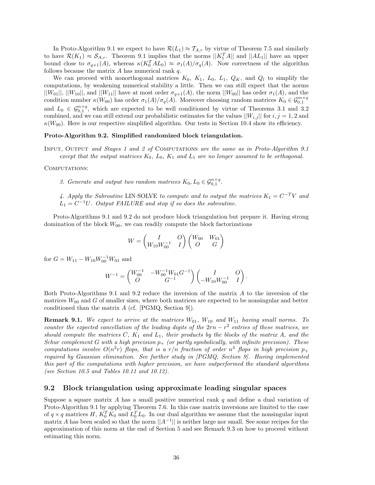In Proto-Algorithm 9.1 we expect to have  $\mathcal{R}(L_1) \approx \mathcal{T}_{A,r}$  by virtue of Theorem 7.5 and similarly to have  $\mathcal{R}(K_1) \approx \mathcal{S}_{A,r}$ . Theorem 9.1 implies that the norms  $||K_1^T A||$  and  $||A L_1||$  have an upper bound close to  $\sigma_{q+1}(A)$ , whereas  $\kappa(K_0^T A L_0) \approx \sigma_1(A)/\sigma_q(A)$ . Now correctness of the algorithm follows because the matrix *A* has numerical rank *q*.

We can proceed with nonorthogonal matrices  $K_0$ ,  $K_1$ ,  $L_0$ ,  $L_1$ ,  $Q_K$ , and  $Q_l$  to simplify the computations, by weakening numerical stability a little. Then we can still expect that the norms  $||W_{01}||$ ,  $||W_{10}||$ , and  $||W_{11}||$  have at most order  $\sigma_{q+1}(A)$ , the norm  $||W_{00}||$  has order  $\sigma_1(A)$ , and the condition number  $\kappa(W_{00})$  has order  $\sigma_1(A)/\sigma_q(A)$ . Moreover choosing random matrices  $K_0 \in \mathcal{G}_{0,1}^{m \times q}$ and  $L_0 \in \mathcal{G}_{0,1}^{n \times q}$ , which are expected to be well conditioned by virtue of Theorems 3.1 and 3.2 combined, and we can still extend our probabilistic estimates for the values  $||W_{i,j}||$  for  $i, j = 1, 2$  and  $\kappa(W_{00})$ . Here is our respective simplified algorithm. Our tests in Section 10.4 show its efficiency.

#### **Proto-Algorithm 9.2. Simplified randomized block triangulation.**

Input, Output *and Stages 1 and 2 of* Computations *are the same as in Proto-Algorithm 9.1 except that the output matrices K*0*, L*0*, K*<sup>1</sup> *and L*<sup>1</sup> *are no longer assumed to be orthogonal.*

#### COMPUTATIONS:

*3. Generate and output two random matrices*  $K_0, L_0 \in \mathcal{G}_{0,1}^{n \times q}$ .

4. Apply the Subroutine LIN·SOLVE *to compute and to output the matrices*  $K_1 = C^{-T}V$  and  $L_1 = C^{-1}U$ *. Output FAILURE and stop if so does the subroutine.* 

Proto-Algorithms 9.1 and 9.2 do not produce block triangulation but prepare it. Having strong domination of the block  $W_{00}$ , we can readily compute the block factorizations

$$
W = \begin{pmatrix} I & O \\ W_{10}W_{00}^{-1} & I \end{pmatrix} \begin{pmatrix} W_{00} & W_{01} \\ O & G \end{pmatrix}
$$

for  $G = W_{11} - W_{10}W_{00}^{-1}W_{01}$  and

$$
W^{-1} = \begin{pmatrix} W_{00}^{-1} & -W_{00}^{-1}W_{01}G^{-1} \\ O & G^{-1} \end{pmatrix} \begin{pmatrix} I & O \\ -W_{10}W_{00}^{-1} & I \end{pmatrix}.
$$

Both Proto-Algorithms 9.1 and 9.2 reduce the inversion of the matrix *A* to the inversion of the matrices  $W_{00}$  and  $G$  of smaller sizes, where both matrices are expected to be nonsingular and better conditioned than the matrix *A* (cf. [PGMQ, Section 9]).

**Remark 9.1.** *We expect to arrive at the matrices W*01*, W*<sup>10</sup> *and W*<sup>11</sup> *having small norms. To counter the expected cancellation of the leading digits of the*  $2rn - r^2$  *entries of these matrices, we should compute the matrices C, K*<sup>1</sup> *and L*1*, their products by the blocks of the matrix A, and the Schur complement G* with a high precision  $p_+$  (or partly symbolically, with infinite precision). These *computations involve*  $O(n^2r)$  *flops, that is a*  $r/n$  *fraction of order*  $n^3$  *flops in high precision*  $p_+$ *required by Gaussian elimination. See further study in [PGMQ, Section 9]. Having implemented this part of the computations with higher precision, we have outperformed the standard algorithms (see Section 10.5 and Tables 10.11 and 10.12).*

#### **9.2 Block triangulation using approximate leading singular spaces**

Suppose a square matrix *A* has a small positive numerical rank *q* and define a dual variation of Proto-Algorithm 9.1 by applying Theorem 7.6. In this case matrix inversions are limited to the case of  $q \times q$  matrices *H*,  $K_0^T K_0$  and  $L_0^T L_0$ . In our dual algorithm we assume that the nonsingular input matrix *A* has been scaled so that the norm  $||A^{-1}||$  is neither large nor small. See some recipes for the approximation of this norm at the end of Section 5 and see Remark 9.3 on how to proceed without estimating this norm.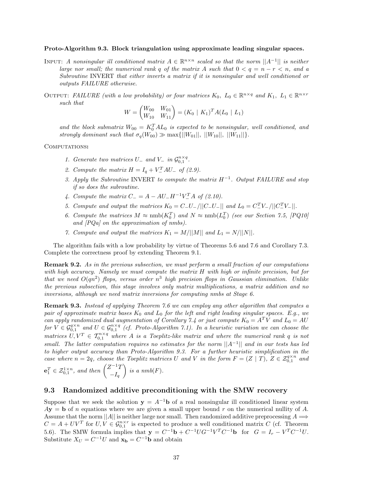#### **Proto-Algorithm 9.3. Block triangulation using approximate leading singular spaces.**

- INPUT: *A nonsingular ill conditioned matrix*  $A \in \mathbb{R}^{n \times n}$  *scaled so that the norm*  $||A^{-1}||$  *is neither large nor small; the numerical rank*  $q$  *of the matrix*  $A$  *such that*  $0 < q = n - r < n$ *, and a Subroutine* INVERT *that either inverts a matrix if it is nonsingular and well conditioned or outputs FAILURE otherwise.*
- OUTPUT: *FAILURE (with a low probability) or four matrices*  $K_0$ ,  $L_0 \in \mathbb{R}^{n \times q}$  and  $K_1$ ,  $L_1 \in \mathbb{R}^{n \times r}$ *such that*

$$
W = \begin{pmatrix} W_{00} & W_{01} \\ W_{10} & W_{11} \end{pmatrix} = (K_0 \mid K_1)^T A (L_0 \mid L_1)
$$

and the block submatrix  $W_{00} = K_0^T A L_0$  is expected to be nonsingular, well conditioned, and *strongly dominant such that*  $\sigma_q(W_{00}) \gg \max\{||W_{01}||, ||W_{10}||, ||W_{11}||\}.$ 

#### Computations**:**

- *1. Generate two matrices*  $U_{-}$  *and*  $V_{-}$  *in*  $\mathcal{G}_{0,1}^{n \times q}$ .
- *2. Compute the matrix*  $H = I_q + V_{-}^T A U_{-}$  *of (2.9).*
- *3. Apply the Subroutine* INVERT *to compute the matrix H*−<sup>1</sup>*. Output FAILURE and stop if so does the subroutine.*
- *4. Compute the matrix*  $C_{-} = A AU_{-}H^{-1}V_{-}^{T}A$  of (2.10).
- *5. Compute and output the matrices*  $K_0 = C U /||C U ||$  and  $L_0 = C U /||C V ||C V ||$ .
- *6. Compute the matrices*  $M \approx \text{nmb}(K_0^T)$  and  $N \approx \text{nmb}(L_0^T)$  (see our Section 7.5, [PQ10] *and [PQa] on the approximation of nmbs).*
- *7. Compute and output the matrices*  $K_1 = M/||M||$  *and*  $L_1 = N/||N||$ .

The algorithm fails with a low probability by virtue of Theorems 5.6 and 7.6 and Corollary 7.3. Complete the correctness proof by extending Theorem 9.1.

**Remark 9.2.** *As in the previous subsection, we must perform a small fraction of our computations with high accuracy. Namely we must compute the matrix H with high or infinite precision, but for that we need*  $O(qn^2)$  *flops, versus order*  $n^3$  *high precision flops in Gaussian elimination. Unlike the previous subsection, this stage involves only matrix multiplications, a matrix addition and no inversions, although we need matrix inversions for computing nmbs at Stage 6.*

**Remark 9.3.** *Instead of applying Theorem 7.6 we can employ any other algorithm that computes a pair of approximate matrix bases K*<sup>0</sup> *and L*<sup>0</sup> *for the left and right leading singular spaces. E.g., we can apply randomized dual augmentation of Corollary 7.4 or just compute*  $K_0 = A^T V$  and  $L_0 = AU$ *for*  $V \in \mathcal{G}_{0,1}^{q \times n}$  and  $U \in \mathcal{G}_{0,1}^{n \times q}$  (cf. Proto-Algorithm 7.1). In a heuristic variation we can choose the *matrices*  $U, V^T \in \mathcal{T}_{0,1}^{n \times q}$  where A is a Toeplitz-like matrix and where the numerical rank q is not *small. The latter computation requires no estimates for the norm* ||*A*−<sup>1</sup>|| *and in our tests has led to higher output accuracy than Proto-Algorithm 9.3. For a further heuristic simplification in the case where*  $n = 2q$ *, choose the Toeplitz matrices U* and *V* in the form  $F = (Z | T)$ ,  $Z \in \mathcal{Z}_{0,1}^{q \times n}$  and  $\mathbf{e}_1^T \in \mathcal{Z}_{0,1}^{1 \times n}$ , and then  $\begin{pmatrix} Z^{-1}T \\ -I \end{pmatrix}$  $-I_q$  $\bigg\}$  is a nmb(F).

### **9.3 Randomized additive preconditioning with the SMW recovery**

Suppose that we seek the solution  $y = A^{-1}b$  of a real nonsingular ill conditioned linear system  $A$ **y** = **b** of *n* equations where we are given a small upper bound *r* on the numerical nullity of *A*. Assume that the norm  $||A||$  is neither large nor small. Then randomized additive preprocessing  $A \implies$  $C = A + UV^T$  for  $U, V \in \mathcal{G}_{0,1}^{n \times r}$  is expected to produce a well conditioned matrix *C* (cf. Theorem 5.6). The SMW formula implies that  $y = C^{-1}b + C^{-1}UG^{-1}V^{T}C^{-1}b$  for  $G = I_{r} - V^{T}C^{-1}U$ . Substitute  $X_U = C^{-1}U$  and  $\mathbf{x}_\mathbf{b} = C^{-1}\mathbf{b}$  and obtain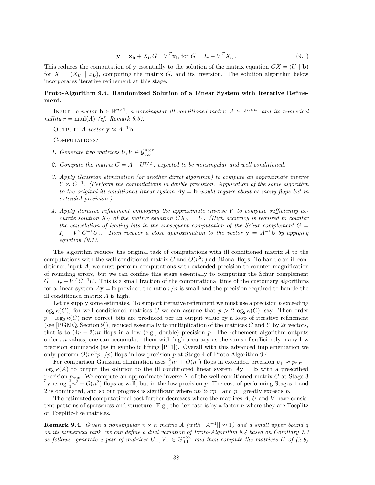$$
\mathbf{y} = \mathbf{x_b} + X_U G^{-1} V^T \mathbf{x_b} \text{ for } G = I_r - V^T X_U. \tag{9.1}
$$

This reduces the computation of **y** essentially to the solution of the matrix equation  $CX = (U | \mathbf{b})$ for  $X = (X_U \mid x_{\mathbf{b}})$ , computing the matrix G, and its inversion. The solution algorithm below incorporates iterative refinement at this stage.

#### **Proto-Algorithm 9.4. Randomized Solution of a Linear System with Iterative Refinement.**

INPUT: *a vector*  $\mathbf{b} \in \mathbb{R}^{n \times 1}$ , *a nonsingular ill conditioned matrix*  $A \in \mathbb{R}^{n \times n}$ , *and its numerical nullity*  $r = \text{nnul}(A)$  *(cf. Remark 9.5).* 

OUTPUT: *A vector*  $\tilde{\mathbf{y}} \approx A^{-1}\mathbf{b}$ *.* 

Computations*:*

- *1. Generate two matrices*  $U, V \in \mathcal{G}_{0,\sigma}^{n \times r}$ .
- 2. Compute the matrix  $C = A + UV^T$ , expected to be nonsingular and well conditioned.
- *3. Apply Gaussian elimination (or another direct algorithm) to compute an approximate inverse Y* ≈ *C*<sup>−1</sup>. (Perform the computations in double precision. Application of the same algorithm *to the original ill conditioned linear system A***y** = **b** *would require about as many flops but in extended precision.)*
- *4. Apply iterative refinement employing the approximate inverse Y to compute sufficiently accurate solution*  $X_U$  *of the matrix equation*  $CX_U = U$ *. (High accuracy is required to counter the cancelation of leading bits in the subsequent computation of the Schur complement*  $G =$  $I_r - V^T C^{-1} U$ .) Then recover a close approximation to the vector  $\mathbf{y} = A^{-1} \mathbf{b}$  by applying *equation (9.1).*

The algorithm reduces the original task of computations with ill conditioned matrix *A* to the computations with the well conditioned matrix *C* and  $O(n^2r)$  additional flops. To handle an ill conditioned input *A*, we must perform computations with extended precision to counter magnification of rounding errors, but we can confine this stage essentially to computing the Schur complement  $G = I_r - V^T C^{-1} U$ . This is a small fraction of the computational time of the customary algorithms for a linear system  $A$ **y** = **b** provided the ratio  $r/n$  is small and the precision required to handle the ill conditioned matrix *A* is high.

Let us supply some estimates. To support iterative refiemment we must use a precision *p* exceeding  $\log_2 \kappa(C)$ ; for well conditioned matrices *C* we can assume that  $p > 2 \log_2 \kappa(C)$ , say. Then order  $p - \log_2 \kappa(C)$  new correct bits are produced per an output value by a loop of iterative refinement (see [PGMQ, Section 9]), reduced essentially to multiplication of the matrices *C* and *Y* by 2*r* vectors, that is to  $(4n-2)nr$  flops in a low (e.g., double) precision p. The refinement algorithm outputs order *rn* values; one can accumulate them with high accuracy as the sums of sufficiently many low precision summands (as in symbolic lifting [P11]). Overall with this advanced implementation we only perform  $O(rn^2p_+/p)$  flops in low precision p at Stage 4 of Proto-Algorithm 9.4.

For comparison Gaussian elimination uses  $\frac{2}{3}n^3 + O(n^2)$  flops in extended precision  $p_+ \approx p_{\text{out}} +$  $\log_2 \kappa(A)$  to output the solution to the ill conditioned linear system  $A$ **y** = **b** with a prescribed precision  $p_{\text{out}}$ . We compute an approximate inverse Y of the well conditioned matrix C at Stage 3 by using  $\frac{2}{3}n^3 + O(n^2)$  flops as well, but in the low precision *p*. The cost of performing Stages 1 and 2 is dominated, and so our progress is significant where  $np \gg rp_+$  and  $p_+$  greatly exceeds p.

The estimated computational cost further decreases where the matrices *A*, *U* and *V* have consistent patterns of sparseness and structure. E.g., the decrease is by a factor *n* where they are Toeplitz or Toeplitz-like matrices.

**Remark 9.4.** *Given a nonsingular*  $n \times n$  *matrix*  $A$  *(with*  $||A^{-1}|| \approx 1$ *) and a small upper bound q on its numerical rank, we can define a dual variation of Proto-Algorithm 9.4 based on Corollary 7.3 as follows: generate a pair of matrices*  $U_-, V_- \in \mathbb{G}_{0,1}^{n \times q}$  *and then compute the matrices*  $H$  *of* (2.9)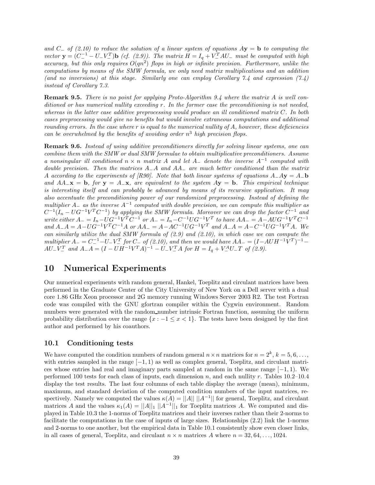*and C*<sup>−</sup> *of (2.10) to reduce the solution of a linear system of equations A***y** = **b** *to computing the*  $\mathbf{v} = (C_{-}^{-1} - U_{-}V_{-}^{T})\mathbf{b}$  *(cf. (2.9)). The matrix*  $\tilde{H} = I_{q} + V_{-}^{T}AU_{-}$  *must be computed with high accuracy, but this only requires*  $O(qn^2)$  *flops in high or infinite precision. Furthermore, unlike the computations by means of the SMW formula, we only need matrix multiplications and an addition (and no inversions) at this stage. Similarly one can employ Corollary 7.4 and expression (7.4) instead of Corollary 7.3.*

**Remark 9.5.** *There is no point for applying Proto-Algorithm 9.4 where the matrix A is well conditioned or has numerical nullity exceeding r. In the former case the preconditioning is not needed, whereas in the latter case additive preprocessing would produce an ill conditioned matrix C. In both cases preprocessing would give no benefits but would involve extraneous computations and additional rounding errors. In the case where r is equal to the numerical nullity of A, however, these deficiencies can be overwhelmed by the benefits of avoiding order n*<sup>3</sup> *high precision flops.*

**Remark 9.6.** *Instead of using additive preconditioners directly for solving linear systems, one can combine them with the SMW or dual SMW formulae to obtain multiplicative preconditioners. Assume a nonsingular ill conditioned <sup>n</sup>* <sup>×</sup> *<sup>n</sup> matrix <sup>A</sup> and let <sup>A</sup>*<sup>−</sup> *denote the inverse <sup>A</sup>*−<sup>1</sup> *computed with double precision. Then the matrices A*−*A and AA*<sup>−</sup> *are much better conditioned than the matrix A according to the experiments of [R90]. Note that both linear systems of equations*  $A - A$ **y** =  $A - b$ **b** *and*  $AA_-\mathbf{x} = \mathbf{b}$ *, for*  $\mathbf{y} = A_-\mathbf{x}$ *, are equivalent to the system*  $A\mathbf{y} = \mathbf{b}$ *. This empirical technique is interesting itself and can probably be advanced by means of its recursive application. It may also accentuate the preconditioning power of our randomized preprocessing. Instead of defining the multiplier <sup>A</sup>*<sup>−</sup> *as the inverse <sup>A</sup>*−<sup>1</sup> *computed with double precision, we can compute this multiplier as*  $C^{-1}(I_n - UG^{-1}V^TC^{-1})$  by applying the SMW formula. Moreover we can drop the factor  $C^{-1}$  and write either  $A_{-} = I_n - U G^{-1} V^T C^{-1}$  or  $A_{-} = I_n - C^{-1} U G^{-1} V^T$  to have  $A A_{-} = A - A U G^{-1} V^T C^{-1}$ and  $A-A = A-UG^{-1}V^{T}C^{-1}A$  or  $AA = A-AC^{-1}UG^{-1}V^{T}$  and  $A-A = A-C^{-1}UG^{-1}V^{T}A$ . We *can similarly utilize the dual SMW formula of (2.9) and (2.10), in which case we can compute the*  $multiplier A = C^{-1} - U - V^{T}$  *for*  $C^{-}$  *of* (2.10), and then we would have  $AA = (I - A U H^{-1} V^{T})^{-1} AU - V_-^T$  and  $A_A = (I - UH^{-1}V^T A)^{-1} - U_V^T A$  for  $H = I_q + V_-^A U_- T$  of (2.9).

# **10 Numerical Experiments**

Our numerical experiments with random general, Hankel, Toeplitz and circulant matrices have been performed in the Graduate Center of the City University of New York on a Dell server with a dual core 1.86 GHz Xeon processor and 2G memory running Windows Server 2003 R2. The test Fortran code was compiled with the GNU gfortran compiler within the Cygwin environment. Random numbers were generated with the random number intrinsic Fortran function, assuming the uniform probability distribution over the range  $\{x : -1 \leq x < 1\}$ . The tests have been designed by the first author and performed by his coauthors.

#### **10.1 Conditioning tests**

We have computed the condition numbers of random general  $n \times n$  matrices for  $n = 2^k$ ,  $k = 5, 6, \ldots$ with entries sampled in the range [−1*,* 1) as well as complex general, Toeplitz, and circulant matrices whose entries had real and imaginary parts sampled at random in the same range [−1*,* 1). We performed 100 tests for each class of inputs, each dimension *n*, and each nullity *r*. Tables 10.2–10.4 display the test results. The last four columns of each table display the average (mean), minimum, maximum, and standard deviation of the computed condition numbers of the input matrices, respectively. Namely we computed the values  $\kappa(A) = ||A|| ||A^{-1}||$  for general, Toeplitz, and circulant matrices *A* and the values  $\kappa_1(A) = ||A||_1 ||A^{-1}||_1$  for Toeplitz matrices *A*. We computed and displayed in Table 10.3 the 1-norms of Toeplitz matrices and their inverses rather than their 2-norms to facilitate the computations in the case of inputs of large sizes. Relationships (2.2) link the 1-norms and 2-norms to one another, but the empirical data in Table 10.1 consistently show even closer links, in all cases of general, Toeplitz, and circulant  $n \times n$  matrices A where  $n = 32, 64, \ldots, 1024$ .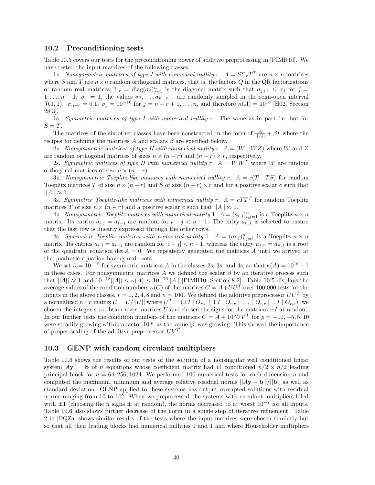#### **10.2 Preconditioning tests**

Table 10.5 covers our tests for the preconditioning power of additive preprocessing in [PIMR10]. We have tested the input matrices of the following classes.

1n. *Nonsymmetric matrices of type I with numerical nullity*  $r$ *.*  $A = S\Sigma_r T^T$  are  $n \times n$  matrices where  $S$  and  $T$  are  $n \times n$  random orthogonal matrices, that is, the factors  $Q$  in the QR factorizations of random real matrices;  $\Sigma_r = \text{diag}(\sigma_j)_{j=1}^n$  is the diagonal matrix such that  $\sigma_{j+1} \leq \sigma_j$  for  $j =$ 1,..., $n-1$ ,  $\sigma_1 = 1$ , the values  $\sigma_2, \ldots, \sigma_{n-r-1}$  are randomly sampled in the semi-open interval [0.1, 1],  $\sigma_{n-r} = 0.1$ ,  $\sigma_j = 10^{-16}$  for  $j = n-r+1, \ldots, n$ , and therefore  $\kappa(A) = 10^{16}$  [H02, Section 28.3].

1s. *Symmetric matrices of type I with numerical nullity r.* The same as in part 1n, but for  $S = T$ .

The matrices of the six other classes have been constructed in the form of  $\frac{A}{\|A\|} + \beta I$  where the recipes for defining the matrices  $A$  and scalars  $\beta$  are specified below.

2n. *Nonsymmetric matrices of type II with numerical nullity*  $r$ *.*  $A = (W | WZ)$  where  $W$  and  $Z$ are random orthogonal matrices of sizes  $n \times (n - r)$  and  $(n - r) \times r$ , respectively.

2s. *Symmetric matrices of type II with numerical nullity*  $r$ *.*  $A = WW^T$  where W are random orthogonal matrices of size  $n \times (n - r)$ .

3n. *Nonsymmetric Toeplitz-like matrices with numerical nullity*  $r \cdot A = c(T | TS)$  *for random* Toeplitz matrices *T* of size  $n \times (n - r)$  and *S* of size  $(n - r) \times r$  and for a positive scalar *c* such that  $||A|| \approx 1.$ 

3s. *Symmetric Toeplitz-like matrices with numerical nullity*  $r$ *.*  $A = cTT^T$  for random Toeplitz matrices *T* of size  $n \times (n - r)$  and a positive scalar *c* such that  $||A|| \approx 1$ .

4n. *Nonsymmetric Toeplitz matrices with numerical nullity* 1.  $A = (a_{i,j})_{i,j=1}^n$  is a Toeplitz  $n \times n$ matrix. Its entries  $a_{i,j} = a_{i-j}$  are random for  $i - j < n - 1$ . The entry  $a_{n,1}$  is selected to ensure that the last row is linearly expressed through the other rows.

4s. *Symmetric Toeplitz matrices with numerical nullity* 1.  $A = (a_{i,j})_{i,j=1}^n$  is a Toeplitz  $n \times n$ matrix. Its entries  $a_{i,j} = a_{i-j}$  are random for  $|i - j| < n - 1$ , whereas the entry  $a_{1,n} = a_{n,1}$  is a root of the quadratic equation det  $A = 0$ . We repeatedly generated the matrices A until we arrived at the quadratic equation having real roots.

We set  $\beta = 10^{-16}$  for symmetric matrices *A* in the classes 2s, 3s, and 4s, so that  $\kappa(A) = 10^{16} + 1$ in these cases. For nonsymmetric matrices  $A$  we defined the scalar  $\beta$  by an iterative process such that  $||A|| \approx 1$  and  $10^{-18}||A|| ≤ κ(A) ≤ 10^{-16}||A||$  [PIMR10, Section 8.2]. Table 10.5 displays the average values of the condition numbers  $\kappa(C)$  of the matrices  $C = A + U U^T$  over 100,000 tests for the inputs in the above classes,  $r = 1, 2, 4, 8$  and  $n = 100$ . We defined the additive preprocessor  $UU^T$  by a normalized  $n \times r$  matrix  $U = U/||U||$  where  $U^T = (\pm I \mid O_{r,r} \mid \pm I \mid O_{r,r} \mid \ldots \mid O_{r,r} \mid \pm I \mid O_{r,s})$ , we chosen the integer *s* to obtain  $n \times r$  matrices *U* and chosen the signs for the matrices  $\pm I$  at random. In our further tests the condition numbers of the matrices  $C = A + 10^pUV^T$  for  $p = -10, -5, 5, 10$ were steadily growing within a factor  $10^{|p|}$  as the value |*p*| was growing. This showed the importance of proper scaling of the additive preprocessor  $UV^T$ .

#### **10.3 GENP with random circulant multipliers**

Table 10.6 shows the results of our tests of the solution of a nonsingular well conditioned linear system  $Ay = b$  of *n* equations whose coefficient matrix had ill conditioned  $n/2 \times n/2$  leading principal block for *n* = 64*,* 256*,* 1024. We performed 100 numerical tests for each dimension *n* and computed the maximum, minimum and average relative residual norms  $||Ay - b||/||b||$  as well as standard deviation. GENP applied to these systems has output corrupted solutions with residual norms ranging from 10 to  $10<sup>8</sup>$ . When we preprocessed the systems with circulant multipliers filled with  $\pm 1$  (choosing the *n* signs  $\pm$  at random), the norms decreased to at worst  $10^{-7}$  for all inputs. Table 10.6 also shows further decrease of the norm in a single step of iterative refinement. Table 2 in [PQZa] shows similar results of the tests where the input matrices were chosen similarly but so that all their leading blocks had numerical nullities 0 and 1 and where Householder multipliers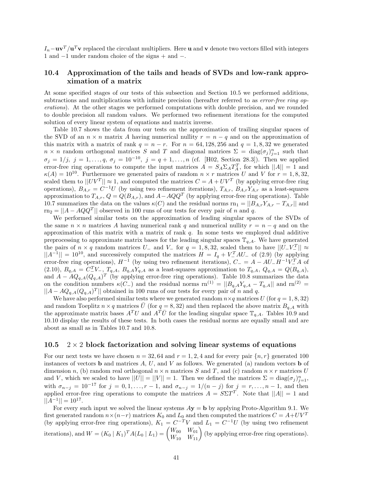$I_n - uv^T/u^T v$  replaced the circulant multipliers. Here **u** and **v** denote two vectors filled with integers 1 and −1 under random choice of the signs + and −.

### **10.4 Approximation of the tails and heads of SVDs and low-rank approximation of a matrix**

At some specified stages of our tests of this subsection and Section 10.5 we performed additions, subtractions and multiplications with infinite precision (hereafter referred to as *error-free ring operations*). At the other stages we performed computations with double precision, and we rounded to double precision all random values. We performed two refinement iterations for the computed solution of every linear system of equations and matrix inverse.

Table 10.7 shows the data from our tests on the approximation of trailing singular spaces of the SVD of an  $n \times n$  matrix *A* having numerical nullity  $r = n - q$  and on the approximation of this matrix with a matrix of rank  $q = n - r$ . For  $n = 64, 128, 256$  and  $q = 1, 8, 32$  we generated  $n \times n$  random orthogonal matrices *S* and *T* and diagonal matrices  $\Sigma = \text{diag}(\sigma_j)_{j=1}^n$  such that  $\sigma_j = 1/j, j = 1, \ldots, q, \sigma_j = 10^{-10}, j = q + 1, \ldots, n$  (cf. [H02, Section 28.3]). Then we applied error-free ring operations to compute the input matrices  $A = S_A \Sigma_A T_A^T$ , for which  $||A|| = 1$  and  $\kappa(A) = 10^{10}$ . Furthermore we generated pairs of random  $n \times r$  matrices *U* and *V* for  $r = 1, 8, 32$ , scaled them to  $||UV^T|| \approx 1$ , and computed the matrices  $C = A + UV^T$  (by applying error-free ring operations),  $B_{A,r} = C^{-1}U$  (by using two refinement iterations),  $T_{A,r}$ ,  $B_{A,r}Y_{A,r}$  as a least-squares approximation to  $T_{A,r}$ ,  $Q = Q(B_{A,r})$ , and  $A - AQQ^T$  (by applying error-free ring operations). Table 10.7 summarizes the data on the values  $\kappa(C)$  and the residual norms  $rn_1 = ||B_{A,r}Y_{A,r} - T_{A,r}||$  and  $r_{12} = ||A - AQQ^{T}||$  observed in 100 runs of our tests for every pair of *n* and *q*.

We performed similar tests on the approximation of leading singular spaces of the SVDs of the same  $n \times n$  matrices A having numerical rank q and numerical nullity  $r = n - q$  and on the approximation of this matrix with a matrix of rank *q*. In some tests we employed dual additive preprocessing to approximate matrix bases for the leading singular spaces  $\mathbb{T}_{q,A}$ . We have generated the pairs of  $n \times q$  random matrices  $U_{-}$  and  $V_{-}$  for  $q = 1, 8, 32$ , scaled them to have  $||U_{-}V_{-}^{T}|| \approx$  $||A^{-1}|| = 10^{10}$ , and successively computed the matrices  $H = I_q + V_A^T A U$  of (2.9) (by applying error-free ring operations),  $H^{-1}$  (by using two refinement iterations),  $C = A - A\hat{U} - H^{-1}\hat{V}^T A$  of (2.10),  $B_{q,A} = C_{-}^{T}V_{-}, T_{q,A}$ ,  $B_{q,A}Y_{q,A}$  as a least-squares approximation to  $T_{q,A}$ ,  $Q_{q,A} = Q(B_{q,A})$ , and  $A - AQ_{q,A}(Q_{q,A})^T$  (by applying error-free ring operations). Table 10.8 summarizes the data on the condition numbers  $\kappa(C_{-})$  and the residual norms rn<sup>(1)</sup> =  $||B_{q,A}Y_{q,A} - T_{q,A}||$  and rn<sup>(2)</sup> =  $||A - AQ_{q,A}(Q_{q,A})^T||$  obtained in 100 runs of our tests for every pair of *n* and *q*.

We have also performed similar tests where we generated random  $n \times q$  matrices *U* (for  $q = 1, 8, 32$ ) and random Toeplitz  $n \times q$  matrices  $\overline{U}$  (for  $q = 8, 32$ ) and then replaced the above matrix  $B_{q,A}$  with the approximate matrix bases  $A^T U$  and  $A^T \overline{U}$  for the leading singular space  $\mathbb{T}_{q,A}$ . Tables 10.9 and 10.10 display the results of these tests. In both cases the residual norms are equally small and are about as small as in Tables 10.7 and 10.8.

#### **10.5** 2 × 2 **block factorization and solving linear systems of equations**

For our next tests we have chosen  $n = 32, 64$  and  $r = 1, 2, 4$  and for every pair  $\{n, r\}$  generated 100 instances of vectors **b** and matrices  $A, U$ , and  $V$  as follows. We generated (a) random vectors **b** of dimension *n*, (b) random real orthogonal  $n \times n$  matrices *S* and *T*, and (c) random  $n \times r$  matrices *U* and *V*, which we scaled to have  $||U|| = ||V|| = 1$ . Then we defined the matrices  $\Sigma = \text{diag}(\sigma_j)_{j=1}^n$ , with  $\sigma_{n-j} = 10^{-17}$  for  $j = 0, 1, ..., r-1$ , and  $\sigma_{n-j} = 1/(n-j)$  for  $j = r, ..., n-1$ , and then applied error-free ring operations to compute the matrices  $A = S\Sigma T^{T}$ . Note that  $||A|| = 1$  and  $||A^{-1}|| = 10^{17}$ .

For every such input we solved the linear systems  $Ay = b$  by applying Proto-Algorithm 9.1. We first generated random  $n \times (n-r)$  matrices  $K_0$  and  $L_0$  and then computed the matrices  $C = A + UV^T$ (by applying error-free ring operations),  $K_1 = C^{-T}V$  and  $L_1 = C^{-1}U$  (by using two refinement iterations), and  $W = (K_0 | K_1)^T A (L_0 | L_1) = \begin{pmatrix} W_{00} & W_{01} \\ W_{10} & W_{11} \end{pmatrix}$  (by applying error-free ring operations).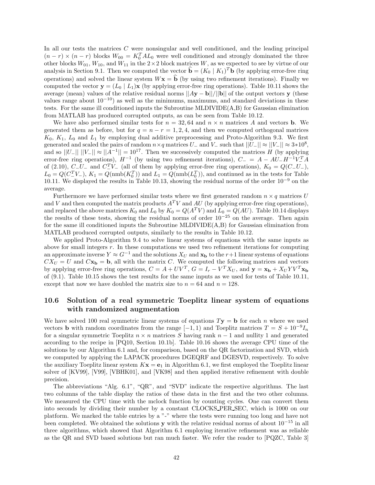In all our tests the matrices *C* were nonsingular and well conditioned, and the leading principal  $(n - r) \times (n - r)$  blocks  $W_{00} = K_0^T A L_0$  were well conditioned and strongly dominated the three other blocks  $W_{01}$ ,  $W_{10}$ , and  $W_{11}$  in the 2×2 block matrices *W*, as we expected to see by virtue of our analysis in Section 9.1. Then we computed the vector  $\hat{\mathbf{b}} = (K_0 | K_1)^T \mathbf{b}$  (by applying error-free ring operations) and solved the linear system  $W$ **x** = **b** (by using two refinement iterations). Finally we computed the vector  $\mathbf{y} = (L_0 \mid L_1)\mathbf{x}$  (by applying error-free ring operations). Table 10.11 shows the average (mean) values of the relative residual norms ||*A***y** − **b**||*/*||**b**|| of the output vectors **y** (these values range about  $10^{-10}$ ) as well as the minimums, maximums, and standard deviations in these tests. For the same ill conditioned inputs the Subroutine MLDIVIDE(A,B) for Gaussian elimination from MATLAB has produced corrupted outputs, as can be seen from Table 10.12.

We have also performed similar tests for  $n = 32,64$  and  $n \times n$  matrices *A* and vectors **b**. We generated them as before, but for  $q = n - r = 1, 2, 4$ , and then we computed orthogonal matrices  $K_0$ ,  $K_1$ ,  $L_0$  and  $L_1$  by employing dual additive preprocessing and Proto-Algorithm 9.3. We first generated and scaled the pairs of random  $n \times q$  matrices  $U_{-}$  and  $V_{-}$  such that  $||U_{-}|| \approx ||V_{-}|| \approx 3*10^{8}$ , and so  $||U_-|| ||V_-|| \approx ||A^{-1}|| = 10^{17}$ . Then we successively computed the matrices *H* (by applying error-free ring operations),  $H^{-1}$  (by using two refinement iterations),  $C_-=A-AU_+H^{-1}V_+^T A$ of  $(2.10)$ ,  $C_{-}U_{-}$  and  $C_{-}^{T}V_{-}$  (all of them by applying error-free ring operations),  $K_0 = Q(C_{-}U_{-})$ ,  $L_0 = Q(C^T L)$ ,  $K_1 = Q(\text{nmb}(K_0^T))$  and  $L_1 = Q(\text{nmb}(L_0^T))$ , and continued as in the tests for Table 10.11. We displayed the results in Table 10.13, showing the residual norms of the order 10−<sup>9</sup> on the average.

Furthermore we have performed similar tests where we first generated random  $n \times q$  matrices *U* and *V* and then computed the matrix products  $A<sup>T</sup>V$  and  $AU$  (by applying error-free ring operations), and replaced the above matrices  $K_0$  and  $L_0$  by  $K_0 = Q(A^T V)$  and  $L_0 = Q(AU)$ . Table 10.14 displays the results of these tests, showing the residual norms of order 10−<sup>25</sup> on the average. Then again for the same ill conditioned inputs the Subroutine MLDIVIDE(A,B) for Gaussian elimination from MATLAB produced corrupted outputs, similarly to the results in Table 10.12.

We applied Proto-Algorithm 9.4 to solve linear systems of equations with the same inputs as above for small integers *r*. In these computations we used two refinement iterations for computing an approximate inverse  $Y \approx G^{-1}$  and the solutions  $X_U$  and  $\mathbf{x_b}$  to the  $r+1$  linear systems of equations  $CX<sub>U</sub> = U$  and  $C**x**<sub>b</sub> = **b**$ , all with the matrix *C*. We computed the following matrices and vectors by applying error-free ring operations,  $C = A + UV^T$ ,  $G = I_r - V^T X_U$ , and  $\mathbf{y} = \mathbf{x_b} + X_U Y V^T \mathbf{x_b}$ of (9.1). Table 10.15 shows the test results for the same inputs as we used for tests of Table 10.11, except that now we have doubled the matrix size to  $n = 64$  and  $n = 128$ .

### **10.6 Solution of a real symmetric Toeplitz linear system of equations with randomized augmentation**

We have solved 100 real symmetric linear systems of equations  $T$ **y** = **b** for each *n* where we used vectors **b** with random coordinates from the range  $[-1, 1)$  and Toeplitz matrices  $T = S + 10^{-9}I_n$ for a singular symmetric Toeplitz  $n \times n$  matrices *S* having rank  $n-1$  and nullity 1 and generated according to the recipe in [PQ10, Section 10.1b]. Table 10.16 shows the average CPU time of the solutions by our Algorithm 6.1 and, for comparison, based on the QR factorization and SVD, which we computed by applying the LAPACK procedures DGEQRF and DGESVD, respectively. To solve the auxiliary Toeplitz linear system  $Kx = e_1$  in Algorithm 6.1, we first employed the Toeplitz linear solver of [KV99], [V99], [VBHK01], and [VK98] and then applied iterative refinement with double precision.

The abbreviations "Alg. 6.1", "QR", and "SVD" indicate the respective algorithms. The last two columns of the table display the ratios of these data in the first and the two other columns. We measured the CPU time with the mclock function by counting cycles. One can convert them into seconds by dividing their number by a constant CLOCKS PER SEC, which is 1000 on our platform. We marked the table entries by a "-" where the tests were running too long and have not been completed. We obtained the solutions **y** with the relative residual norms of about 10−<sup>15</sup> in all three algorithms, which showed that Algorithm 6.1 employing iterative refinement was as reliable as the QR and SVD based solutions but ran much faster. We refer the reader to [PQZC, Table 3]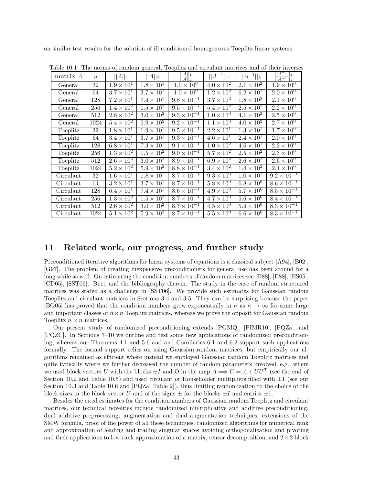on similar test results for the solution of ill conditioned homogeneous Toeplitz linear systems.

| matrix A  | $\boldsymbol{n}$ | $  A  _1$                    | $  A  _2$                  | $  A  _1$<br>$  A  _2$         | $  A^{-1}  _1$               | $  A^{-1}  _2$             | $  A^{-1}  _1$<br>$  A^{-1}  _2$ |
|-----------|------------------|------------------------------|----------------------------|--------------------------------|------------------------------|----------------------------|----------------------------------|
| General   | 32               | $1.9 \times 10^{1}$          | $1.8 \times 10^{1}$        | $1.0 \times 10^{0}$            | $4.0 \times 10^{2}$          | $2.1 \times 10^{2}$        | $1.9 \times 10^{0}$              |
| General   | 64               | $3.7\times10^{1}$            | $\overline{3.7\times10^1}$ | $1.0 \times 10^{0}$            | $1.2 \times 10^{2}$          | $6.2 \times 10^1$          | $2.0 \times 10^{0}$              |
| General   | 128              | $7.2 \times 10^1$            | $7.4 \times 10^{1}$        | $9.8 \times 10^{-1}$           | $3.7 \times 10^2$            | $1.8 \times 10^2$          | $2.1 \times 10^{0}$              |
| General   | 256              | $1.\overline{4 \times 10^2}$ | $1.5 \times 10^2$          | $9.5 \times 10^{-1}$           | $5.4 \times 10^2$            | $2.5 \times 10^2$          | $2.2 \times 10^{0}$              |
| General   | 512              | $2.8 \times 10^2$            | $3.0 \times 10^2$          | $9.3 \times 10^{-1}$           | $1.0 \times 10^{3}$          | $4.1 \times 10^{2}$        | $2.5 \times 10^{0}$              |
| General   | 1024             | $5.4 \times 10^2$            | $5.9 \times 10^{2}$        | $9.2 \times 10^{-1}$           | $1.1 \times 10^{3}$          | $4.0 \times 10^2$          | $2.7 \times 10^{0}$              |
| Toeplitz  | 32               | $1.8 \times 10^{1}$          | $1.9 \times 10^{1}$        | $9.5 \times 10^{-1}$           | $\overline{2.2\times10^1}$   | $1.3 \times 10^1$          | $1.7 \times 10^{0}$              |
| Toeplitz  | 64               | $3.4 \times 10^{1}$          | $3.7 \times 10^{1}$        | $\frac{1}{9.3 \times 10^{-1}}$ | $4.6 \times 10^{1}$          | $2.4 \times 10^{1}$        | $2.0 \times 10^{0}$              |
| Toeplitz  | 128              | $6.8 \times 10^{1}$          | $7.4 \times 10^{1}$        | $9.1 \times 10^{-1}$           | $\overline{1.0 \times 10^2}$ | $4.6 \times 10^{1}$        | $2.2 \times 10^{0}$              |
| Toeplitz  | 256              | $1.3 \times 10^{2}$          | $1.5 \times 10^{2}$        | $9.0 \times 10^{-1}$           | $5.7 \times 10^2$            | $2.5 \times 10^{2}$        | $2.3 \times 10^{0}$              |
| Toeplitz  | 512              | $2.6 \times 10^2$            | $3.0 \times 10^2$          | $8.9 \times 10^{-1}$           | $6.9 \times 10^{2}$          | $2.6 \times 10^2$          | $2.6 \times 10^{0}$              |
| Toeplitz  | 1024             | $5.2 \times 10^2$            | $5.9 \times 10^2$          | $8.8 \times 10^{-1}$           | $3.4 \times 10^2$            | $1.4 \times 10^{2}$        | $2.4 \times 10^{0}$              |
| Circulant | $\overline{32}$  | $1.6 \times 10^{1}$          | $1.8 \times 10^{1}$        | $8.7 \times 10^{-1}$           | $9.3 \times 10^{0}$          | $1.0 \times 10^{1}$        | $9.2 \times 10^{-1}$             |
| Circulant | 64               | $3.2 \times 10^{1}$          | $3.7 \times 10^{1}$        | $8.7 \times 10^{-1}$           | $5.8 \times 10^{0}$          | $6.8 \times 10^{0}$        | $8.6 \times 10^{-1}$             |
| Circulant | 128              | $6.4 \times 10^{1}$          | $7.4 \times 10^{1}$        | $8.6 \times 10^{-1}$           | $4.9 \times 10^{0}$          | $5.7 \times 10^{0}$        | $8.5 \times 10^{-1}$             |
| Circulant | 256              | $1.3 \times 10^2$            | $1.5 \times 10^{2}$        | $8.7 \times 10^{-1}$           | $4.7 \times 10^{0}$          | $5.6 \times 10^{0}$        | $8.4 \times 10^{-1}$             |
| Circulant | 512              | $2.6 \times 10^2$            | $3.0 \times 10^{2}$        | $8.7 \times 10^{-1}$           | $4.5 \times 10^{0}$          | $5.4 \times 10^{0}$        | $8.3 \times 10^{-1}$             |
| Circulant | 1024             | $5.1 \times 10^2$            | $5.9 \times 10^2$          | $8.7 \times 10^{-1}$           | $5.5 \times 10^{0}$          | $6.\overline{6\times10^0}$ | $8.3 \times 10^{-1}$             |

Table 10.1: The norms of random general, Toeplitz and circulant matrices and of their inverses

### **11 Related work, our progress, and further study**

Preconditioned iterative algorithms for linear systems of equations is a classical subject [A94], [B02], [G97]. The problem of creating inexpensive preconditioners for general use has been around for a long while as well. On estimating the condition numbers of random matrices see [D88], [E88], [E805], [CD05], [SST06], [B11], and the bibliography therein. The study in the case of random structured matrices was stated as a challenge in [SST06]. We provide such estimates for Gaussian random Toeplitz and circulant matrices in Sections 3.4 and 3.5. They can be surprising because the paper [BG05] has proved that the condition numbers grow exponentially in *n* as  $n \to \infty$  for some large and important classes of  $n \times n$  Toeplitz matrices, whereas we prove the opposit for Gaussian random Toeplitz  $n \times n$  matrices.

Our present study of randomized preconditioning extends [PGMQ], [PIMR10], [PQZa], and [PQZC]. In Sections 7–10 we outline and test some new applications of randomized preconditioning, whereas our Theorems 4.1 and 5.6 and and Corollaries 6.1 and 6.2 support such applications formally. The formal support relies on using Gaussian random matrices, but empirically our algorithms remained as efficient where instead we employed Gaussian random Toeplitz matrices and quite typically where we further decreased the number of random parameters involved, e.g., where we used block vectors *U* with the blocks  $\pm I$  and O in the map  $A \Longrightarrow C = A + U U^T$  (see the end of Section 10.2 and Table 10.5) and used circulant or Householder multipliers filled with  $\pm 1$  (see our Section 10.3 and Table 10.6 and [PQZa, Table 2]), thus limiting randomization to the choice of the block sizes in the block vector *U* and of the signs  $\pm$  for the blocks  $\pm I$  and entries  $\pm 1$ .

Besides the cited estimates for the condition numbers of Gaussian random Toeplitz and circulant matrices, our technical novelties include randomized multiplicative and additive preconditioning, dual additive preprocessing, augmentation and dual augmentation techniques, extensions of the SMW formula, proof of the power of all these techniques, randomized algorithms for numerical rank and approximation of leading and trailing singular spaces avoiding orthogonalization and pivoting and their applications to low-rank approximation of a matrix, tensor decomposition, and  $2 \times 2$  block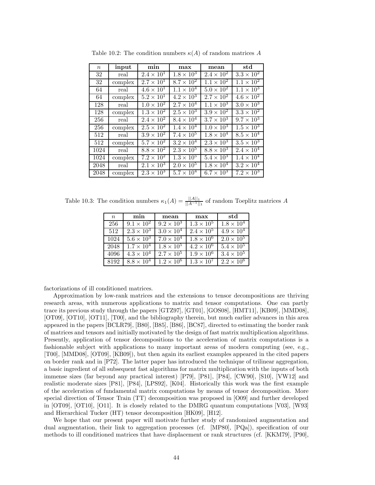| $\, n$ | input   | min                        | max                 | mean                | std                 |
|--------|---------|----------------------------|---------------------|---------------------|---------------------|
| 32     | real    | $2.4 \times 10^{1}$        | $1.8 \times 10^{3}$ | $2.4 \times 10^{2}$ | $3.3 \times 10^2$   |
| 32     | complex | $2.7 \times 10^{1}$        | $8.7 \times 10^{2}$ | $1.1 \times 10^{2}$ | $1.1 \times 10^{2}$ |
| 64     | real    | $4.6 \times 10^{1}$        | $1.1 \times 10^{4}$ | $5.0 \times 10^{2}$ | $1.1 \times 10^{3}$ |
| 64     | complex | $5.2 \times 10^{1}$        | $4.2 \times 10^3$   | $2.7 \times 10^{2}$ | $4.6 \times 10^2$   |
| 128    | real    | $1.0 \times 10^{2}$        | $2.7 \times 10^{4}$ | $1.1 \times 10^{3}$ | $3.0 \times 10^{3}$ |
| 128    | complex | $1.3 \times 10^{2}$        | $2.5 \times 10^{3}$ | $3.9 \times 10^{2}$ | $3.3 \times 10^2$   |
| 256    | real    | $2.4 \times 10^{2}$        | $8.4 \times 10^{4}$ | $3.7 \times 10^3$   | $9.7 \times 10^{3}$ |
| 256    | complex | $2.5 \times 10^2$          | $1.4 \times 10^{4}$ | $1.0 \times 10^{3}$ | $1.5 \times 10^3$   |
| 512    | real    | $3.9 \times 10^{2}$        | $7.4 \times 10^{5}$ | $1.8 \times 10^{4}$ | $8.5 \times 10^4$   |
| 512    | complex | $5.7 \times 10^2$          | $3.2 \times 10^{4}$ | $2.3 \times 10^3$   | $3.5 \times 10^3$   |
| 1024   | real    | $8.8 \times 10^2$          | $2.3 \times 10^5$   | $8.8 \times 10^3$   | $2.4 \times 10^{4}$ |
| 1024   | complex | $7.2 \times 10^2$          | $1.3 \times 10^5$   | $5.4 \times 10^{3}$ | $1.4 \times 10^{4}$ |
| 2048   | real    | $2.\overline{1\times10^3}$ | $2.0 \times 10^5$   | $1.8 \times 10^{4}$ | $3.2 \times 10^4$   |
| 2048   | complex | $2.3 \times 10^3$          | $5.7 \times 10^4$   | $6.7 \times 10^3$   | $7.2 \times 10^3$   |

Table 10.2: The condition numbers  $\kappa(A)$  of random matrices A

Table 10.3: The condition numbers  $\kappa_1(A) = \frac{||A||_1}{||A^{-1}||_1}$  of random Toeplitz matrices *A* 

| $\boldsymbol{n}$ | min                 | mean                | max                 | std                          |
|------------------|---------------------|---------------------|---------------------|------------------------------|
| 256              | $9.1 \times 10^{2}$ | $9.2 \times 10^{3}$ | $1.3 \times 10^{5}$ | $\overline{1.8 \times 10^4}$ |
| 512              | $2.3 \times 10^{3}$ | $3.0 \times 10^{4}$ | $2.4 \times 10^{5}$ | $4.9 \times 10^{4}$          |
| 1024             | $5.6 \times 10^3$   | $7.0 \times 10^{4}$ | $1.8 \times 10^{6}$ | $\overline{2.0\times10^5}$   |
| 2048             | $1.7 \times 10^{4}$ | $1.8 \times 10^{5}$ | $4.2 \times 10^{6}$ | $5.4 \times 10^5$            |
| 4096             | $4.3 \times 10^4$   | $2.7 \times 10^5$   | $1.9 \times 10^{6}$ | $3.4 \times 10^{5}$          |
| 8192             | $8.8 \times 10^4$   | $1.2 \times 10^6$   | $1.3 \times 10^7$   | $2.2 \times 10^6$            |

factorizations of ill conditioned matrices.

Approximation by low-rank matrices and the extensions to tensor decompositions are thriving research areas, with numerous applications to matrix and tensor computations. One can partly trace its previous study through the papers [GTZ97], [GT01], [GOS08], [HMT11], [KB09], [MMD08], [OT09], [OT10], [OT11], [T00], and the bibliography therein, but much earlier advances in this area appeared in the papers [BCLR79], [B80], [B85], [B86], [BC87], directed to estimating the border rank of matrices and tensors and initially motivated by the design of fast matrix multiplication algorithms. Presently, application of tensor decompositions to the acceleration of matrix computations is a fashionable subject with applications to many important areas of modern computing (see, e.g., [T00], [MMD08], [OT09], [KB09]), but then again its earliest examples appeared in the cited papers on border rank and in [P72]. The latter paper has introduced the technique of trilinear aggregation, a basic ingredient of all subsequent fast algorithms for matrix multiplication with the inputs of both immense sizes (far beyond any practical interest) [P79], [P81], [P84], [CW90], [S10], [VW12] and realistic moderate sizes [P81], [P84], [LPS92], [K04]. Historically this work was the first example of the acceleration of fundamental matrix computations by means of tensor decomposition. More special direction of Tensor Train (TT) decomposition was proposed in [O09] and further developed in [OT09], [OT10], [O11]. It is closely related to the DMRG quantum computations [V03], [W93] and Hierarchical Tucker (HT) tensor decomposition [HK09], [H12].

We hope that our present paper will motivate further study of randomized augmentation and dual augmentation, their link to aggregation processes (cf. [MP80], [PQa]), specification of our methods to ill conditioned matrices that have displacement or rank structures (cf. [KKM79], [P90],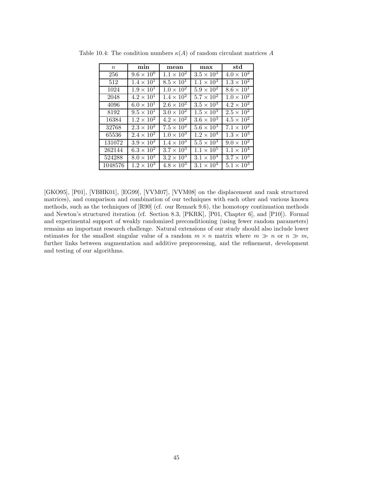| $\,n$   | min                 | mean                | max                        | std                 |
|---------|---------------------|---------------------|----------------------------|---------------------|
| 256     | $9.6 \times 10^{0}$ | $1.1 \times 10^{2}$ | $3.5 \times 10^{3}$        | $4.0 \times 10^{2}$ |
| 512     | $1.4 \times 10^1$   | $8.5 \times 10^{1}$ | $1.1 \times 10^{3}$        | $1.3 \times 10^2$   |
| 1024    | $1.9 \times 10^{1}$ | $1.0 \times 10^{2}$ | $5.9 \times 10^{2}$        | $8.6 \times 10^{1}$ |
| 2048    | $4.2 \times 10^1$   | $1.4 \times 10^{2}$ | $5.7 \times 10^2$          | $1.0 \times 10^2$   |
| 4096    | $6.0 \times 10^{1}$ | $2.6 \times 10^2$   | $3.5 \times 10^3$          | $4.2 \times 10^2$   |
| 8192    | $9.5 \times 10^{1}$ | $3.0 \times 10^{2}$ | $1.5 \times 10^3$          | $2.5 \times 10^2$   |
| 16384   | $1.2 \times 10^{2}$ | $4.2 \times 10^2$   | $3.\overline{6\times10^3}$ | $4.5 \times 10^{2}$ |
| 32768   | $2.3 \times 10^{2}$ | $7.5 \times 10^2$   | $5.6 \times 10^{3}$        | $7.1 \times 10^{2}$ |
| 65536   | $2.4 \times 10^{2}$ | $1.0 \times 10^{3}$ | $1.2 \times 10^{4}$        | $1.3 \times 10^3$   |
| 131072  | $3.9 \times 10^{2}$ | $1.4 \times 10^{3}$ | $5.5 \times 10^3$          | $9.0 \times 10^2$   |
| 262144  | $6.3 \times 10^2$   | $3.7 \times 10^3$   | $1.1 \times 10^{5}$        | $1.1 \times 10^{4}$ |
| 524288  | $8.0 \times 10^{2}$ | $3.2 \times 10^3$   | $3.1 \times 10^{4}$        | $3.7 \times 10^3$   |
| 1048576 | $1.2 \times 10^{3}$ | $4.8 \times 10^3$   | $3.1 \times 10^{4}$        | $5.1 \times 10^3$   |

Table 10.4: The condition numbers  $\kappa(A)$  of random circulant matrices A

[GKO95], [P01], [VBHK01], [EG99], [VVM07], [VVM08] on the displacement and rank structured matrices), and comparison and combination of our techniques with each other and various known methods, such as the techniques of [R90] (cf. our Remark 9.6), the homotopy continuation methods and Newton's structured iteration (cf. Section 8.3, [PKRK], [P01, Chapter 6], and [P10]). Formal and experimental support of weakly randomized preconditioning (using fewer random parameters) remains an important research challenge. Natural extensions of our study should also include lower estimates for the smallest singular value of a random  $m \times n$  matrix where  $m \gg n$  or  $n \gg m$ , further links between augmentation and additive preprocessing, and the refinement, development and testing of our algorithms.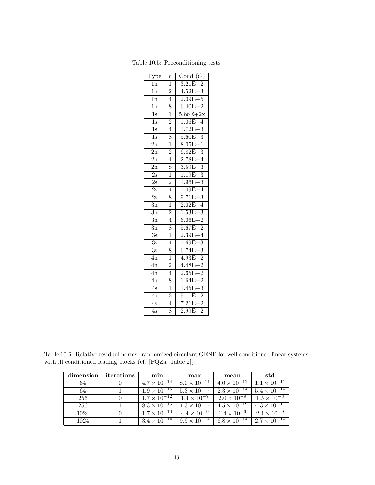| Type             | $\boldsymbol{r}$ | Cond $(C)$   |
|------------------|------------------|--------------|
| 1n               | $\overline{1}$   | $3.21E + 2$  |
| $\overline{1n}$  | $\overline{2}$   | $4.52E + 3$  |
| 1n               | $\overline{4}$   | $2.09E + 5$  |
| $\overline{1}$ n | 8                | $6.40E + 2$  |
| $\overline{1s}$  | $\overline{1}$   | $5.86E + 2x$ |
| $\overline{1s}$  | $\overline{2}$   | $1.06E + 4$  |
| $\overline{1}$ s | $\overline{4}$   | $1.72E + 3$  |
| $\overline{1}$ s | 8                | $5.60E + 3$  |
| $\overline{2n}$  | $\overline{1}$   | $8.05E + 1$  |
| 2n               | $\frac{2}{4}$    | $6.82E + 3$  |
| $\overline{2n}$  |                  | $2.78E + 4$  |
| 2n               | 8                | $3.59E + 3$  |
| $\overline{2s}$  | $\overline{1}$   | $1.19E + 3$  |
| $\overline{2s}$  | $\overline{2}$   | $1.96E + 3$  |
| $\overline{2s}$  | $\overline{4}$   | $1.09E + 4$  |
| $\overline{2s}$  | 8                | $9.71E + 3$  |
| $\overline{3n}$  | ī                | $2.02E + 4$  |
| 3n               | $\overline{2}$   | $1.53E + 3$  |
| $\overline{3n}$  | $\overline{4}$   | $6.06E + 2$  |
| $\overline{3n}$  | 8                | $5.67E + 2$  |
| $\overline{3s}$  | 1                | $2.39E + 4$  |
| $\overline{3s}$  | $\overline{4}$   | $1.69E + 3$  |
| $\overline{3s}$  | 8                | $6.74E + 3$  |
| $\overline{4n}$  | $\overline{1}$   | $4.93E + 2$  |
| 4n               | $\overline{2}$   | $4.48E + 2$  |
| $\overline{4n}$  | $\overline{4}$   | $2.65E + 2$  |
| $\overline{4n}$  | 8                | $1.64E + 2$  |
| 4s               | $\overline{1}$   | $1.45E + 3$  |
| $\overline{4s}$  | $\overline{2}$   | $5.11E + 2$  |
| $\overline{4s}$  | $\overline{4}$   | $7.21E + 2$  |
| $\overline{4s}$  | 8                | $2.99E + 2$  |

Table 10.5: Preconditioning tests

Table 10.6: Relative residual norms: randomized circulant GENP for well conditioned linear systems with ill conditioned leading blocks (cf. [PQZa, Table 2])

| dimension | iterations | min                                          | max                                           | mean                             | std                   |
|-----------|------------|----------------------------------------------|-----------------------------------------------|----------------------------------|-----------------------|
| 64        |            | $4.7 \times 10^{-14}$                        | $8.0 \times 10^{-11}$                         | $4.0 \times \overline{10^{-12}}$ | $1.1 \times 10^{-11}$ |
| 64        |            | $1.9 \times \overline{10^{-15}}$             | $5.3 \times 10^{-13}$                         | $2.3 \times 10^{-14}$            | $5.4 \times 10^{-14}$ |
| 256       |            | $1.7 \times 10^{-12}$   $1.4 \times 10^{-7}$ |                                               | $2.0 \times 10^{-9}$             | $1.5 \times 10^{-8}$  |
| 256       |            |                                              | $8.3 \times 10^{-15}$   $4.3 \times 10^{-10}$ | $4.5 \times 10^{-12}$            | $4.3 \times 10^{-11}$ |
| 1024      |            | $1.7 \times 10^{-10}$                        | $4.4 \times 10^{-9}$                          | $1.4 \times 10^{-9}$             | $2.1 \times 10^{-9}$  |
| 1024      |            | $3.4 \times 10^{-11}$                        | $9.9 \times 10^{-14}$ 6.8 $\times 10^{-14}$   |                                  | $2.7 \times 10^{-14}$ |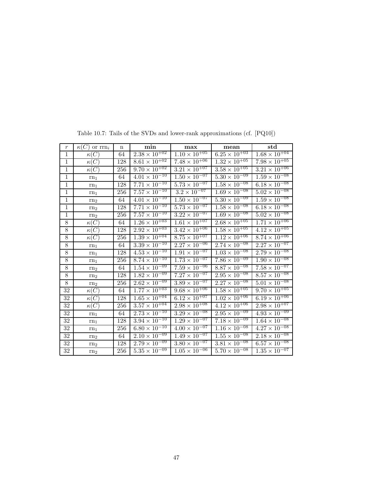| $\,r\,$         | $\kappa(C)$ or $\text{rrn}_i$ | $\mathbf n$ | min                               | max                               | mean                              | std                               |
|-----------------|-------------------------------|-------------|-----------------------------------|-----------------------------------|-----------------------------------|-----------------------------------|
| $\mathbf{1}$    | $\kappa(C)$                   | 64          | $2.38 \times 10^{+02}$            | $1.10 \times 10^{+05}$            | $6.25 \times 10^{+03}$            | $1.68 \times 10^{+04}$            |
| $\mathbf{1}$    | $\kappa(C)$                   | 128         | $8.\overline{61} \times 10^{+02}$ | $7.\overline{48 \times 10^{+06}}$ | $1.32 \times 10^{+05}$            | $7.98 \times 10^{+05}$            |
| $\mathbf 1$     | $\kappa(C)$                   | 256         | $9.70 \times 10^{+02}$            | $3.\overline{21 \times 10^{+07}}$ | $3.\overline{58 \times 10^{+05}}$ | $3.21 \times 10^{+06}$            |
| $\mathbf{1}$    | rn <sub>1</sub>               | 64          | $4.\overline{01 \times 10^{-10}}$ | $1.50 \times 10^{-07}$            | $5.\overline{30 \times 10^{-09}}$ | $1.59 \times 10^{-08}$            |
| $\mathbf{1}$    | $rn_1$                        | 128         | $7.71 \times 10^{-10}$            | $5.\overline{73 \times 10^{-07}}$ | $1.\overline{58 \times 10^{-08}}$ | $6.18 \times 10^{-08}$            |
| $\overline{1}$  | $rn_1$                        | 256         | $7.57 \times 10^{-10}$            | $3.2 \times 10^{-07}$             | $1.\overline{69 \times 10^{-08}}$ | $5.02 \times 10^{-08}$            |
| $\mathbf{1}$    | rn <sub>2</sub>               | 64          | $4.01 \times 10^{-10}$            | $1.50 \times 10^{-07}$            | $5.30 \times 10^{-09}$            | $1.59 \times 10^{-08}$            |
| $\mathbf{1}$    | rn <sub>2</sub>               | 128         | $7.71 \times 10^{-10}$            | $5.73 \times 10^{-07}$            | $1.58 \times 10^{-08}$            | $6.18 \times 10^{-08}$            |
| $\overline{1}$  | rn <sub>2</sub>               | 256         | $7.57 \times 10^{-10}$            | $3.22 \times 10^{-07}$            | $1.69 \times 10^{-08}$            | $5.02 \times 10^{-08}$            |
| $8\,$           | $\kappa(C)$                   | 64          | $1.26 \times \overline{10^{+03}}$ | $1.6\overline{1\times10^{+07}}$   | $2.68 \times 10^{+05}$            | $1.71 \times 10^{+06}$            |
| $\overline{8}$  | $\kappa(\overline{C})$        | 128         | $2.92 \times 10^{+03}$            | $3.\overline{42 \times 10^{+06}}$ | $1.\overline{58 \times 10^{+05}}$ | $4.12 \times 10^{+05}$            |
| $8\,$           | $\kappa(C)$                   | 256         | $1.39 \times 10^{+04}$            | $8.75 \times 10^{+07}$            | $1.\overline{12 \times 10^{+06}}$ | $8.74 \times 10^{+06}$            |
| $\overline{8}$  | $rn_1$                        | 64          | $3.\overline{39} \times 10^{-10}$ | $2.27 \times 10^{-06}$            | $2.74 \times 10^{-08}$            | $2.27 \times 10^{-07}$            |
| $\bf 8$         | rn <sub>1</sub>               | 128         | $4.53 \times 10^{-10}$            | $1.91 \times 10^{-07}$            | $1.03 \times 10^{-08}$            | $2.79 \times 10^{-08}$            |
| $8\,$           | $rn_1$                        | 256         | $8.\overline{74 \times 10^{-10}}$ | $1.\overline{73 \times 10^{-07}}$ | $7.86 \times 10^{-09}$            | $1.90 \times 10^{-08}$            |
| $8\,$           | rn <sub>2</sub>               | 64          | $1.54 \times 10^{-09}$            | $7.59 \times 10^{-06}$            | $8.87 \times 10^{-08}$            | $7.58 \times 10^{-07}$            |
| $\overline{8}$  | rn <sub>2</sub>               | 128         | $1.82 \times 10^{-09}$            | $7.27 \times 10^{-07}$            | $2.95 \times 10^{-08}$            | $8.\overline{57} \times 10^{-08}$ |
| 8               | rn <sub>2</sub>               | 256         | $2.62 \times 10^{-09}$            | $3.\overline{89 \times 10^{-07}}$ | $2.\overline{27 \times 10^{-08}}$ | $5.01 \times 10^{-08}$            |
| $32\,$          | $\kappa(C)$                   | 64          | $1.77 \times 10^{+03}$            | $9.68 \times 10^{+06}$            | $1.58 \times 10^{+05}$            | $9.70 \times 10^{+05}$            |
| $\overline{32}$ | $\kappa(C)$                   | 128         | $1.\overline{65 \times 10^{+04}}$ | $6.\overline{12 \times 10^{+07}}$ | $1.02 \times 10^{+06}$            | $6.19 \times 10^{+06}$            |
| $32\,$          | $\kappa(C)$                   | 256         | $3.57 \times 10^{+04}$            | $2.98 \times 10^{+08}$            | $4.12 \times 10^{+06}$            | $2.98 \times 10^{+07}$            |
| 32              | $rn_1$                        | 64          | $2.\overline{73 \times 10^{-10}}$ | $3.\overline{29 \times 10^{-08}}$ | $2.95 \times 10^{-09}$            | $4.93 \times 10^{-09}$            |
| $32\,$          | rn <sub>1</sub>               | 128         | $3.\overline{94 \times 10^{-10}}$ | $1.\overline{29 \times 10^{-07}}$ | $7.\overline{18 \times 10^{-09}}$ | $1.64 \times 10^{-08}$            |
| 32              | $rn_1$                        | 256         | $6.80 \times 10^{-10}$            | $4.00 \times 10^{-07}$            | $1.16 \times 10^{-08}$            | $4.27 \times 10^{-08}$            |
| 32              | rn <sub>2</sub>               | 64          | $2.\overline{10 \times 10^{-09}}$ | $1.\overline{49 \times 10^{-07}}$ | $1.\overline{55} \times 10^{-08}$ | $2.18 \times 10^{-08}$            |
| $32\,$          | rn <sub>2</sub>               | 128         | $2.79 \times 10^{-09}$            | $3.80 \times 10^{-07}$            | $3.81 \times 10^{-08}$            | $6.57 \times 10^{-08}$            |
| $32\,$          | rn <sub>2</sub>               | 256         | $5.\overline{35 \times 10^{-09}}$ | $1.05 \times 10^{-06}$            | $5.70 \times 10^{-08}$            | $1.\overline{35 \times 10^{-07}}$ |

Table 10.7: Tails of the SVDs and lower-rank approximations (cf. [PQ10])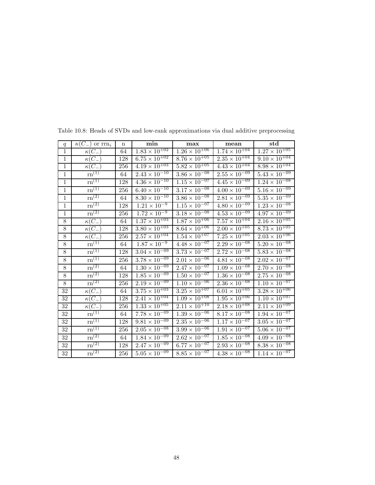| $\boldsymbol{q}$ | $\kappa(C_-)$ or $\text{rrn}_i$ | $\mathbf n$ | min                               | max                               | mean                              | $_{std}$                        |
|------------------|---------------------------------|-------------|-----------------------------------|-----------------------------------|-----------------------------------|---------------------------------|
| $\mathbf{1}$     | $\kappa(C_-)$                   | 64          | $1.83 \times 10^{+02}$            | $1.26 \times 10^{+06}$            | $1.74 \times 10^{+04}$            | $1.27\times10^{+05}$            |
| $\overline{1}$   | $\kappa(C_-)$                   | 128         | $6.75 \times 10^{+02}$            | $8.76 \times 10^{+05}$            | $2.\overline{35 \times 10^{+04}}$ | $9.10 \times 10^{+04}$          |
| $\overline{1}$   | $\kappa(C_-)$                   | 256         | $4.19 \times 10^{+03}$            | $5.82 \times 10^{+05}$            | $4.43 \times 10^{+04}$            | $8.98 \times 10^{+04}$          |
| $\,1$            | $\overline{\mathrm{rn}}^{(1)}$  | 64          | $2.43 \times 10^{-10}$            | $3.86 \times 10^{-08}$            | $2.55 \times 10^{-09}$            | $5.43\times10^{-09}$            |
| $\mathbf{1}$     | $\mathrm{rn}^{(1)}$             | 128         | $4.36 \times 10^{-10}$            | $1.15 \times 10^{-07}$            | $4.45 \times 10^{-09}$            | $1.24 \times 10^{-08}$          |
| $\mathbf 1$      | $rn^{(1)}$                      | 256         | $6.40 \times 10^{-10}$            | $3.17 \times 10^{-08}$            | $4.00 \times 10^{-09}$            | $5.16 \times 10^{-09}$          |
| $\,1$            | $\overline{\text{rn}^{(2)}}$    | 64          | $8.30 \times \overline{10^{-10}}$ | $3.86\times\overline{10^{-08}}$   | $2.81 \times 10^{-09}$            | $5.35\times10^{-09}$            |
| $\mathbf{1}$     | $\mathrm{rn}^{(2)}$             | 128         | $1.\overline{21 \times 10^{-9}}$  | $1.\overline{15 \times 10^{-07}}$ | $4.80 \times 10^{-09}$            | $1.23 \times 10^{-08}$          |
| $\mathbf{1}$     | $\overline{\text{rn}^{(2)}}$    | 256         | $1.72 \times 10^{-9}$             | $3.18 \times 10^{-08}$            | $4.53 \times 10^{-09}$            | $4.97 \times 10^{-09}$          |
| $\overline{8}$   | $\overline{\kappa(C_-)}$        | $64\,$      | $1.37 \times 10^{+03}$            | $1.87 \times 10^{+06}$            | $7.\overline{57} \times 10^{+04}$ | $2.16 \times 10^{+05}$          |
| $\overline{8}$   | $\kappa(C_-)$                   | 128         | $3.80 \times 10^{+03}$            | $8.64 \times 10^{+06}$            | $2.00 \times 10^{+05}$            | $8.73 \times 10^{+05}$          |
| $\overline{8}$   | $\kappa(C_-)$                   | 256         | $2.57 \times 10^{+04}$            | $1.54 \times 10^{+07}$            | $7.\overline{25 \times 10^{+05}}$ | $2.03 \times 10^{+06}$          |
| 8                | $\mathrm{rn}^{(1)}$             | 64          | $1.87 \times 10^{-9}$             | $4.48 \times 10^{-07}$            | $2.29 \times 10^{-08}$            | $5.20 \times 10^{-08}$          |
| 8                | $\mathrm{rn}^{(1)}$             | 128         | $3.04\times\overline{10^{-09}}$   | $3.73\times\overline{10^{-07}}$   | $2.72 \times \overline{10^{-08}}$ | $5.83\times10^{-08}$            |
| $8\,$            | $\overline{\text{rn}^{(1)}}$    | 256         | $3.78\times10^{-09}$              | $2.01\times10^{-06}$              | $4.81 \times 10^{-08}$            | $2.02\times\overline{10^{-07}}$ |
| $8\,$            | $\mathrm{rn}^{\left(2\right)}$  | 64          | $1.30 \times 10^{-09}$            | $2.47 \times 10^{-07}$            | $1.09 \times 10^{-08}$            | $2.70 \times 10^{-08}$          |
| 8                | $\overline{\text{rn}^{(2)}}$    | 128         | $1.\overline{85 \times 10^{-09}}$ | $1.50 \times 10^{-07}$            | $1.36 \times 10^{-08}$            | $2.75\times10^{-08}$            |
| $8\,$            | $\overline{\text{rn}^{(2)}}$    | 256         | $2.19 \times 10^{-09}$            | $1.10 \times 10^{-06}$            | $2.36 \times 10^{-08}$            | $1.10\times10^{-07}$            |
| 32               | $\kappa(C_{-})$                 | 64          | $3.75\times10^{+03}$              | $3.25 \times 10^{+07}$            | $6.01 \times 10^{+05}$            | $3.28 \times 10^{+06}$          |
| 32               | $\kappa(C_-)$                   | 128         | $2.41 \times 10^{+04}$            | $1.09 \times 10^{+08}$            | $1.95 \times 10^{+06}$            | $1.10 \times 10^{+07}$          |
| 32               | $\kappa(C_-)$                   | 256         | $1.33\times10^{+05}$              | $2.11 \times 10^{+10}$            | $2.\overline{18 \times 10^{+08}}$ | $2.11 \times 10^{+09}$          |
| 32               | $\overline{\mathrm{rn}}^{(1)}$  | 64          | $7.78 \times \overline{10^{-09}}$ | $1.39 \times 10^{-06}$            | $8.17 \times 10^{-08}$            | $1.94\times\overline{10^{-07}}$ |
| 32               | $\mathrm{rn}^{(1)}$             | 128         | $9.81\times10^{-09}$              | $2.35\times\overline{10^{-06}}$   | $1.17 \times 10^{-07}$            | $3.05\times\overline{10^{-07}}$ |
| 32               | $rn^{(1)}$                      | 256         | $2.05 \times 10^{-08}$            | $3.99\times\overline{10^{-06}}$   | $1.91 \times 10^{-07}$            | $5.06\times\overline{10^{-07}}$ |
| 32               | $\mathrm{rn}^{(2)}$             | 64          | $1.84 \times 10^{-09}$            | $2.62 \times 10^{-07}$            | $1.85 \times 10^{-08}$            | $4.09 \times 10^{-08}$          |
| 32               | $\mathrm{rn}^{(2)}$             | 128         | $2.47 \times 10^{-09}$            | $6.77 \times 10^{-07}$            | $2.93 \times 10^{-08}$            | $8.38 \times 10^{-08}$          |
| 32               | $\overline{\text{rn}^{(2)}}$    | 256         | $5.05 \times 10^{-09}$            | $8.85 \times 10^{-07}$            | $4.38 \times 10^{-08}$            | $1.14 \times 10^{-07}$          |

Table 10.8: Heads of SVDs and low-rank approximations via dual additive preprocessing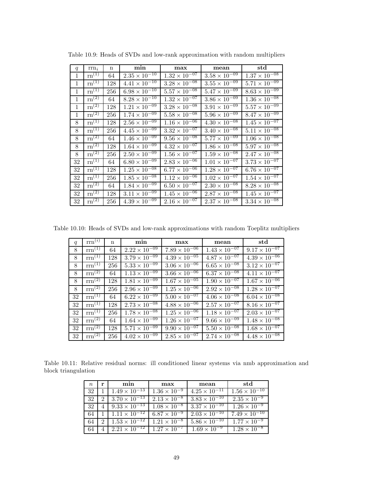| q            | $\text{rrn}_i$                 | $\mathbf n$ | min                               | max                    | mean                   | std                             |
|--------------|--------------------------------|-------------|-----------------------------------|------------------------|------------------------|---------------------------------|
| 1            | $\overline{\mathrm{rn}^{(1)}}$ | 64          | $2.35 \times 10^{-10}$            | $1.32 \times 10^{-07}$ | $3.58 \times 10^{-09}$ | $1.37 \times 10^{-08}$          |
| $\mathbf{1}$ | $\overline{\mathrm{rn}}^{(1)}$ | 128         | $4.41 \times 10^{-10}$            | $3.28 \times 10^{-08}$ | $3.55 \times 10^{-09}$ | $5.71 \times 10^{-09}$          |
| $\mathbf{1}$ | $\overline{\text{rn}^{(1)}}$   | 256         | $6.98 \times 10^{-10}$            | $5.57 \times 10^{-08}$ | $5.47 \times 10^{-09}$ | $8.63 \times 10^{-09}$          |
| $\mathbf{1}$ | $\overline{\mathrm{rn}}^{(2)}$ | 64          | $8.28 \times 10^{-10}$            | $1.32 \times 10^{-07}$ | $3.86 \times 10^{-09}$ | $1.36 \times 10^{-08}$          |
| 1            | $\mathrm{rn}^{(2)}$            | 128         | $1.21 \times 10^{-09}$            | $3.28 \times 10^{-08}$ | $3.91 \times 10^{-09}$ | $5.57\times\overline{10^{-09}}$ |
| 1            | $\mathrm{rn}^{\left(2\right)}$ | 256         | $1.74 \times 10^{-09}$            | $5.58 \times 10^{-08}$ | $5.96 \times 10^{-09}$ | $8.47 \times 10^{-09}$          |
| 8            | $\mathrm{rn}^{(1)}$            | 128         | $2.56 \times 10^{-09}$            | $1.16 \times 10^{-06}$ | $4.30 \times 10^{-08}$ | $1.45 \times 10^{-07}$          |
| 8            | $\mathrm{rn}^{(1)}$            | 256         | $4.45 \times 10^{-09}$            | $3.32 \times 10^{-07}$ | $3.40 \times 10^{-08}$ | $5.11 \times 10^{-08}$          |
| 8            | $\rm{rn}^{(2)}$                | 64          | $1.46 \times 10^{-09}$            | $9.56 \times 10^{-08}$ | $5.77 \times 10^{-09}$ | $1.06 \times 10^{-08}$          |
| 8            | $\mathrm{rn}^{(2)}$            | 128         | $1.64 \times 10^{-09}$            | $4.32 \times 10^{-07}$ | $1.86 \times 10^{-08}$ | $5.97 \times 10^{-08}$          |
| 8            | $\overline{\text{rn}^{(2)}}$   | 256         | $2.50 \times 10^{-09}$            | $1.56 \times 10^{-07}$ | $1.59 \times 10^{-08}$ | $2.47 \times 10^{-08}$          |
| 32           | $rn^{(1)}$                     | 64          | $6.80 \times 10^{-09}$            | $2.83 \times 10^{-06}$ | $1.01 \times 10^{-07}$ | $3.73 \times 10^{-07}$          |
| 32           | $rn^{(1)}$                     | 128         | $1.25 \times 10^{-08}$            | $6.77 \times 10^{-06}$ | $1.28 \times 10^{-07}$ | $6.76 \times 10^{-07}$          |
| 32           | $rn^{(1)}$                     | 256         | $1.85 \times \overline{10^{-08}}$ | $1.12 \times 10^{-06}$ | $1.02 \times 10^{-07}$ | $1.54 \times 10^{-07}$          |
| 32           | $\mathrm{rn}^{(2)}$            | 64          | $1.84 \times 10^{-09}$            | $6.50 \times 10^{-07}$ | $2.30 \times 10^{-08}$ | $8.28 \times 10^{-08}$          |
| 32           | $\overline{\mathrm{rn}}^{(2)}$ | 128         | $3.11 \times 10^{-09}$            | $1.45 \times 10^{-06}$ | $2.87 \times 10^{-08}$ | $1.45 \times 10^{-07}$          |
| 32           | $\overline{\mathrm{rn}}^{(2)}$ | 256         | $4.39 \times 10^{-09}$            | $2.16 \times 10^{-07}$ | $2.37 \times 10^{-08}$ | $3.34 \times 10^{-08}$          |

Table 10.9: Heads of SVDs and low-rank approximation with random multipliers

Table 10.10: Heads of SVDs and low-rank approximations with random Toeplitz multipliers

| q  | $\text{rrn}^{(i)}$ | $\mathbf n$ | min                               | max                               | mean                   | std                    |
|----|--------------------|-------------|-----------------------------------|-----------------------------------|------------------------|------------------------|
| 8  | $rm^{(1)}$         | 64          | $2.22 \times 10^{-09}$            | $7.89 \times 10^{-06}$            | $1.43 \times 10^{-07}$ | $9.17 \times 10^{-07}$ |
| 8  | $rm^{(1)}$         | 128         | $3.79 \times 10^{-09}$            | $4.39 \times 10^{-05}$            | $4.87 \times 10^{-07}$ | $4.39 \times 10^{-06}$ |
| 8  | $rm^{(1)}$         | 256         | $5.33 \times 10^{-09}$            | $3.06 \times 10^{-06}$            | $6.65 \times 10^{-08}$ | $3.12 \times 10^{-07}$ |
| 8  | $rm^{(2)}$         | 64          | $1.13 \times 10^{-\overline{09}}$ | $3.66 \times 10^{-06}$            | $6.37 \times 10^{-08}$ | $4.11 \times 10^{-07}$ |
| 8  | $rm^{(2)}$         | 128         | $1.81 \times 10^{-09}$            | $1.67 \times 10^{-05}$            | $1.90 \times 10^{-07}$ | $1.67 \times 10^{-06}$ |
| 8  | $\text{rrn}^{(2)}$ | 256         | $2.96 \times 10^{-09}$            | $1.25 \times 10^{-06}$            | $2.92 \times 10^{-08}$ | $1.28 \times 10^{-07}$ |
| 32 | $rm^{(1)}$         | 64          | $6.22 \times 10^{-09}$            | $5.00 \times 10^{-\overline{07}}$ | $4.06 \times 10^{-08}$ | $6.04 \times 10^{-08}$ |
| 32 | $rm^{(1)}$         | 128         | $2.73 \times 10^{-08}$            | $4.88 \times 10^{-06}$            | $2.57 \times 10^{-07}$ | $8.16 \times 10^{-07}$ |
| 32 | $rm^{(1)}$         | 256         | $1.78 \times 10^{-08}$            | $1.25 \times 10^{-06}$            | $1.18 \times 10^{-07}$ | $2.03 \times 10^{-07}$ |
| 32 | $rm^{(2)}$         | 64          | $1.64 \times 10^{-09}$            | $1.26 \times 10^{-07}$            | $9.66 \times 10^{-09}$ | $1.48 \times 10^{-08}$ |
| 32 | $rm^{(2)}$         | 128         | $5.71 \times 10^{-09}$            | $9.90 \times 10^{-07}$            | $5.50 \times 10^{-08}$ | $1.68 \times 10^{-07}$ |
| 32 | $rm^{(2)}$         | 256         | $4.02 \times 10^{-09}$            | $2.85 \times 10^{-07}$            | $2.74 \times 10^{-08}$ | $4.48 \times 10^{-08}$ |

Table 10.11: Relative residual norms: ill conditioned linear systems via nmb approximation and block triangulation

| $n_{\rm c}$ | r                           | min                    | max                   | mean                   | std                                               |
|-------------|-----------------------------|------------------------|-----------------------|------------------------|---------------------------------------------------|
| 32          |                             | $1.49 \times 10^{-13}$ | $1.36 \times 10^{-9}$ | $4.25 \times 10^{-11}$ | $1.56 \times 10^{-10}$                            |
| 32          |                             | $3.70 \times 10^{-13}$ | $2.13 \times 10^{-8}$ | $3.83 \times 10^{-10}$ | $2.35 \times 10^{-9}$                             |
| 32          |                             | $9.33 \times 10^{-13}$ | $1.08 \times 10^{-8}$ | $3.37 \times 10^{-10}$ | $1.26 \times 10^{-9}$                             |
| 64          |                             | $1.11 \times 10^{-12}$ | $6.87 \times 10^{-9}$ | $2.03 \times 10^{-10}$ | $7.49 \times 10^{-10}$                            |
| 64          | $\mathcal{D}_{\mathcal{L}}$ | $1.53 \times 10^{-12}$ | $1.21 \times 10^{-8}$ | $5.86 \times 10^{-10}$ | $\frac{1.77 \times 10^{-9}}{1.77 \times 10^{-9}}$ |
|             |                             | $2.21 \times 10^{-12}$ | $1.27 \times 10^{-7}$ | $1.69 \times 10^{-9}$  | $1.28 \times 10^{-8}$                             |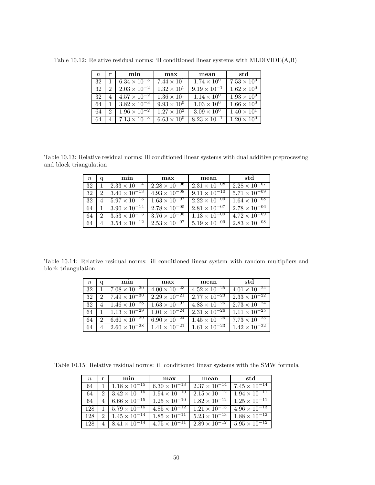| $n_{\rm c}$ | r                           | min                   | max                  | mean                  | std                  |
|-------------|-----------------------------|-----------------------|----------------------|-----------------------|----------------------|
| 32          |                             | $6.34 \times 10^{-3}$ | $7.44 \times 10^{1}$ | $1.74 \times 10^{0}$  | $7.53 \times 10^{0}$ |
| 32          | $\mathcal{D}_{\mathcal{L}}$ | $2.03 \times 10^{-2}$ | $1.32 \times 10^{1}$ | $9.19 \times 10^{-1}$ | $1.62 \times 10^{0}$ |
| 32          |                             | $4.57 \times 10^{-2}$ | $1.36 \times 10^{1}$ | $1.14 \times 10^{0}$  | $1.93 \times 10^{0}$ |
| 64          |                             | $3.82 \times 10^{-3}$ | $9.93 \times 10^{0}$ | $1.03 \times 10^{0}$  | $1.66 \times 10^{0}$ |
| 64          | 2                           | $1.96 \times 10^{-2}$ | $1.27 \times 10^{2}$ | $3.09 \times 10^{0}$  | $1.40 \times 10^{1}$ |
| 64          |                             | $7.13 \times 10^{-3}$ | $6.63 \times 10^{0}$ | $8.23 \times 10^{-1}$ | $1.20 \times 10^{0}$ |

Table 10.12: Relative residual norms: ill conditioned linear systems with MLDIVIDE(A,B)

Table 10.13: Relative residual norms: ill conditioned linear systems with dual additive preprocessing and block triangulation

| $\,n$ | q | min                    | max                    | mean                   | std                    |
|-------|---|------------------------|------------------------|------------------------|------------------------|
| 32    |   | $2.33 \times 10^{-14}$ | $2.28 \times 10^{-06}$ | $2.31 \times 10^{-08}$ | $2.28 \times 10^{-07}$ |
| 32    | 2 | $3.40 \times 10^{-13}$ | $4.93 \times 10^{-08}$ | $9.11 \times 10^{-10}$ | $5.71 \times 10^{-09}$ |
| 32    |   | $5.97 \times 10^{-13}$ | $1.63 \times 10^{-07}$ | $2.22 \times 10^{-09}$ | $1.64 \times 10^{-08}$ |
| 64    |   | $3.90 \times 10^{-14}$ | $2.78 \times 10^{-05}$ | $2.81 \times 10^{-07}$ | $2.78 \times 10^{-06}$ |
| 64    |   | $3.53 \times 10^{-13}$ | $3.76 \times 10^{-08}$ | $1.13 \times 10^{-09}$ | $4.72 \times 10^{-09}$ |
| 64    |   | $3.54 \times 10^{-12}$ | $2.53 \times 10^{-07}$ | $5.19 \times 10^{-09}$ | $2.83 \times 10^{-08}$ |

Table 10.14: Relative residual norms: ill conditioned linear system with random multipliers and block triangulation

| $n_{\rm c}$ | a                           | min                    | max                    | mean                   | std                    |
|-------------|-----------------------------|------------------------|------------------------|------------------------|------------------------|
| 32          |                             | $7.08 \times 10^{-30}$ | $4.00 \times 10^{-23}$ | $4.52 \times 10^{-25}$ | $4.01 \times 10^{-24}$ |
| 32          | $\mathcal{D}_{\mathcal{L}}$ | $7.49 \times 10^{-30}$ | $2.29 \times 10^{-21}$ | $2.77 \times 10^{-23}$ | $2.33 \times 10^{-22}$ |
| 32          | $-4$                        | $1.46 \times 10^{-28}$ | $1.63 \times 10^{-07}$ | $4.83 \times 10^{-25}$ | $2.73 \times 10^{-24}$ |
| 64          | $\mathbf{1}$                | $1.13 \times 10^{-29}$ | $1.01 \times 10^{-24}$ | $2.31 \times 10^{-26}$ | $1.11 \times 10^{-25}$ |
| 64          | $\mathcal{D}_{\mathcal{L}}$ | $6.60 \times 10^{-29}$ | $6.90 \times 10^{-24}$ | $1.45 \times 10^{-25}$ | $7.73 \times 10^{-25}$ |
| 64          | 4                           | $2.60 \times 10^{-28}$ | $1.41 \times 10^{-21}$ | $1.61 \times 10^{-23}$ | $1.42 \times 10^{-22}$ |

Table 10.15: Relative residual norms: ill conditioned linear systems with the SMW formula

| $n_{\rm c}$ | r             | min                                      | max                    | mean                   | std                    |
|-------------|---------------|------------------------------------------|------------------------|------------------------|------------------------|
| 64          |               | $1.18 \times 10^{-15}$                   | $6.30 \times 10^{-13}$ | $2.37 \times 10^{-14}$ | $7.45 \times 10^{-14}$ |
| 64          | 2             | $3.42 \times 10^{-15}$                   | $1.94 \times 10^{-10}$ | $2.15 \times 10^{-12}$ | $1.94 \times 10^{-11}$ |
| 64          |               | $6.66 \times 10^{-15}$                   | $1.25 \times 10^{-10}$ | $1.82 \times 10^{-12}$ | $1.25 \times 10^{-11}$ |
| 128         |               | $5.79 \times 10^{-15}$                   | $4.85 \times 10^{-12}$ | $1.21 \times 10^{-13}$ | $4.96 \times 10^{-13}$ |
| 128         | $\mathcal{D}$ | $1.45 \times 10^{-14}$                   | $1.85 \times 10^{-11}$ | $5.23 \times 10^{-13}$ | $1.88 \times 10^{-12}$ |
| 128         |               | $4 \mid 8.41 \times \overline{10^{-14}}$ | $4.75 \times 10^{-11}$ | $2.89 \times 10^{-12}$ | $5.95 \times 10^{-12}$ |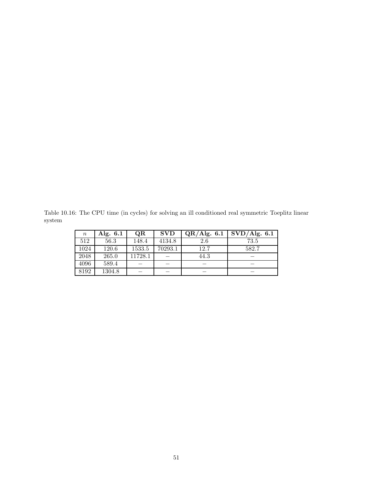Table 10.16: The CPU time (in cycles) for solving an ill conditioned real symmetric Toeplitz linear system

| $\, n \,$ | Alg. 6.1 | OR      | <b>SVD</b> | QR/Alg. 6.1 | SVD/Alg. 6.1 |
|-----------|----------|---------|------------|-------------|--------------|
| 512       | 56.3     | 148.4   | 4134.8     | 2.6         | 73.5         |
| 1024      | 120.6    | 1533.5  | 70293.1    | 12.7        | 582.7        |
| 2048      | 265.0    | 11728.1 |            | 44.3        |              |
| 4096      | 589.4    |         |            |             |              |
| 8192      | 1304.8   |         |            |             |              |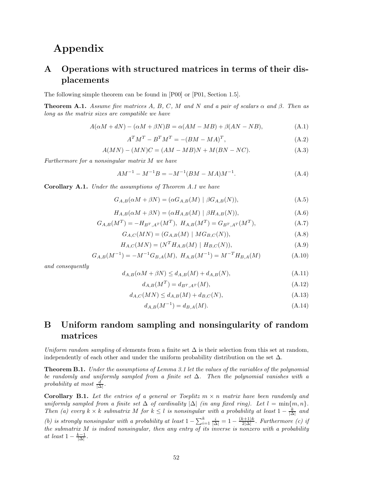# **Appendix**

# **A Operations with structured matrices in terms of their displacements**

The following simple theorem can be found in [P00] or [P01, Section 1.5].

**Theorem A.1.** *Assume five matrices*  $A$ *,*  $B$ *,*  $C$ *,*  $M$  *and*  $N$  *and*  $a$  *pair of scalars*  $\alpha$  *and*  $\beta$ *. Then as long as the matrix sizes are compatible we have*

$$
A(\alpha M + dN) - (\alpha M + \beta N)B = \alpha (AM - MB) + \beta (AN - NB), \tag{A.1}
$$

$$
A^T M^T - B^T M^T = -(BM - MA)^T,
$$
\n(A.2)

$$
A(MN) - (MN)C = (AM - MB)N + M(BN - NC). \tag{A.3}
$$

*Furthermore for a nonsingular matrix M we have*

$$
AM^{-1} - M^{-1}B = -M^{-1}(BM - MA)M^{-1}.
$$
\n(A.4)

**Corollary A.1.** *Under the assumptions of Theorem A.1 we have*

$$
G_{A,B}(\alpha M + \beta N) = (\alpha G_{A,B}(M) | \beta G_{A,B}(N)),
$$
\n(A.5)

$$
H_{A,B}(\alpha M + \beta N) = (\alpha H_{A,B}(M) | \beta H_{A,B}(N)),
$$
\n(A.6)

$$
G_{A,B}(M^T) = -H_{B^T,A^T}(M^T), \ H_{A,B}(M^T) = G_{B^T,A^T}(M^T), \tag{A.7}
$$

$$
G_{A,C}(MN) = (G_{A,B}(M) \mid MG_{B,C}(N)),
$$
\n(A.8)

$$
H_{A,C}(MN) = (N^T H_{A,B}(M) | H_{B,C}(N)),
$$
\n(A.9)

$$
G_{A,B}(M^{-1}) = -M^{-1}G_{B,A}(M), H_{A,B}(M^{-1}) = M^{-T}H_{B,A}(M)
$$
\n(A.10)

*and consequently*

$$
d_{A,B}(\alpha M + \beta N) \le d_{A,B}(M) + d_{A,B}(N),\tag{A.11}
$$

$$
d_{A,B}(M^T) = d_{B^T, A^T}(M),
$$
\n(A.12)

$$
d_{A,C}(MN) \le d_{A,B}(M) + d_{B,C}(N),\tag{A.13}
$$

$$
d_{A,B}(M^{-1}) = d_{B,A}(M). \tag{A.14}
$$

# **B Uniform random sampling and nonsingularity of random matrices**

*Uniform random sampling* of elements from a finite set  $\Delta$  is their selection from this set at random, independently of each other and under the uniform probability distribution on the set  $\Delta$ .

**Theorem B.1.** *Under the assumptions of Lemma 3.1 let the values of the variables of the polynomial be randomly and uniformly sampled from a finite set* ∆*. Then the polynomial vanishes with a*  $\frac{d}{\Delta}$ *, probability at most*  $\frac{d}{\Delta}$ *.* 

**Corollary B.1.** Let the entries of a general or Toeplitz  $m \times n$  matrix have been randomly and *uniformly sampled from a finite set*  $\Delta$  *of cardinality*  $|\Delta|$  *(in any fixed ring). Let*  $l = \min\{m, n\}$ *. Then* (a) every  $k \times k$  *submatrix*  $M$  *for*  $k \leq l$  *is nonsingular with a probability at least*  $1 - \frac{k}{|\Delta|}$  *and (b) is strongly nonsingular with a probability at least*  $1 - \sum_{i=1}^{k} \frac{i}{|\Delta|} = 1 - \frac{(k+1)k}{2|\Delta|}$ . Furthermore *(c) if* 

*the submatrix M is indeed nonsingular, then any entry of its inverse is nonzero with a probability*  $at$  *least*  $1 - \frac{k-1}{|\Delta|}$ *.*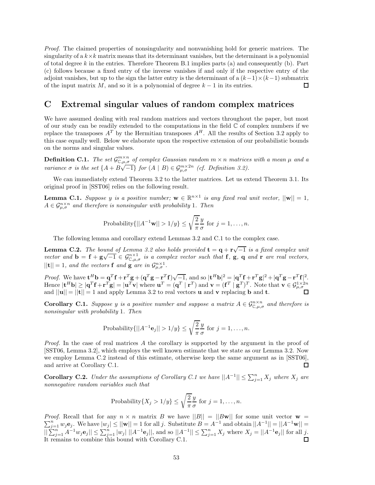*Proof.* The claimed properties of nonsingularity and nonvanishing hold for generic matrices. The singularity of a  $k \times k$  matrix means that its determinant vanishes, but the determinant is a polynomial of total degree *k* in the entries. Therefore Theorem B.1 implies parts (a) and consequently (b). Part (c) follows because a fixed entry of the inverse vanishes if and only if the respective entry of the adjoint vanishes, but up to the sign the latter entry is the determinant of a  $(k-1)\times(k-1)$  submatrix of the input matrix  $M$ , and so it is a polynomial of degree  $k-1$  in its entries. 口

# **C Extremal singular values of random complex matrices**

We have assumed dealing with real random matrices and vectors throughout the paper, but most of our study can be readily extended to the computations in the field  $\mathbb C$  of complex numbers if we replace the transposes  $A^T$  by the Hermitian transposes  $A^H$ . All the results of Section 3.2 apply to this case equally well. Below we elaborate upon the respective extension of our probabilistic bounds on the norms and singular values.

**Definition C.1.** *The set*  $\mathcal{G}^{m \times n}_{\mathbb{C},\mu,\sigma}$  *of complex Gaussian random*  $m \times n$  *matrices with a mean*  $\mu$  *and a variance*  $\sigma$  *is the set*  $\{A + B\sqrt{-1}\}$  *for*  $(A | B) \in \mathcal{G}_{\mu,\sigma}^{m \times 2n}$  *(cf. Definition 3.2).* 

We can immediately extend Theorem 3.2 to the latter matrices. Let us extend Theorem 3.1. Its original proof in [SST06] relies on the following result.

**Lemma C.1.** *Suppose y is a positive number;*  $\mathbf{w} \in \mathbb{R}^{n \times 1}$  *is any fixed real unit vector,*  $||\mathbf{w}|| = 1$ *,*  $A \in \mathcal{G}_{\mu,\sigma}^{n \times n}$  *and therefore is nonsingular with probability* 1*. Then* 

Probability
$$
\{||A^{-1}\mathbf{w}|| > 1/y\} \le \sqrt{\frac{2}{\pi}} \frac{y}{\sigma}
$$
 for  $j = 1, ..., n$ .

The following lemma and corollary extend Lemmas 3.2 and C.1 to the complex case.

**Lemma C.2.** *The bound of Lemma 3.2 also holds provided*  $\mathbf{t} = \mathbf{q} + \mathbf{r} \sqrt{-1}$  *is a fixed complex unit vector and*  $\mathbf{b} = \mathbf{f} + \mathbf{g}\sqrt{-1} \in \mathcal{G}_{\mathbb{C},\mu,\sigma}^{n\times1}$  *is a complex vector such that* **f**, **g**, **q** *and* **r** *are real vectors,*  $||{\bf t}|| = 1$ *, and the vectors* **f** *and* **g** *are in*  $\mathcal{G}_{\mu,\sigma}^{n\times1}$ *.* 

*Proof.* We have  $\mathbf{t}^H \mathbf{b} = \mathbf{q}^T \mathbf{f} + \mathbf{r}^T \mathbf{g} + (\mathbf{q}^T \mathbf{g} - \mathbf{r}^T \mathbf{f}) \sqrt{-1}$ , and so  $|\mathbf{t}^H \mathbf{b}|^2 = |\mathbf{q}^T \mathbf{f} + \mathbf{r}^T \mathbf{g}|^2 + |\mathbf{q}^T \mathbf{g} - \mathbf{r}^T \mathbf{f}|^2$ . Hence  $|\mathbf{t}^H \mathbf{b}| \geq |\mathbf{q}^T \mathbf{f} + \mathbf{r}^T \mathbf{g}| = |\mathbf{u}^T \mathbf{v}| \text{ where } \mathbf{u}^T = (\mathbf{q}^T \mid \mathbf{r}^T) \text{ and } \mathbf{v} = (\mathbf{f}^T \mid \mathbf{g}^T)^T.$  Note that  $\mathbf{v} \in \mathcal{G}_{\mu, \sigma}^{1 \times 2n}$ and  $||\mathbf{u}|| = ||\mathbf{t}|| = 1$  and apply Lemma 3.2 to real vectors **u** and **v** replacing **b** and **t**.

**Corollary C.1.** *Suppose y is a positive number and suppose a matrix*  $A \in \mathcal{G}_{\mathbb{C},\mu,\sigma}^{n \times n}$  *and therefore is nonsingular with probability* 1*. Then*

Probability
$$
\{||A^{-1}\mathbf{e}_j|| > 1/y\} \le \sqrt{\frac{2}{\pi}} \frac{y}{\sigma}
$$
 for  $j = 1, ..., n$ .

*Proof.* In the case of real matrices *A* the corollary is supported by the argument in the proof of [SST06, Lemma 3.2], which employs the well known estimate that we state as our Lemma 3.2. Now we employ Lemma C.2 instead of this estimate, otherwise keep the same argument as in [SST06], and arrive at Corollary C.1. □

**Corollary C.2.** *Under the assumptions of Corollary C.1 we have*  $||A^{-1}|| \le \sum_{j=1}^{n} X_j$  *where*  $X_j$  *are nonnegative random variables such that*

Probability{
$$
X_j > 1/y
$$
}  $\leq \sqrt{\frac{2}{\pi}} \frac{y}{\sigma}$  for  $j = 1, ..., n$ .

*Proof.* Recall that for any  $n \times n$  matrix B we have  $||B|| = ||Bw||$  for some unit vector  $w =$ *Proof.* Recall that for any  $n \times n$  matrix B we have  $||B|| = ||B\mathbf{w}||$  for some unit vector  $\mathbf{w} = \sum_{j=1}^{n} w_j \mathbf{e}_j$ . We have  $|w_j| \le ||\mathbf{w}|| = 1$  for all j. Substitute  $B = A^{-1}$  and obtain  $||A^{-1}|| = ||A^{-1}\mathbf{w}|| =$  $||\sum_{j=1}^n A^{-1}w_j \mathbf{e}_j|| \le \sum_{j=1}^n |w_j| ||A^{-1} \mathbf{e}_j||$ , and so  $||A^{-1}|| \le \sum_{j=1}^n X_j$  where  $X_j = ||A^{-1} \mathbf{e}_j||$  for all j. It remains to combine this bound with Corollary C.1.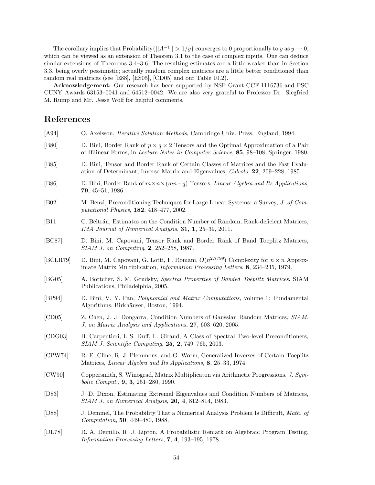The corollary implies that Probability $\{||A^{-1}|| > 1/y\}$  converges to 0 proportionally to *y* as  $y \to 0$ , which can be viewed as an extension of Theorem 3.1 to the case of complex inputs. One can deduce similar extensions of Theorems 3.4–3.6. The resulting estimates are a little weaker than in Section 3.3, being overly pessimistic; actually random complex matrices are a little better conditioned than random real matrices (see [E88], [ES05], [CD05] and our Table 10.2).

**Acknowledgement:** Our research has been supported by NSF Grant CCF-1116736 and PSC CUNY Awards 63153–0041 and 64512–0042. We are also very grateful to Professor Dr. Siegfried M. Rump and Mr. Jesse Wolf for helpful comments.

# **References**

| [A94]          | O. Axelsson, <i>Iterative Solution Methods</i> , Cambridge Univ. Press, England, 1994.                                                                                                                |
|----------------|-------------------------------------------------------------------------------------------------------------------------------------------------------------------------------------------------------|
| [ <b>B80</b> ] | D. Bini, Border Rank of $p \times q \times 2$ Tensors and the Optimal Approximation of a Pair<br>of Bilinear Forms, in <i>Lecture Notes in Computer Science</i> , <b>85</b> , 98–108, Springer, 1980. |
| [ <b>B85</b> ] | D. Bini, Tensor and Border Rank of Certain Classes of Matrices and the Fast Evalu-<br>ation of Determinant, Inverse Matrix and Eigenvalues, Calcolo, 22, 209-228, 1985.                               |
| [ <b>B86</b> ] | D. Bini, Border Rank of $m \times n \times (mn-q)$ Tensors, <i>Linear Algebra and Its Applications</i> ,<br>79, 45-51, 1986.                                                                          |
| [ <b>B02</b> ] | M. Benzi, Preconditioning Techniques for Large Linear Systems: a Survey, J. of Com-<br>putational Physics, 182, 418-477, 2002.                                                                        |
| [B11]          | C. Beltrán, Estimates on the Condition Number of Random, Rank-deficient Matrices,<br>IMA Journal of Numerical Analysis, 31, 1, 25–39, 2011.                                                           |
| [BC87]         | D. Bini, M. Capovani, Tensor Rank and Border Rank of Band Toeplitz Matrices,<br>SIAM J. on Computing, 2, 252-258, 1987.                                                                               |
| [BCLR79]       | D. Bini, M. Capovani, G. Lotti, F. Romani, $O(n^{2.7799})$ Complexity for $n \times n$ Approx-<br>imate Matrix Multiplication, <i>Information Processing Letters</i> , 8, 234-235, 1979.              |
| [BG05]         | A. Böttcher, S. M. Grudsky, Spectral Properties of Banded Toeplitz Matrices, SIAM<br>Publications, Philadelphia, 2005.                                                                                |
| [BP94]         | D. Bini, V. Y. Pan, <i>Polynomial and Matrix Computations</i> , volume 1: Fundamental<br>Algorithms, Birkhäuser, Boston, 1994.                                                                        |
| [CD05]         | Z. Chen, J. J. Dongarra, Condition Numbers of Gaussian Random Matrices, SIAM.<br>J. on Matrix Analysis and Applications, 27, 603-620, 2005.                                                           |
| [CDG03]        | B. Carpentieri, I. S. Duff, L. Giraud, A Class of Spectral Two-level Preconditioners,<br>SIAM J. Scientific Computing, 25, 2, 749-765, 2003.                                                          |
| [CPW74]        | R. E. Cline, R. J. Plemmons, and G. Worm, Generalized Inverses of Certain Toeplitz<br>Matrices, Linear Algebra and Its Applications, 8, 25–33, 1974.                                                  |
| [CW90]         | Coppersmith, S. Winograd, Matrix Multiplicaton via Arithmetic Progressions. J. Sym-<br>bolic Comput., 9, 3, 251-280, 1990.                                                                            |
| [D83]          | J. D. Dixon, Estimating Extremal Eigenvalues and Condition Numbers of Matrices,<br>SIAM J. on Numerical Analysis, 20, 4, 812-814, 1983.                                                               |
| [D88]          | J. Demmel, The Probability That a Numerical Analysis Problem Is Difficult, Math. of<br>Computation, 50, 449-480, 1988.                                                                                |
| [DL78]         | R. A. Demillo, R. J. Lipton, A Probabilistic Remark on Algebraic Program Testing,<br>Information Processing Letters, 7, 4, 193–195, 1978.                                                             |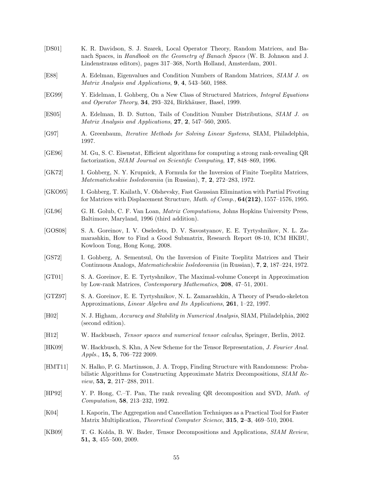| $\left[DS01\right]$ | K. R. Davidson, S. J. Szarek, Local Operator Theory, Random Matrices, and Ba-<br>nach Spaces, in Handbook on the Geometry of Banach Spaces (W. B. Johnson and J.<br>Lindenstrauss editors), pages 317-368, North Holland, Amsterdam, 2001. |
|---------------------|--------------------------------------------------------------------------------------------------------------------------------------------------------------------------------------------------------------------------------------------|
| [ES8]               | A. Edelman, Eigenvalues and Condition Numbers of Random Matrices, SIAM J. on<br>Matrix Analysis and Applications, 9, 4, 543-560, 1988.                                                                                                     |
| [EG99]              | Y. Eidelman, I. Gohberg, On a New Class of Structured Matrices, <i>Integral Equations</i><br>and Operator Theory, 34, 293-324, Birkhäuser, Basel, 1999.                                                                                    |
| [ES05]              | A. Edelman, B. D. Sutton, Tails of Condition Number Distributions, SIAM J. on<br>Matrix Analysis and Applications, $27, 2, 547-560, 2005$ .                                                                                                |
| [G97]               | A. Greenbaum, <i>Iterative Methods for Solving Linear Systems</i> , SIAM, Philadelphia,<br>1997.                                                                                                                                           |
| [GE96]              | M. Gu, S. C. Eisenstat, Efficient algorithms for computing a strong rank-revealing QR<br>factorization, SIAM Journal on Scientific Computing, 17, 848-869, 1996.                                                                           |
| [GK72]              | I. Gohberg, N.Y. Krupnick, A Formula for the Inversion of Finite Toeplitz Matrices,<br><i>Matematicheskiie Issledovaniia</i> (in Russian), 7, 2, 272–283, 1972.                                                                            |
| [GKO95]             | I. Gohberg, T. Kailath, V. Olshevsky, Fast Gaussian Elimination with Partial Pivoting<br>for Matrices with Displacement Structure, <i>Math. of Comp.</i> , $64(212)$ , $1557-1576$ , 1995.                                                 |
| [GL96]              | G. H. Golub, C. F. Van Loan, <i>Matrix Computations</i> , Johns Hopkins University Press,<br>Baltimore, Maryland, 1996 (third addition).                                                                                                   |
| [GOS08]             | S. A. Goreinov, I. V. Oseledets, D. V. Savostyanov, E. E. Tyrtyshnikov, N. L. Za-<br>marashkin, How to Find a Good Submatrix, Research Report 08-10, ICM HKBU,<br>Kowloon Tong, Hong Kong, 2008.                                           |
| [GS72]              | I. Gohberg, A. Sementsul, On the Inversion of Finite Toeplitz Matrices and Their<br>Continuous Analogs, <i>Matematicheskiie Issledovaniia</i> (in Russian), <b>7, 2</b> , 187–224, 1972.                                                   |
| [GT01]              | S. A. Goreinov, E. E. Tyrtyshnikov, The Maximal-volume Concept in Approximation<br>by Low-rank Matrices, <i>Contemporary Mathematics</i> , <b>208</b> , 47–51, 2001.                                                                       |
| [GTZ97]             | S. A. Goreinov, E. E. Tyrtyshnikov, N. L. Zamarashkin, A Theory of Pseudo-skeleton<br>Approximations, Linear Algebra and Its Applications, 261, 1-22, 1997.                                                                                |
| [H02]               | N. J. Higham, Accuracy and Stability in Numerical Analysis, SIAM, Philadelphia, 2002<br>(second edition).                                                                                                                                  |
| [H12]               | W. Hackbusch, <i>Tensor spaces and numerical tensor calculus</i> , Springer, Berlin, 2012.                                                                                                                                                 |
| [HK09]              | W. Hackbusch, S. Khn, A New Scheme for the Tensor Representation, J. Fourier Anal.<br>$Appls., 15, 5, 706-722 2009.$                                                                                                                       |
| [HMT11]             | N. Halko, P. G. Martinsson, J. A. Tropp, Finding Structure with Randomness: Proba-<br>bilistic Algorithms for Constructing Approximate Matrix Decompositions, SIAM Re-<br><i>view</i> , <b>53, 2</b> , 217–288, 2011.                      |
| [HP92]              | Y. P. Hong, C.-T. Pan, The rank revealing QR decomposition and SVD, Math. of<br><i>Computation</i> , <b>58</b> , 213-232, 1992.                                                                                                            |
| [K04]               | I. Kaporin, The Aggregation and Cancellation Techniques as a Practical Tool for Faster<br>Matrix Multiplication, <i>Theoretical Computer Science</i> , <b>315</b> , <b>2–3</b> , 469–510, 2004.                                            |
| [KB09]              | T. G. Kolda, B. W. Bader, Tensor Decompositions and Applications, SIAM Review,<br><b>51, 3</b> , 455–500, 2009.                                                                                                                            |

55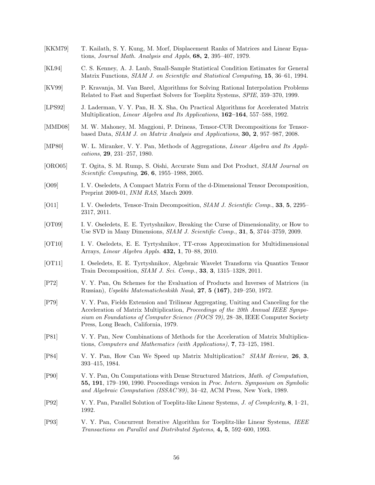- [KKM79] T. Kailath, S. Y. Kung, M. Morf, Displacement Ranks of Matrices and Linear Equations, *Journal Math. Analysis and Appls*, **68, 2**, 395–407, 1979.
- [KL94] C. S. Kenney, A. J. Laub, Small-Sample Statistical Condition Estimates for General Matrix Functions, *SIAM J. on Scientific and Statistical Computing*, **15**, 36–61, 1994.
- [KV99] P. Kravanja, M. Van Barel, Algorithms for Solving Rational Interpolation Problems Related to Fast and Superfast Solvers for Toeplitz Systems, *SPIE*, 359–370, 1999.
- [LPS92] J. Laderman, V. Y. Pan, H. X. Sha, On Practical Algorithms for Accelerated Matrix Multiplication, *Linear Algebra and Its Applications*, **162–164**, 557–588, 1992.
- [MMD08] M. W. Mahoney, M. Maggioni, P. Drineas, Tensor-CUR Decompositions for Tensorbased Data, *SIAM J. on Matrix Analysis and Applications*, **30, 2**, 957–987, 2008.
- [MP80] W. L. Miranker, V. Y. Pan, Methods of Aggregations, *Linear Algebra and Its Applications*, **29**, 231–257, 1980.
- [ORO05] T. Ogita, S. M. Rump, S. Oishi, Accurate Sum and Dot Product, *SIAM Journal on Scientific Computing*, **26**, **6**, 1955–1988, 2005.
- [O09] I. V. Oseledets, A Compact Matrix Form of the d-Dimensional Tensor Decomposition, Preprint 2009-01, *INM RAS*, March 2009.
- [O11] I. V. Oseledets, Tensor-Train Decomposition, *SIAM J. Scientific Comp.*, **33**, **5**, 2295– 2317, 2011.
- [OT09] I. V. Oseledets, E. E. Tyrtyshnikov, Breaking the Curse of Dimensionality, or How to Use SVD in Many Dimensions, *SIAM J. Scientific Comp.*, **31**, **5**, 3744–3759, 2009.
- [OT10] I. V. Oseledets, E. E. Tyrtyshnikov, TT-cross Approximation for Multidimensional Arrays, *Linear Algebra Appls.* **432, 1**, 70–88, 2010.
- [OT11] I. Oseledets, E. E. Tyrtyshnikov, Algebraic Wavelet Transform via Quantics Tensor Train Decomposition, *SIAM J. Sci. Comp.*, **33**, **3**, 1315–1328, 2011.
- [P72] V. Y. Pan, On Schemes for the Evaluation of Products and Inverses of Matrices (in Russian), *Uspekhi Matematicheskikh Nauk*, **27**, **5 (167)**, 249–250, 1972.
- [P79] V. Y. Pan, Fields Extension and Trilinear Aggregating, Uniting and Canceling for the Acceleration of Matrix Multiplication, *Proceedings of the 20th Annual IEEE Symposium on Foundations of Computer Science (FOCS 79)*, 28–38, IEEE Computer Society Press, Long Beach, California, 1979.
- [P81] V. Y. Pan, New Combinations of Methods for the Acceleration of Matrix Multiplications, *Computers and Mathematics (with Applications)*, **7**, 73–125, 1981.
- [P84] V. Y. Pan, How Can We Speed up Matrix Multiplication? *SIAM Review,* **26**, **3**, 393–415, 1984.
- [P90] V. Y. Pan, On Computations with Dense Structured Matrices, *Math. of Computation*, **55, 191**, 179–190, 1990. Proceedings version in *Proc. Intern. Symposium on Symbolic and Algebraic Computation (ISSAC'89)*, 34–42, ACM Press, New York, 1989.
- [P92] V. Y. Pan, Parallel Solution of Toeplitz-like Linear Systems, *J. of Complexity*, **8**, 1–21, 1992.
- [P93] V. Y. Pan, Concurrent Iterative Algorithm for Toeplitz-like Linear Systems, *IEEE Transactions on Parallel and Distributed Systems*, **4, 5**, 592–600, 1993.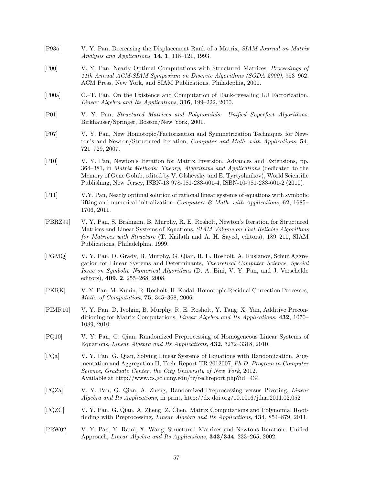- [P93a] V. Y. Pan, Decreasing the Displacement Rank of a Matrix, *SIAM Journal on Matrix Analysis and Applications*, **14**, **1**, 118–121, 1993.
- [P00] V. Y. Pan, Nearly Optimal Computations with Structured Matrices, *Proceedings of 11th Annual ACM-SIAM Symposium on Discrete Algorithms (SODA'2000)*, 953–962, ACM Press, New York, and SIAM Publications, Philadephia, 2000.
- [P00a] C.–T. Pan, On the Existence and Computation of Rank-revealing LU Factorization, *Linear Algebra and Its Applications*, **316**, 199–222, 2000.
- [P01] V. Y. Pan, *Structured Matrices and Polynomials: Unified Superfast Algorithms*, Birkhäuser/Springer, Boston/New York, 2001.
- [P07] V. Y. Pan, New Homotopic/Factorization and Symmetrization Techniques for Newton's and Newton/Structured Iteration, *Computer and Math. with Applications*, **54**, 721–729, 2007.
- [P10] V. Y. Pan, Newton's Iteration for Matrix Inversion, Advances and Extensions, pp. 364–381, in *Matrix Methods: Theory, Algorithms and Applications* (dedicated to the Memory of Gene Golub, edited by V. Olshevsky and E. Tyrtyshnikov), World Scientific Publishing, New Jersey, ISBN-13 978-981-283-601-4, ISBN-10-981-283-601-2 (2010).
- [P11] V.Y. Pan, Nearly optimal solution of rational linear systems of equations with symbolic lifting and numerical initialization. *Computers & Math. with Applications*, **62**, 1685– 1706, 2011.
- [PBRZ99] V. Y. Pan, S. Brahnam, B. Murphy, R. E. Rosholt, Newton's Iteration for Structured Matrices and Linear Systems of Equations, *SIAM Volume on Fast Reliable Algorithms for Matrices with Structure* (T. Kailath and A. H. Sayed, editors), 189–210, SIAM Publications, Philadelphia, 1999.
- [PGMQ] V. Y. Pan, D. Grady, B. Murphy, G. Qian, R. E. Rosholt, A. Ruslanov, Schur Aggregation for Linear Systems and Determinants, *Theoretical Computer Science*, *Special Issue on Symbolic–Numerical Algorithms* (D. A. Bini, V. Y. Pan, and J. Verschelde editors), **409**, **2**, 255–268, 2008.
- [PKRK] V. Y. Pan, M. Kunin, R. Rosholt, H. Kodal, Homotopic Residual Correction Processes, *Math. of Computation*, **75**, 345–368, 2006.
- [PIMR10] V. Y. Pan, D. Ivolgin, B. Murphy, R. E. Rosholt, Y. Tang, X. Yan, Additive Preconditioning for Matrix Computations, *Linear Algebra and Its Applications*, **432**, 1070– 1089, 2010.
- [PQ10] V. Y. Pan, G. Qian, Randomized Preprocessing of Homogeneous Linear Systems of Equations, *Linear Algebra and Its Applications*, **432**, 3272–3318, 2010.
- [PQa] V. Y. Pan, G. Qian, Solving Linear Systems of Equations with Randomization, Augmentation and Aggregation II, Tech. Report TR 2012007, *Ph.D. Program in Computer Science*, *Graduate Center, the City University of New York*, 2012. Available at http://www.cs.gc.cuny.edu/tr/techreport.php?id=434
- [PQZa] V. Y. Pan, G. Qian, A. Zheng, Randomized Preprocessing versus Pivoting, *Linear Algebra and Its Applications*, in print. http://dx.doi.org/10.1016/j.laa.2011.02.052
- [PQZC] V. Y. Pan, G. Qian, A. Zheng, Z. Chen, Matrix Computations and Polynomial Rootfinding with Preprocessing, *Linear Algebra and Its Applications*, **434**, 854–879, 2011.
- [PRW02] V. Y. Pan, Y. Rami, X. Wang, Structured Matrices and Newtons Iteration: Unified Approach, *Linear Algebra and Its Applications*, **343/344**, 233–265, 2002.